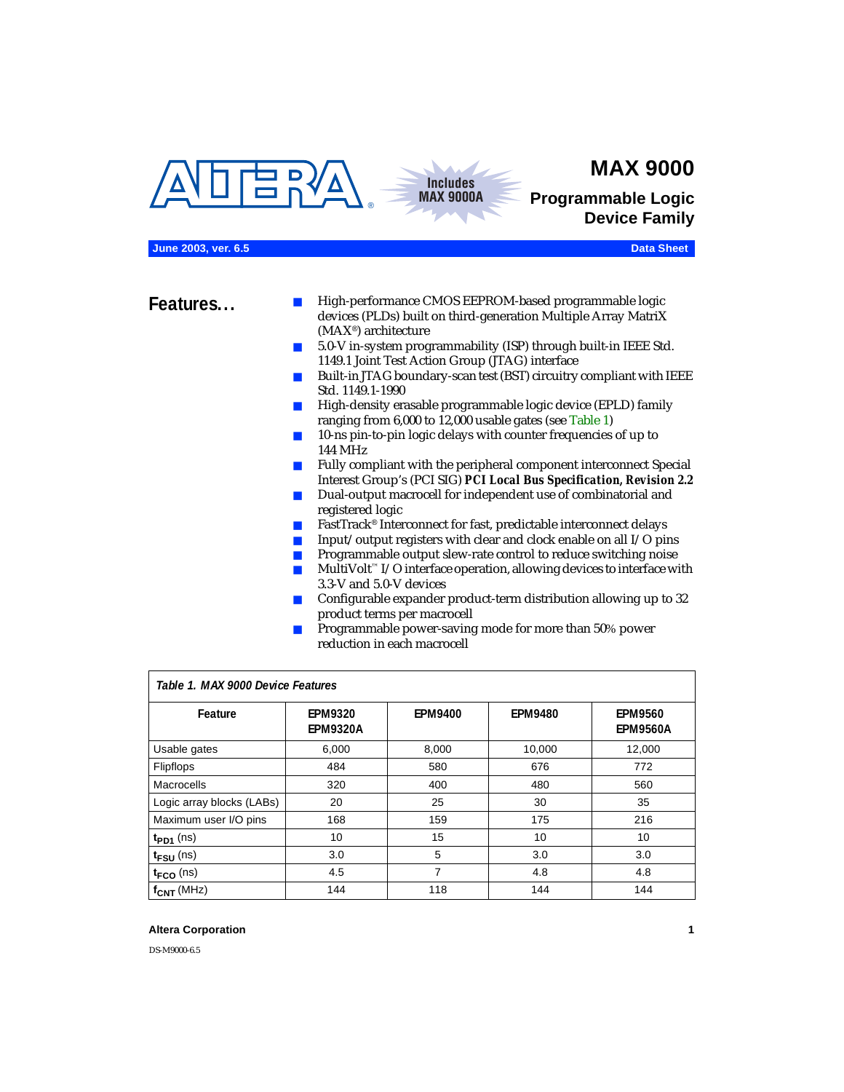<span id="page-0-1"></span>



**MAX 9000**

**Programmable Logic Device Family**

### **June 2003, ver. 6.5 Data Sheet**

- **Features...** High-performance CMOS EEPROM-based programmable logic devices (PLDs) built on third-generation Multiple Array MatriX (MAX®) architecture
	- 5.0-V in-system programmability (ISP) through built-in IEEE Std. 1149.1 Joint Test Action Group (JTAG) interface
	- Built-in JTAG boundary-scan test (BST) circuitry compliant with IEEE Std. 1149.1-1990
	- High-density erasable programmable logic device (EPLD) family ranging from 6,000 to 12,000 usable gates (see [Table 1\)](#page-0-0)
	- 10-ns pin-to-pin logic delays with counter frequencies of up to 144 MHz
	- Fully compliant with the peripheral component interconnect Special Interest Group's (PCI SIG) *PCI Local Bus Specification, Revision 2.2*
	- Dual-output macrocell for independent use of combinatorial and registered logic
	- FastTrack<sup>®</sup> Interconnect for fast, predictable interconnect delays
	- $\blacksquare$  Input/output registers with clear and clock enable on all I/O pins
	- Programmable output slew-rate control to reduce switching noise
	- $Multivolt <sup>$\infty$</sup>  I/O interface operation, allowing devices to interface with$ 3.3-V and 5.0-V devices
	- Configurable expander product-term distribution allowing up to 32 product terms per macrocell
	- Programmable power-saving mode for more than 50% power reduction in each macrocell

<span id="page-0-0"></span>

| Table 1. MAX 9000 Device Features |                                   |                |                |                                   |  |  |
|-----------------------------------|-----------------------------------|----------------|----------------|-----------------------------------|--|--|
| Feature                           | <b>EPM9320</b><br><b>EPM9320A</b> | <b>EPM9400</b> | <b>EPM9480</b> | <b>EPM9560</b><br><b>EPM9560A</b> |  |  |
| Usable gates                      | 6,000                             | 8,000          | 10,000         | 12,000                            |  |  |
| <b>Flipflops</b>                  | 484                               | 580            | 676            | 772                               |  |  |
| Macrocells                        | 320                               | 400            | 480            | 560                               |  |  |
| Logic array blocks (LABs)         | 20                                | 25             | 30             | 35                                |  |  |
| Maximum user I/O pins             | 168                               | 159            | 175            | 216                               |  |  |
| $t_{PD1}$ (ns)                    | 10                                | 15             | 10             | 10                                |  |  |
| $t_{\text{FSU}}$ (ns)             | 3.0                               | 5              | 3.0            | 3.0                               |  |  |
| $t_{FCO}$ (ns)                    | 4.5                               | 7              | 4.8            | 4.8                               |  |  |
| $f_{\text{CNT}}$ (MHz)            | 144                               | 118            | 144            | 144                               |  |  |

### **Altera Corporation 1**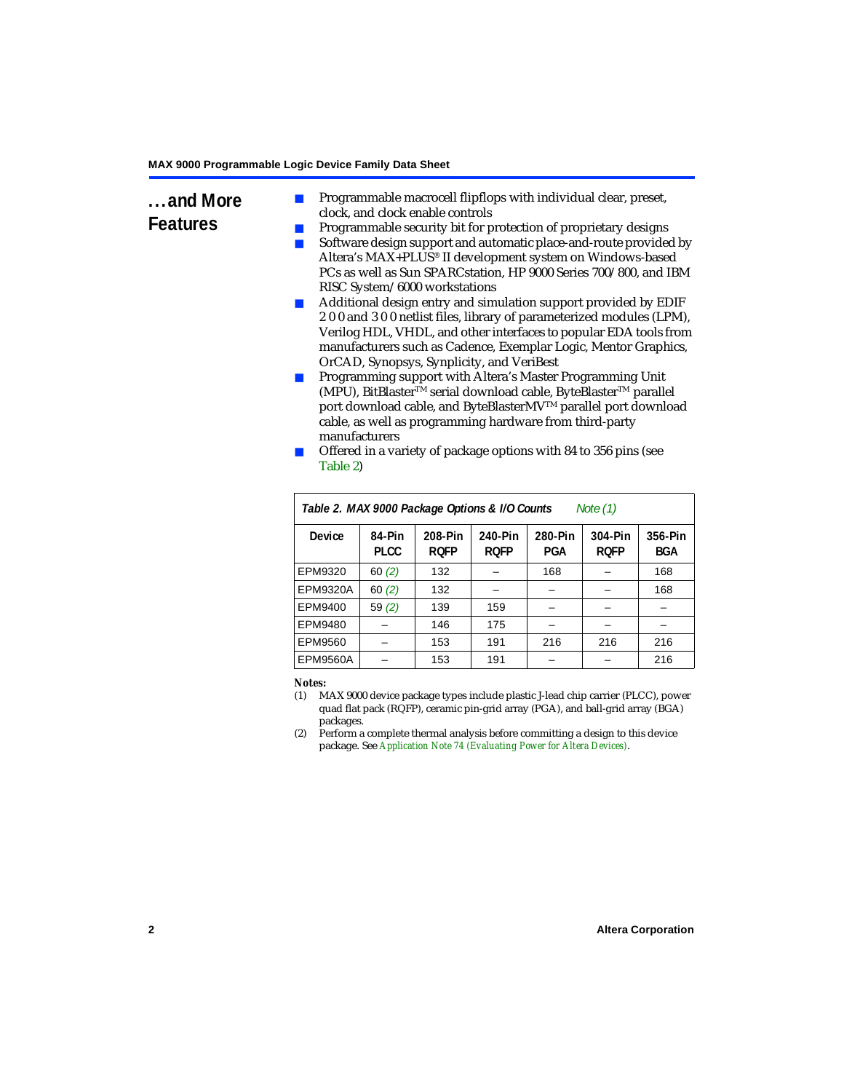- **...and More Features** Programmable macrocell flipflops with individual clear, preset, clock, and clock enable controls
	- Programmable security bit for protection of proprietary designs
	- Software design support and automatic place-and-route provided by Altera's MAX+PLUS® II development system on Windows-based PCs as well as Sun SPARCstation, HP 9000 Series 700/800, and IBM RISC System/6000 workstations
	- Additional design entry and simulation support provided by EDIF 2 0 0 and 3 0 0 netlist files, library of parameterized modules (LPM), Verilog HDL, VHDL, and other interfaces to popular EDA tools from manufacturers such as Cadence, Exemplar Logic, Mentor Graphics, OrCAD, Synopsys, Synplicity, and VeriBest
	- Programming support with Altera's Master Programming Unit (MPU), BitBlaster™ serial download cable, ByteBlaster™ parallel port download cable, and ByteBlasterMV™ parallel port download cable, as well as programming hardware from third-party manufacturers
	- Offered in a variety of package options with 84 to 356 pins (see [Table 2](#page-1-0))

<span id="page-1-0"></span>

| Table 2. MAX 9000 Package Options & I/O Counts<br>Note (1) |                       |                        |                        |                |                        |                       |
|------------------------------------------------------------|-----------------------|------------------------|------------------------|----------------|------------------------|-----------------------|
| <b>Device</b>                                              | 84-Pin<br><b>PLCC</b> | 208-Pin<br><b>ROFP</b> | 240-Pin<br><b>ROFP</b> | 280-Pin<br>PGA | 304-Pin<br><b>ROFP</b> | 356-Pin<br><b>BGA</b> |
| EPM9320                                                    | 60(2)                 | 132                    |                        | 168            |                        | 168                   |
| <b>EPM9320A</b>                                            | 60(2)                 | 132                    |                        |                |                        | 168                   |
| EPM9400                                                    | 59(2)                 | 139                    | 159                    |                |                        |                       |
| EPM9480                                                    |                       | 146                    | 175                    |                |                        |                       |
| EPM9560                                                    |                       | 153                    | 191                    | 216            | 216                    | 216                   |
| EPM9560A                                                   |                       | 153                    | 191                    |                |                        | 216                   |

#### *Notes:*

- <span id="page-1-1"></span>(1) MAX 9000 device package types include plastic J-lead chip carrier (PLCC), power quad flat pack (RQFP), ceramic pin-grid array (PGA), and ball-grid array (BGA) packages.
- <span id="page-1-2"></span>(2) Perform a complete thermal analysis before committing a design to this device package. See *[Application Note 74 \(Evaluating Power for Altera Devices\)](#page-0-1)*.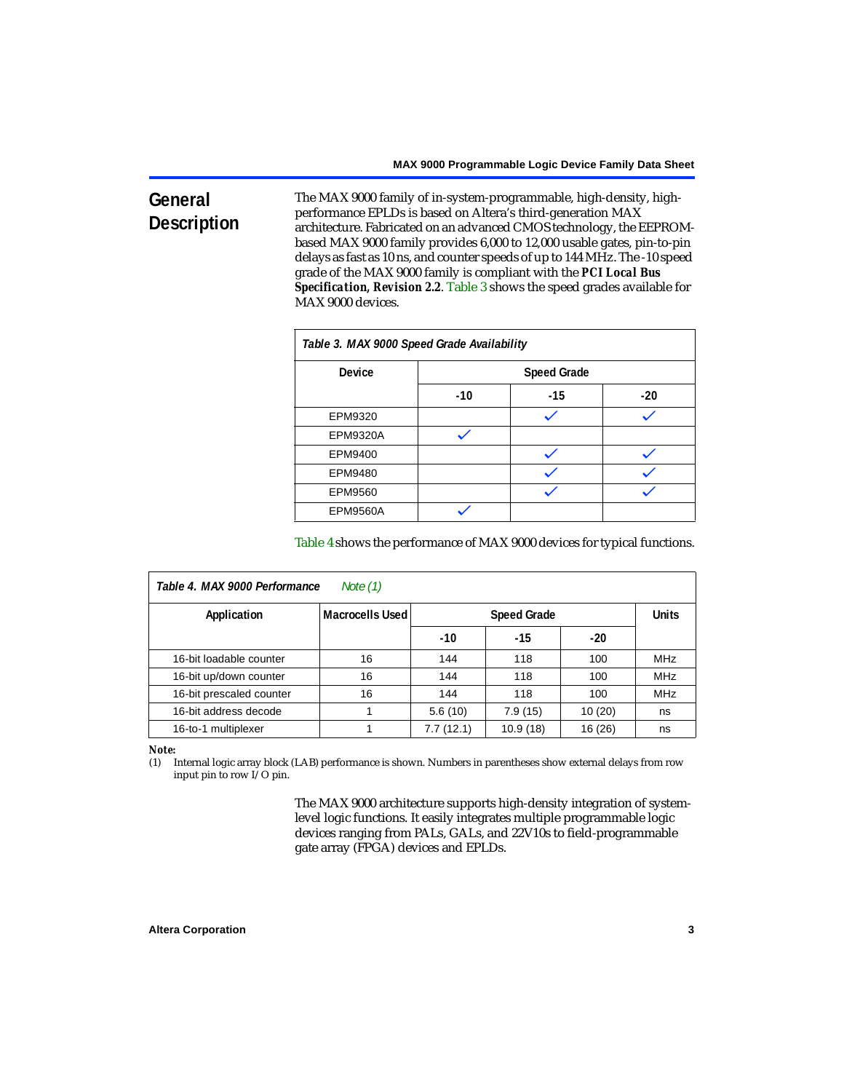# **General Description**

The MAX 9000 family of in-system-programmable, high-density, highperformance EPLDs is based on Altera's third-generation MAX architecture. Fabricated on an advanced CMOS technology, the EEPROMbased MAX 9000 family provides 6,000 to 12,000 usable gates, pin-to-pin delays as fast as 10 ns, and counter speeds of up to 144 MHz. The -10 speed grade of the MAX 9000 family is compliant with the *PCI Local Bus Specification, Revision 2.2*. [Table 3](#page-2-0) shows the speed grades available for MAX 9000 devices.

<span id="page-2-0"></span>

| Table 3. MAX 9000 Speed Grade Availability |       |                    |       |  |  |
|--------------------------------------------|-------|--------------------|-------|--|--|
| <b>Device</b>                              |       | <b>Speed Grade</b> |       |  |  |
|                                            | $-10$ | $-15$              | $-20$ |  |  |
| EPM9320                                    |       |                    |       |  |  |
| <b>EPM9320A</b>                            |       |                    |       |  |  |
| EPM9400                                    |       |                    |       |  |  |
| EPM9480                                    |       |                    |       |  |  |
| EPM9560                                    |       |                    |       |  |  |
| <b>EPM9560A</b>                            |       |                    |       |  |  |

[Table 4](#page-2-1) shows the performance of MAX 9000 devices for typical functions.

<span id="page-2-1"></span>

| Table 4. MAX 9000 Performance<br>Note $(1)$ |                        |                                    |          |         |            |  |
|---------------------------------------------|------------------------|------------------------------------|----------|---------|------------|--|
| Application                                 | <b>Macrocells Used</b> | <b>Units</b><br><b>Speed Grade</b> |          |         |            |  |
|                                             |                        | $-10$                              | $-15$    | $-20$   |            |  |
| 16-bit loadable counter                     | 16                     | 144                                | 118      | 100     | <b>MHz</b> |  |
| 16-bit up/down counter                      | 16                     | 144                                | 118      | 100     | <b>MHz</b> |  |
| 16-bit prescaled counter                    | 16                     | 144                                | 118      | 100     | <b>MHz</b> |  |
| 16-bit address decode                       |                        | 5.6(10)                            | 7.9(15)  | 10(20)  | ns         |  |
| 16-to-1 multiplexer                         |                        | 7.7(12.1)                          | 10.9(18) | 16 (26) | ns         |  |

### *Note:*

<span id="page-2-2"></span>(1) Internal logic array block (LAB) performance is shown. Numbers in parentheses show external delays from row input pin to row I/O pin.

> The MAX 9000 architecture supports high-density integration of systemlevel logic functions. It easily integrates multiple programmable logic devices ranging from PALs, GALs, and 22V10s to field-programmable gate array (FPGA) devices and EPLDs.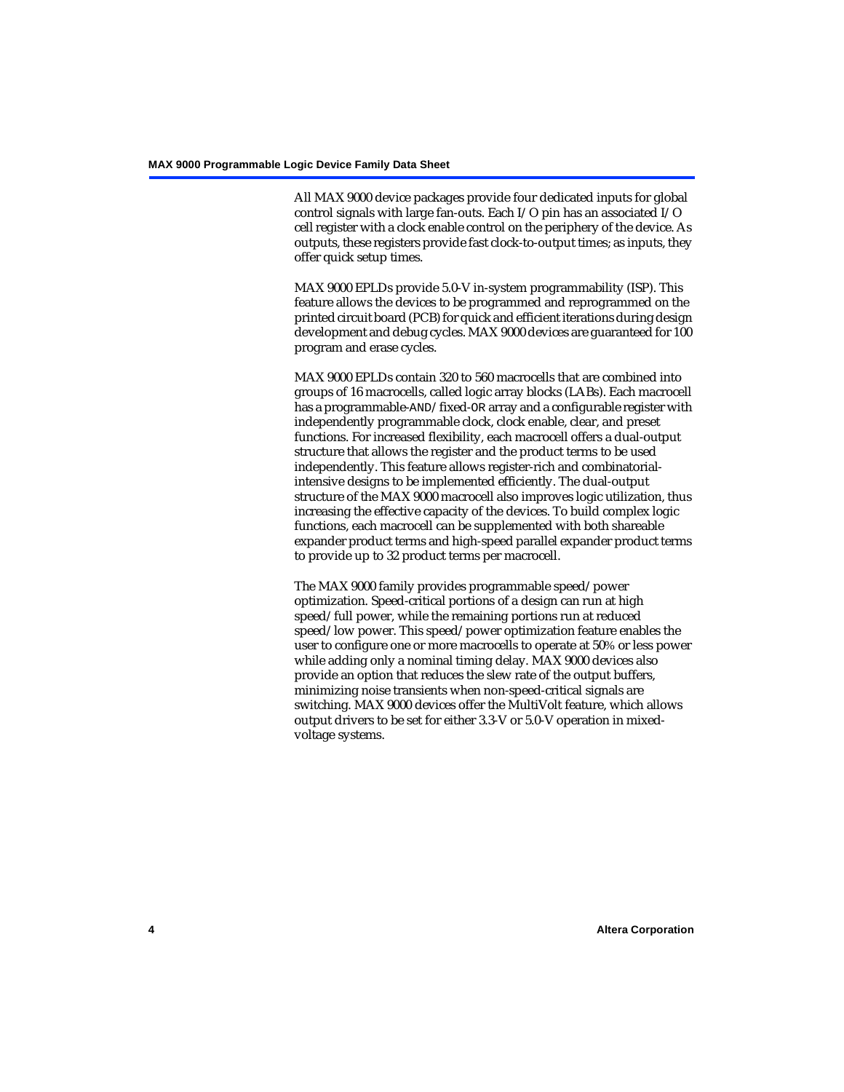All MAX 9000 device packages provide four dedicated inputs for global control signals with large fan-outs. Each I/O pin has an associated I/O cell register with a clock enable control on the periphery of the device. As outputs, these registers provide fast clock-to-output times; as inputs, they offer quick setup times.

MAX 9000 EPLDs provide 5.0-V in-system programmability (ISP). This feature allows the devices to be programmed and reprogrammed on the printed circuit board (PCB) for quick and efficient iterations during design development and debug cycles. MAX 9000 devices are guaranteed for 100 program and erase cycles.

MAX 9000 EPLDs contain 320 to 560 macrocells that are combined into groups of 16 macrocells, called logic array blocks (LABs). Each macrocell has a programmable-AND/fixed-OR array and a configurable register with independently programmable clock, clock enable, clear, and preset functions. For increased flexibility, each macrocell offers a dual-output structure that allows the register and the product terms to be used independently. This feature allows register-rich and combinatorialintensive designs to be implemented efficiently. The dual-output structure of the MAX 9000 macrocell also improves logic utilization, thus increasing the effective capacity of the devices. To build complex logic functions, each macrocell can be supplemented with both shareable expander product terms and high-speed parallel expander product terms to provide up to 32 product terms per macrocell.

The MAX 9000 family provides programmable speed/power optimization. Speed-critical portions of a design can run at high speed/full power, while the remaining portions run at reduced speed/low power. This speed/power optimization feature enables the user to configure one or more macrocells to operate at 50% or less power while adding only a nominal timing delay. MAX 9000 devices also provide an option that reduces the slew rate of the output buffers, minimizing noise transients when non-speed-critical signals are switching. MAX 9000 devices offer the MultiVolt feature, which allows output drivers to be set for either 3.3-V or 5.0-V operation in mixedvoltage systems.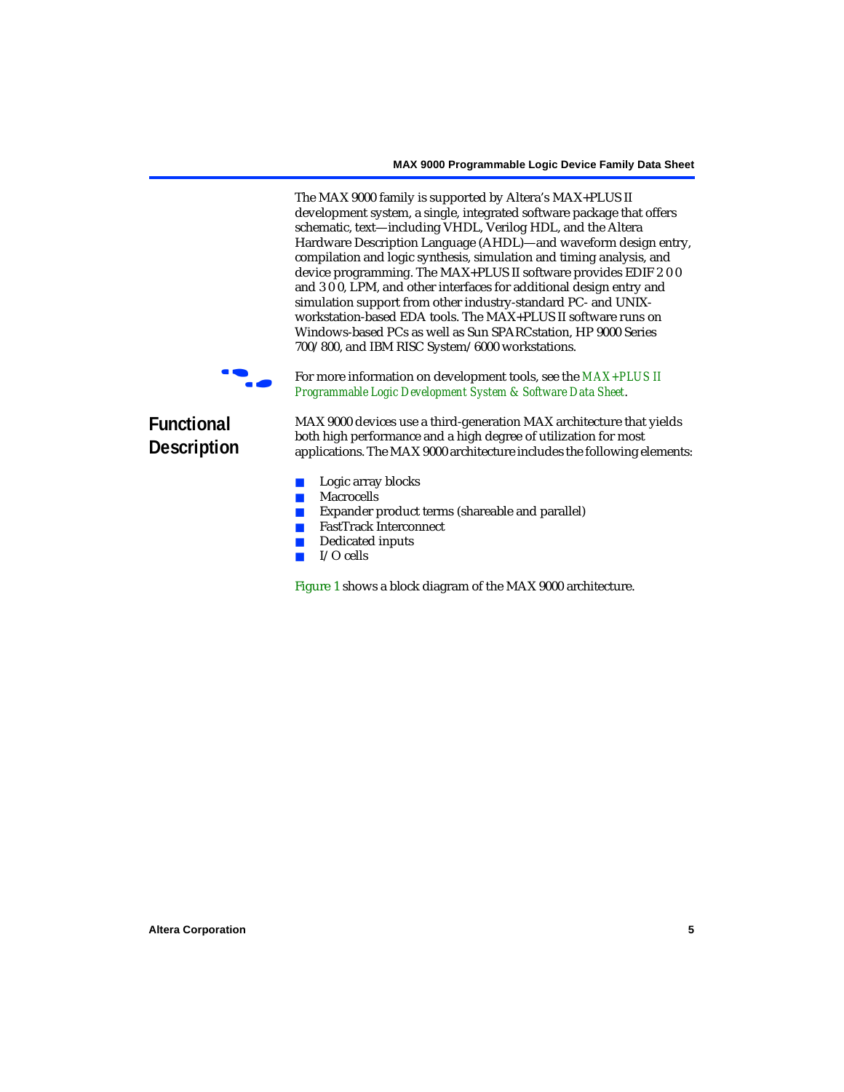The MAX 9000 family is supported by Altera's MAX+PLUS II development system, a single, integrated software package that offers schematic, text—including VHDL, Verilog HDL, and the Altera Hardware Description Language (AHDL)—and waveform design entry, compilation and logic synthesis, simulation and timing analysis, and device programming. The MAX+PLUS II software provides EDIF 2 0 0 and 3 0 0, LPM, and other interfaces for additional design entry and simulation support from other industry-standard PC- and UNIXworkstation-based EDA tools. The MAX+PLUS II software runs on Windows-based PCs as well as Sun SPARCstation, HP 9000 Series 700/800, and IBM RISC System/6000 workstations.

For more information on development tools, see the **MAX+PLUS II** *[Programmable Logic Development System & Software Data Sheet](#page-0-1)*.

# **Functional Description**

MAX 9000 devices use a third-generation MAX architecture that yields both high performance and a high degree of utilization for most applications. The MAX 9000 architecture includes the following elements:

- Logic array blocks
- Macrocells
- Expander product terms (shareable and parallel)
- FastTrack Interconnect
- Dedicated inputs
- I/O cells

[Figure 1](#page-5-0) shows a block diagram of the MAX 9000 architecture.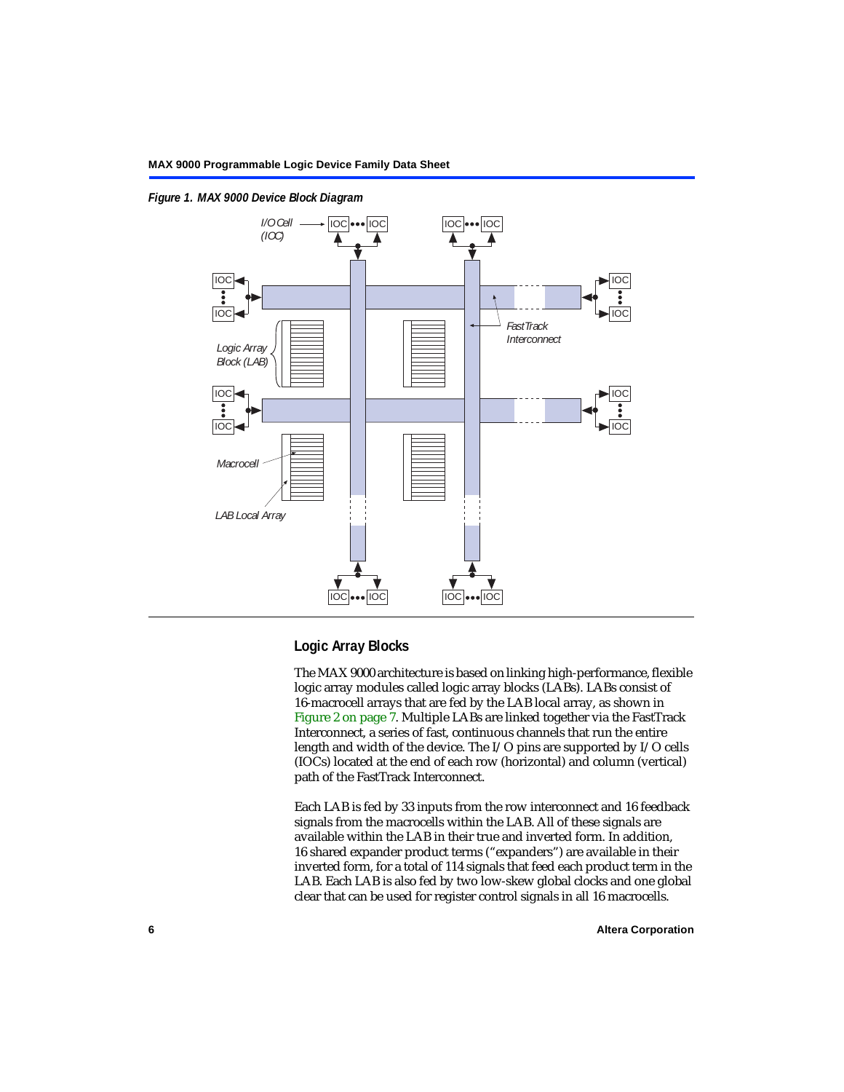

<span id="page-5-0"></span>*Figure 1. MAX 9000 Device Block Diagram*

# **Logic Array Blocks**

The MAX 9000 architecture is based on linking high-performance, flexible logic array modules called logic array blocks (LABs). LABs consist of 16-macrocell arrays that are fed by the LAB local array, as shown in [Figure 2 on page 7.](#page-6-0) Multiple LABs are linked together via the FastTrack Interconnect, a series of fast, continuous channels that run the entire length and width of the device. The I/O pins are supported by I/O cells (IOCs) located at the end of each row (horizontal) and column (vertical) path of the FastTrack Interconnect.

Each LAB is fed by 33 inputs from the row interconnect and 16 feedback signals from the macrocells within the LAB. All of these signals are available within the LAB in their true and inverted form. In addition, 16 shared expander product terms ("expanders") are available in their inverted form, for a total of 114 signals that feed each product term in the LAB. Each LAB is also fed by two low-skew global clocks and one global clear that can be used for register control signals in all 16 macrocells.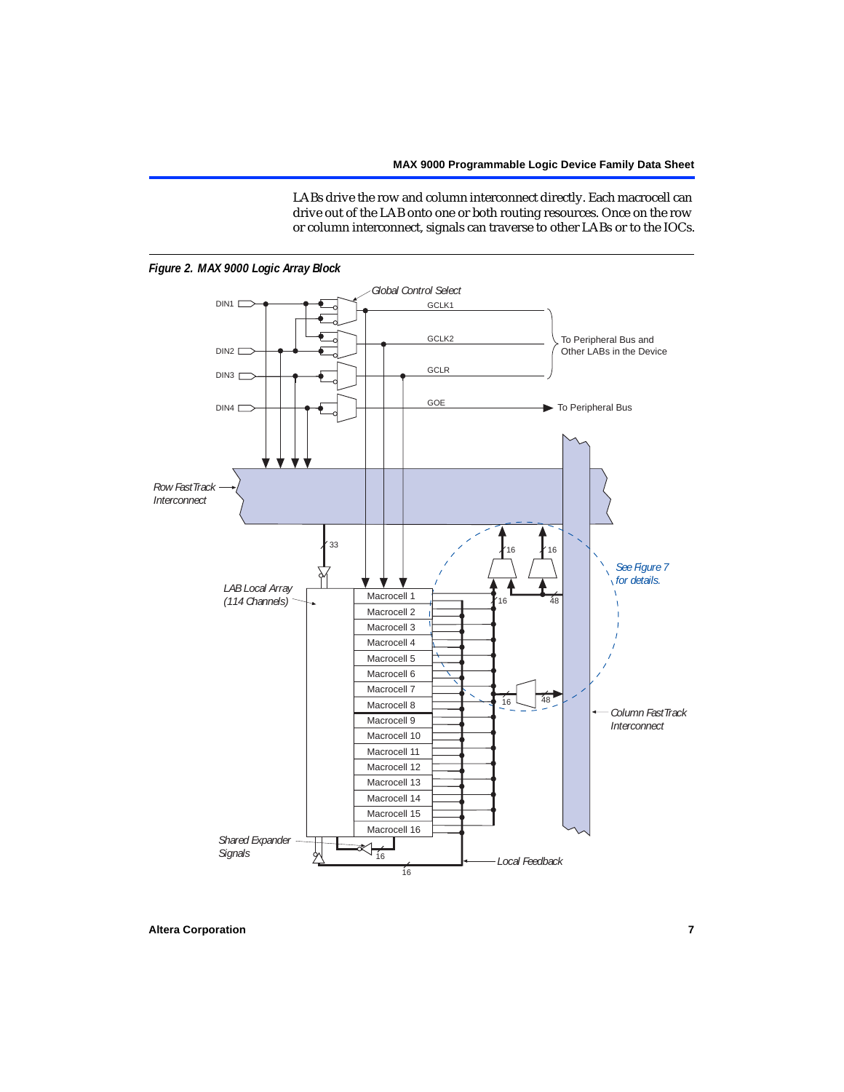LABs drive the row and column interconnect directly. Each macrocell can drive out of the LAB onto one or both routing resources. Once on the row or column interconnect, signals can traverse to other LABs or to the IOCs.



<span id="page-6-0"></span>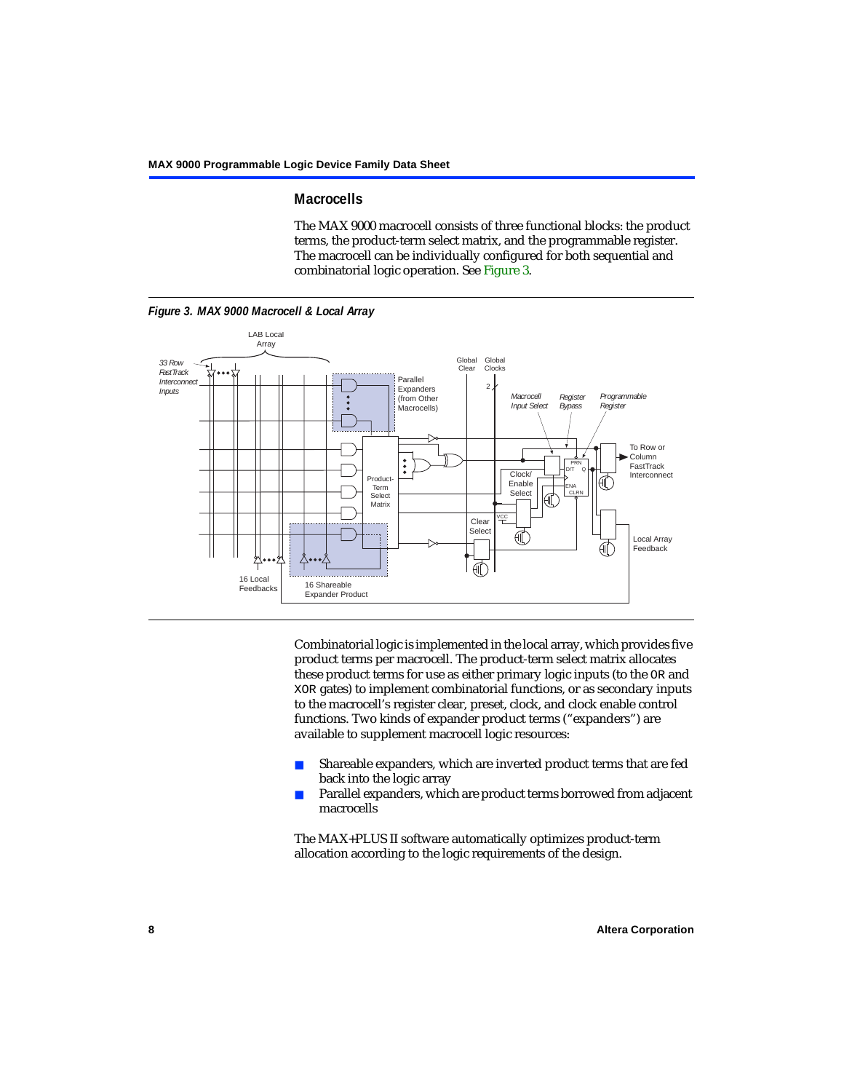### **Macrocells**

The MAX 9000 macrocell consists of three functional blocks: the product terms, the product-term select matrix, and the programmable register. The macrocell can be individually configured for both sequential and combinatorial logic operation. See [Figure 3](#page-7-0).

<span id="page-7-0"></span>

Combinatorial logic is implemented in the local array, which provides five product terms per macrocell. The product-term select matrix allocates these product terms for use as either primary logic inputs (to the OR and XOR gates) to implement combinatorial functions, or as secondary inputs to the macrocell's register clear, preset, clock, and clock enable control functions. Two kinds of expander product terms ("expanders") are available to supplement macrocell logic resources:

- Shareable expanders, which are inverted product terms that are fed back into the logic array
- Parallel expanders, which are product terms borrowed from adjacent macrocells

The MAX+PLUS II software automatically optimizes product-term allocation according to the logic requirements of the design.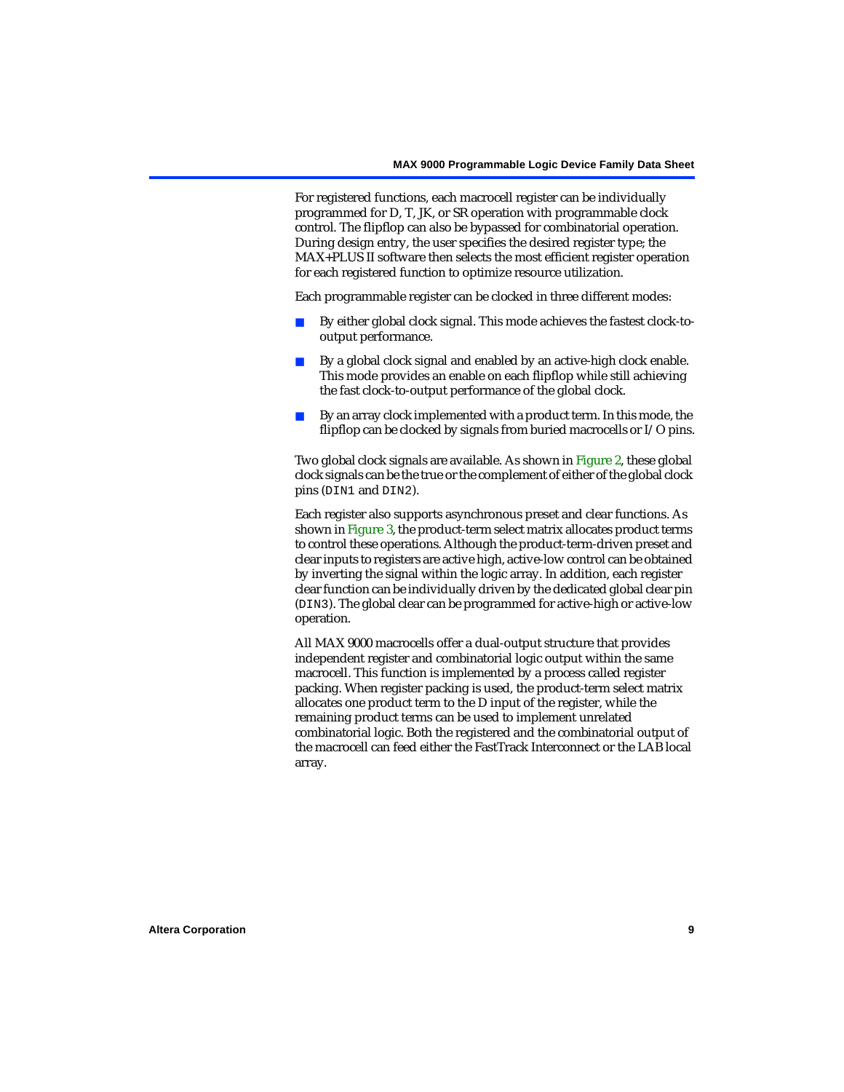For registered functions, each macrocell register can be individually programmed for D, T, JK, or SR operation with programmable clock control. The flipflop can also be bypassed for combinatorial operation. During design entry, the user specifies the desired register type; the MAX+PLUS II software then selects the most efficient register operation for each registered function to optimize resource utilization.

Each programmable register can be clocked in three different modes:

- By either global clock signal. This mode achieves the fastest clock-tooutput performance.
- By a global clock signal and enabled by an active-high clock enable. This mode provides an enable on each flipflop while still achieving the fast clock-to-output performance of the global clock.
- By an array clock implemented with a product term. In this mode, the flipflop can be clocked by signals from buried macrocells or I/O pins.

Two global clock signals are available. As shown in [Figure 2](#page-6-0), these global clock signals can be the true or the complement of either of the global clock pins (DIN1 and DIN2).

Each register also supports asynchronous preset and clear functions. As shown in [Figure 3,](#page-7-0) the product-term select matrix allocates product terms to control these operations. Although the product-term-driven preset and clear inputs to registers are active high, active-low control can be obtained by inverting the signal within the logic array. In addition, each register clear function can be individually driven by the dedicated global clear pin (DIN3). The global clear can be programmed for active-high or active-low operation.

All MAX 9000 macrocells offer a dual-output structure that provides independent register and combinatorial logic output within the same macrocell. This function is implemented by a process called register packing. When register packing is used, the product-term select matrix allocates one product term to the D input of the register, while the remaining product terms can be used to implement unrelated combinatorial logic. Both the registered and the combinatorial output of the macrocell can feed either the FastTrack Interconnect or the LAB local array.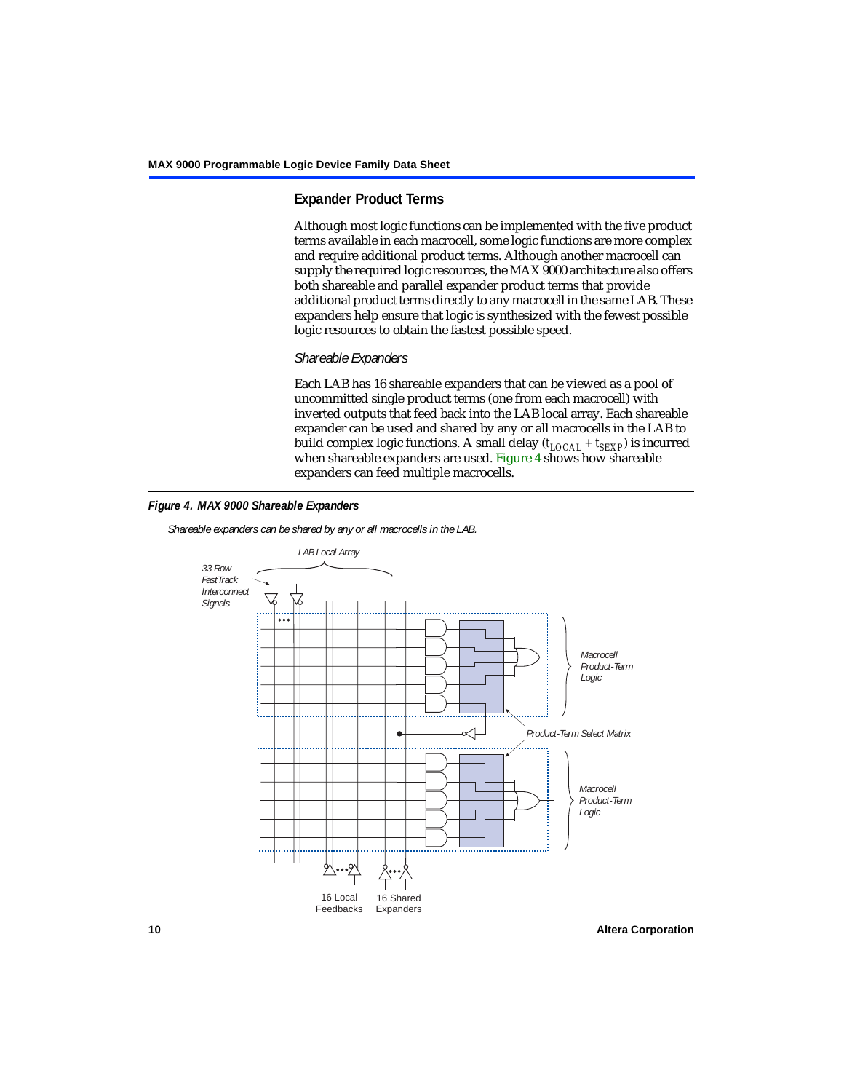# **Expander Product Terms**

Although most logic functions can be implemented with the five product terms available in each macrocell, some logic functions are more complex and require additional product terms. Although another macrocell can supply the required logic resources, the MAX 9000 architecture also offers both shareable and parallel expander product terms that provide additional product terms directly to any macrocell in the same LAB. These expanders help ensure that logic is synthesized with the fewest possible logic resources to obtain the fastest possible speed.

### *Shareable Expanders*

Each LAB has 16 shareable expanders that can be viewed as a pool of uncommitted single product terms (one from each macrocell) with inverted outputs that feed back into the LAB local array. Each shareable expander can be used and shared by any or all macrocells in the LAB to build complex logic functions. A small delay ( $t_{LOCAL} + t_{SEXP}$ ) is incurred when shareable expanders are used. [Figure 4](#page-9-0) shows how shareable expanders can feed multiple macrocells.

<span id="page-9-0"></span>

*Shareable expanders can be shared by any or all macrocells in the LAB.*



**10 Altera Corporation**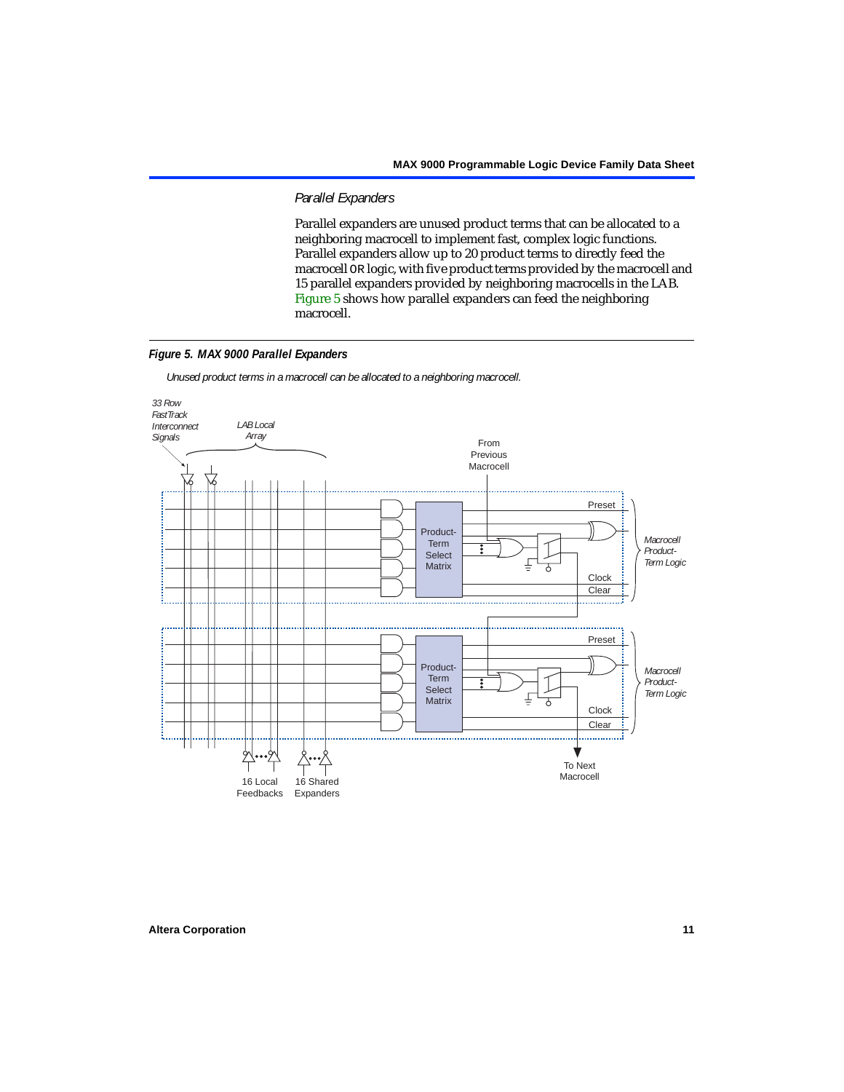### *Parallel Expanders*

Parallel expanders are unused product terms that can be allocated to a neighboring macrocell to implement fast, complex logic functions. Parallel expanders allow up to 20 product terms to directly feed the macrocell OR logic, with five product terms provided by the macrocell and 15 parallel expanders provided by neighboring macrocells in the LAB. [Figure 5](#page-10-0) shows how parallel expanders can feed the neighboring macrocell.

### <span id="page-10-0"></span>*Figure 5. MAX 9000 Parallel Expanders*

*Unused product terms in a macrocell can be allocated to a neighboring macrocell.*

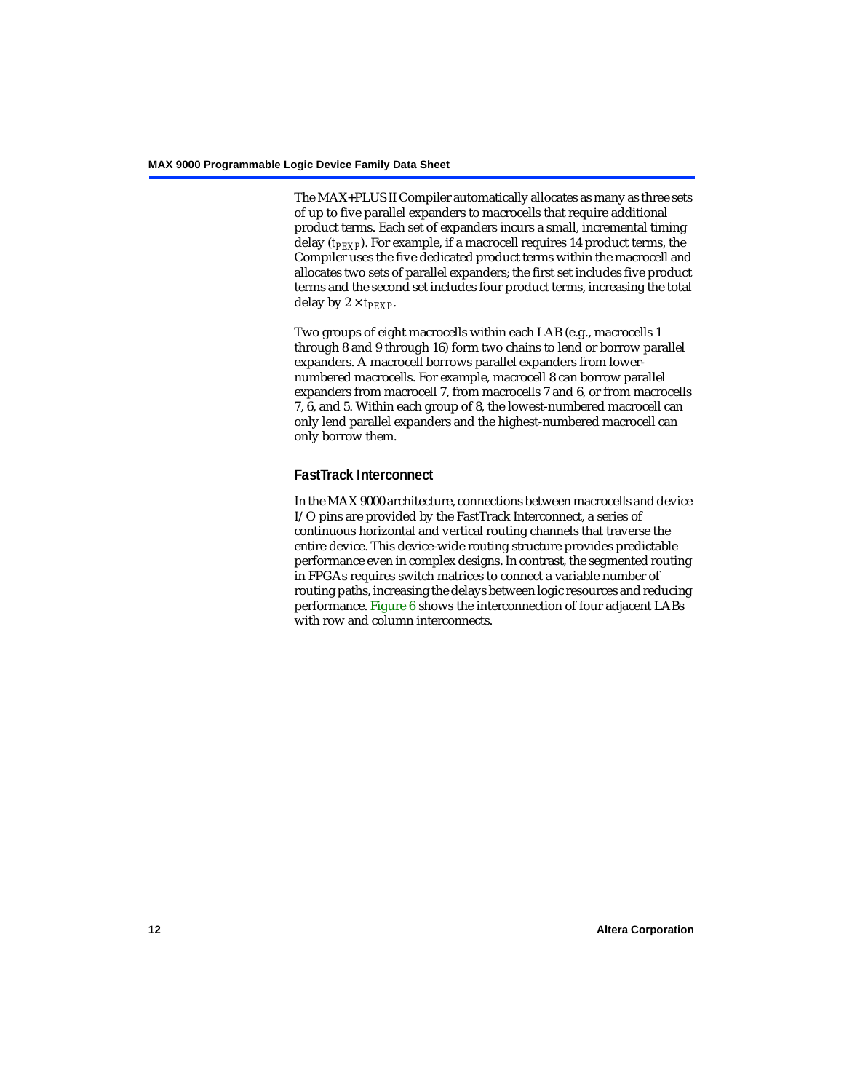The MAX+PLUS II Compiler automatically allocates as many as three sets of up to five parallel expanders to macrocells that require additional product terms. Each set of expanders incurs a small, incremental timing delay (*t<sub>PEXP</sub>*). For example, if a macrocell requires 14 product terms, the Compiler uses the five dedicated product terms within the macrocell and allocates two sets of parallel expanders; the first set includes five product terms and the second set includes four product terms, increasing the total delay by  $2 \times t_{PEXP}$ .

Two groups of eight macrocells within each LAB (e.g., macrocells 1 through 8 and 9 through 16) form two chains to lend or borrow parallel expanders. A macrocell borrows parallel expanders from lowernumbered macrocells. For example, macrocell 8 can borrow parallel expanders from macrocell 7, from macrocells 7 and 6, or from macrocells 7, 6, and 5. Within each group of 8, the lowest-numbered macrocell can only lend parallel expanders and the highest-numbered macrocell can only borrow them.

# **FastTrack Interconnect**

In the MAX 9000 architecture, connections between macrocells and device I/O pins are provided by the FastTrack Interconnect, a series of continuous horizontal and vertical routing channels that traverse the entire device. This device-wide routing structure provides predictable performance even in complex designs. In contrast, the segmented routing in FPGAs requires switch matrices to connect a variable number of routing paths, increasing the delays between logic resources and reducing performance. [Figure 6](#page-12-0) shows the interconnection of four adjacent LABs with row and column interconnects.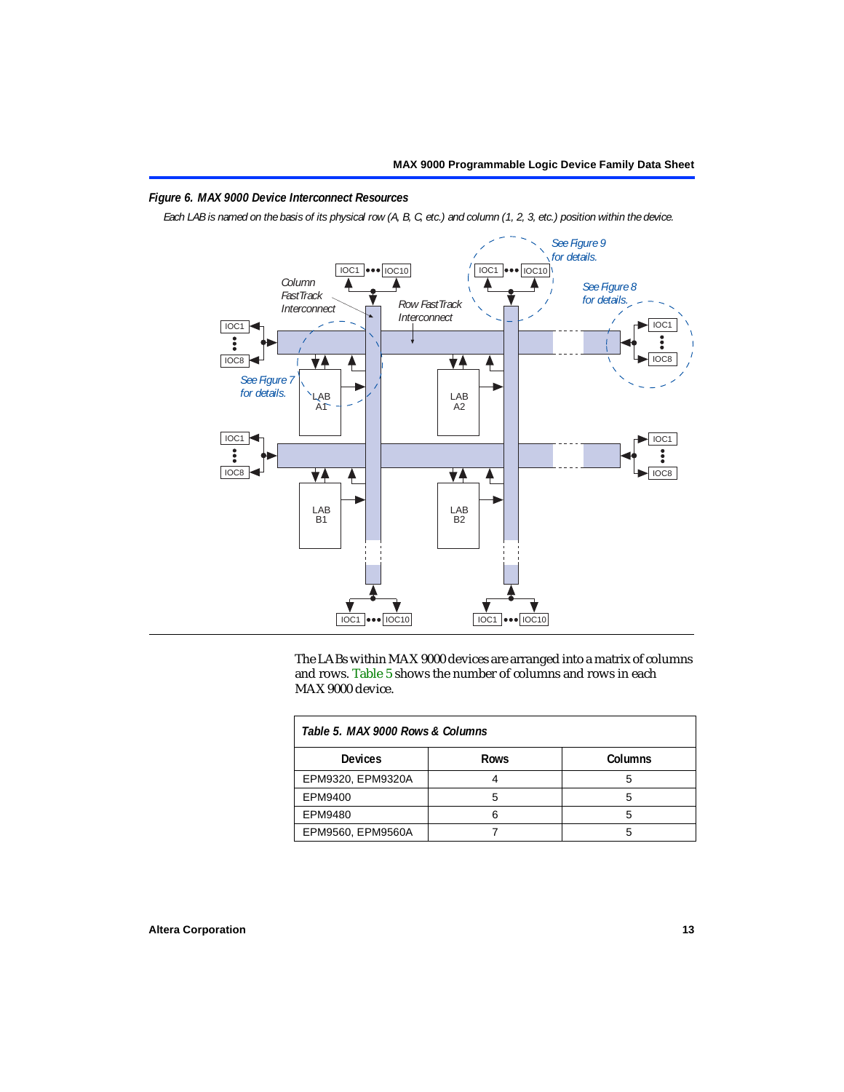### <span id="page-12-0"></span>*Figure 6. MAX 9000 Device Interconnect Resources*

*Each LAB is named on the basis of its physical row (A, B, C, etc.) and column (1, 2, 3, etc.) position within the device.*



The LABs within MAX 9000 devices are arranged into a matrix of columns and rows. [Table 5](#page-12-1) shows the number of columns and rows in each MAX 9000 device.

<span id="page-12-1"></span>

| Table 5, MAX 9000 Rows & Columns |             |         |  |  |  |
|----------------------------------|-------------|---------|--|--|--|
| <b>Devices</b>                   | <b>Rows</b> | Columns |  |  |  |
| EPM9320, EPM9320A                |             |         |  |  |  |
| EPM9400                          |             | h       |  |  |  |
| EPM9480                          |             |         |  |  |  |
| EPM9560, EPM9560A                |             |         |  |  |  |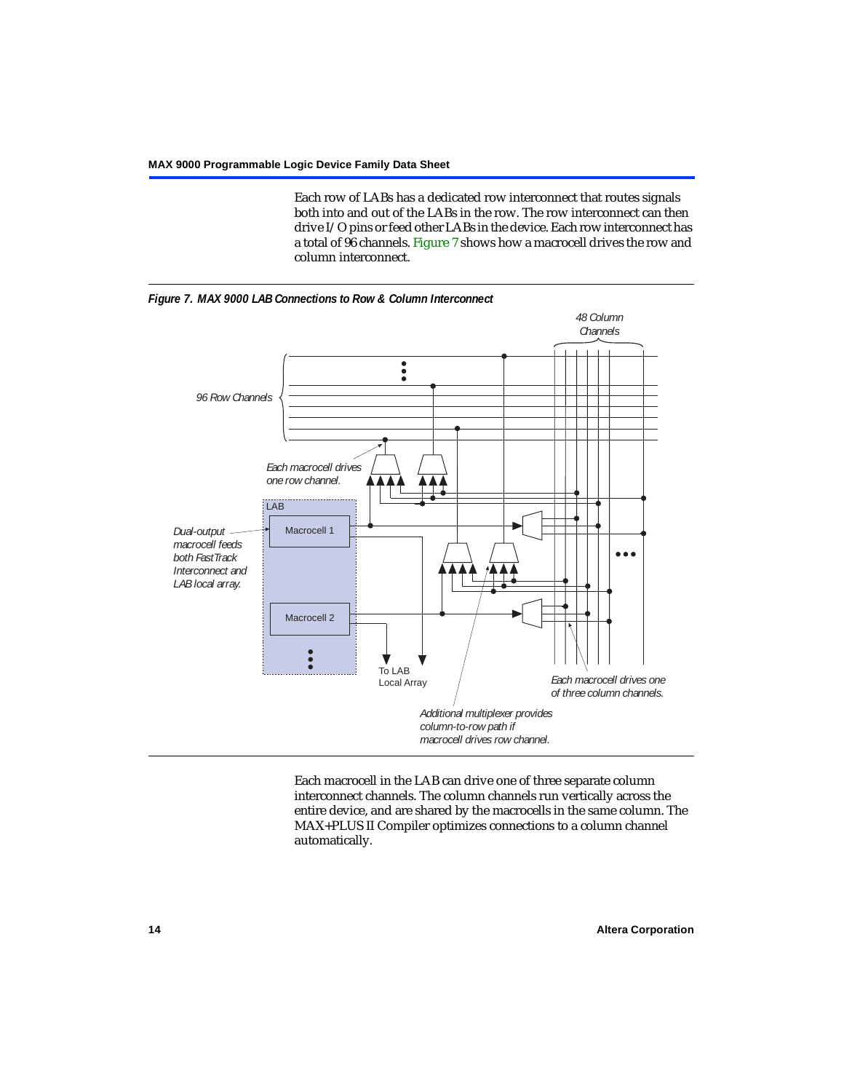Each row of LABs has a dedicated row interconnect that routes signals both into and out of the LABs in the row. The row interconnect can then drive I/O pins or feed other LABs in the device. Each row interconnect has a total of 96 channels. [Figure 7](#page-13-0) shows how a macrocell drives the row and column interconnect.

<span id="page-13-0"></span>



Each macrocell in the LAB can drive one of three separate column interconnect channels. The column channels run vertically across the entire device, and are shared by the macrocells in the same column. The MAX+PLUS II Compiler optimizes connections to a column channel automatically.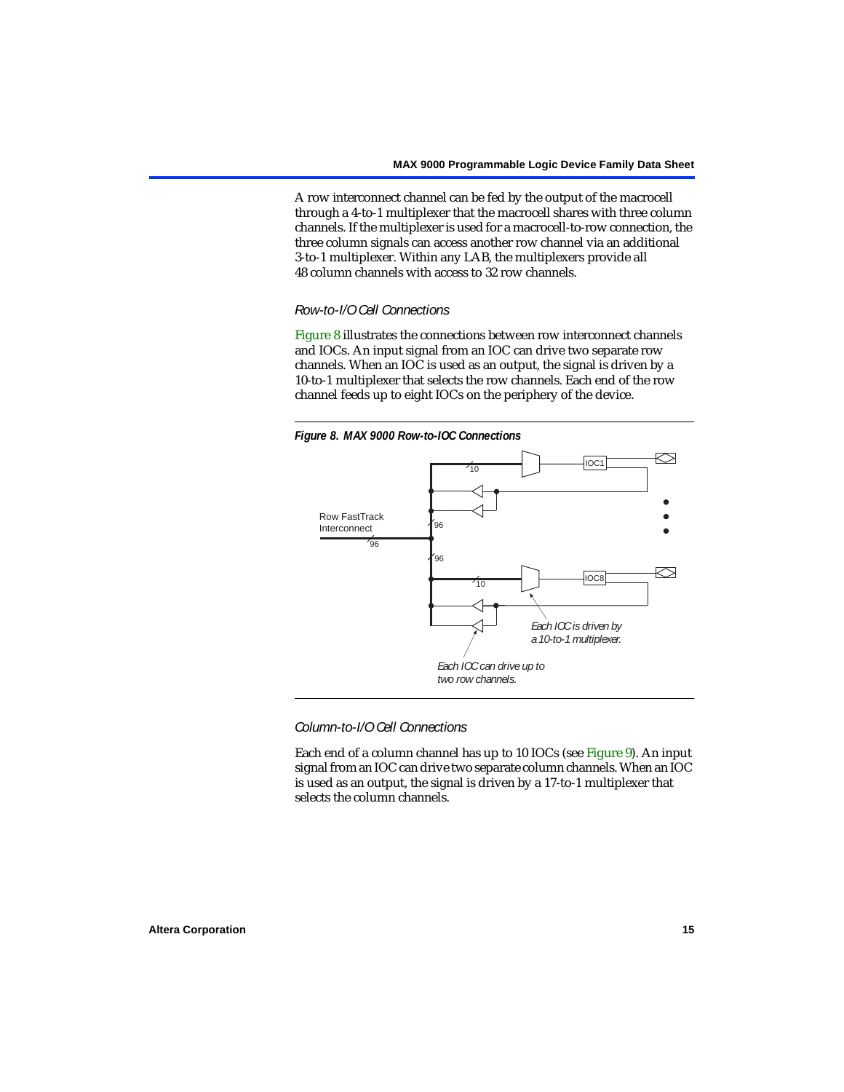A row interconnect channel can be fed by the output of the macrocell through a 4-to-1 multiplexer that the macrocell shares with three column channels. If the multiplexer is used for a macrocell-to-row connection, the three column signals can access another row channel via an additional 3-to-1 multiplexer. Within any LAB, the multiplexers provide all 48 column channels with access to 32 row channels.

### *Row-to-I/O Cell Connections*

[Figure 8](#page-14-0) illustrates the connections between row interconnect channels and IOCs. An input signal from an IOC can drive two separate row channels. When an IOC is used as an output, the signal is driven by a 10-to-1 multiplexer that selects the row channels. Each end of the row channel feeds up to eight IOCs on the periphery of the device.

<span id="page-14-0"></span>

*Column-to-I/O Cell Connections*

Each end of a column channel has up to 10 IOCs (see [Figure 9](#page-15-0)). An input signal from an IOC can drive two separate column channels. When an IOC is used as an output, the signal is driven by a 17-to-1 multiplexer that selects the column channels.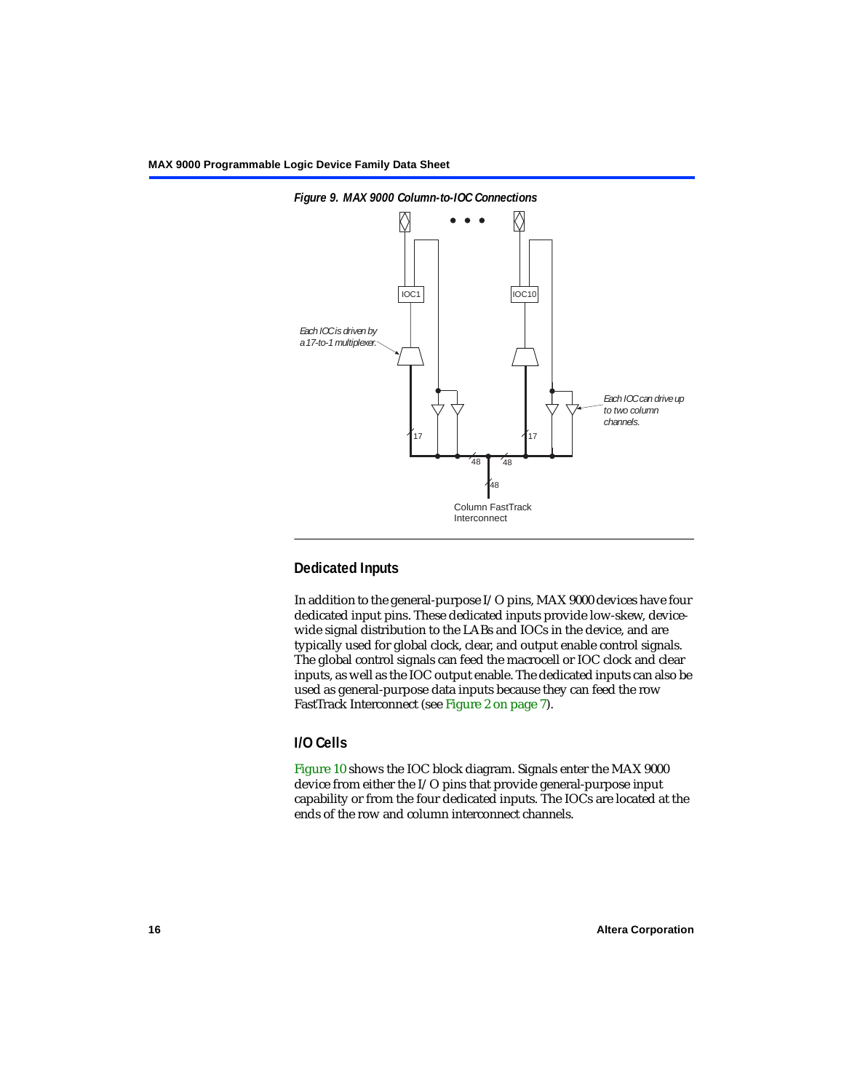

<span id="page-15-0"></span>

### **Dedicated Inputs**

In addition to the general-purpose I/O pins, MAX 9000 devices have four dedicated input pins. These dedicated inputs provide low-skew, devicewide signal distribution to the LABs and IOCs in the device, and are typically used for global clock, clear, and output enable control signals. The global control signals can feed the macrocell or IOC clock and clear inputs, as well as the IOC output enable. The dedicated inputs can also be used as general-purpose data inputs because they can feed the row FastTrack Interconnect (see [Figure 2 on page 7](#page-6-0)).

## **I/O Cells**

[Figure 10](#page-16-0) shows the IOC block diagram. Signals enter the MAX 9000 device from either the I/O pins that provide general-purpose input capability or from the four dedicated inputs. The IOCs are located at the ends of the row and column interconnect channels.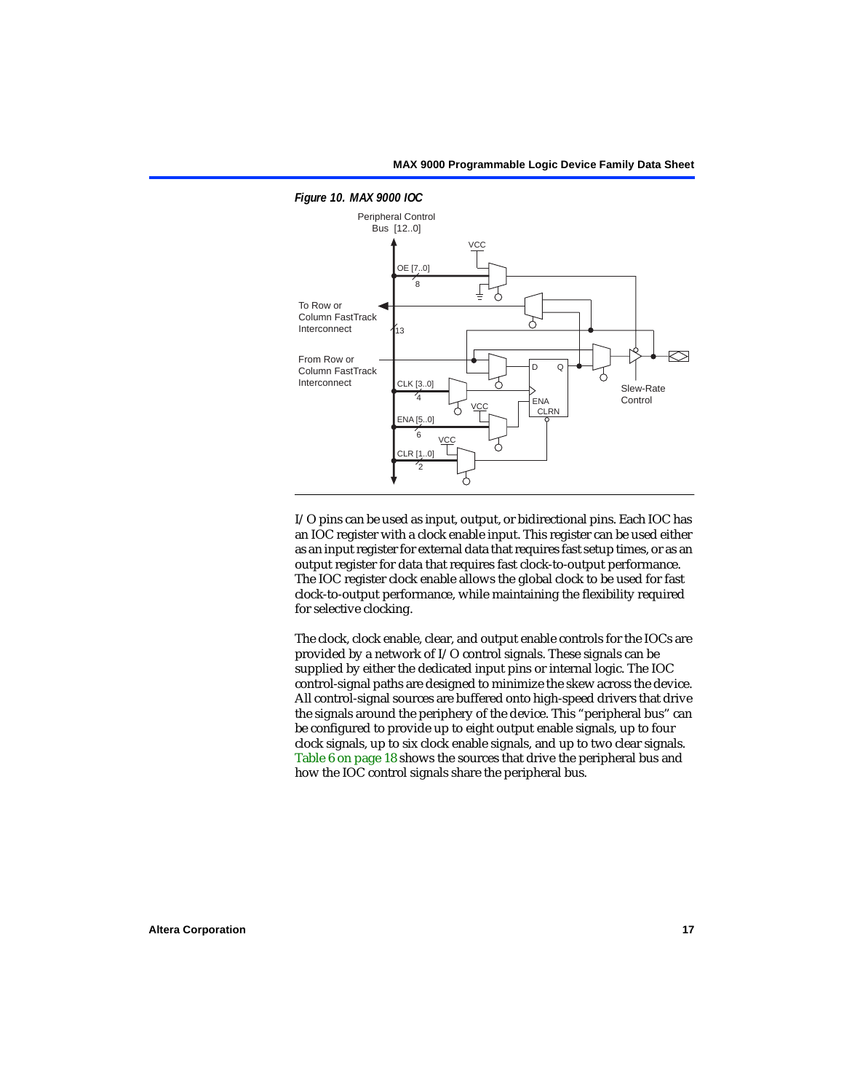

<span id="page-16-0"></span>*Figure 10. MAX 9000 IOC*

I/O pins can be used as input, output, or bidirectional pins. Each IOC has an IOC register with a clock enable input. This register can be used either as an input register for external data that requires fast setup times, or as an output register for data that requires fast clock-to-output performance. The IOC register clock enable allows the global clock to be used for fast clock-to-output performance, while maintaining the flexibility required for selective clocking.

The clock, clock enable, clear, and output enable controls for the IOCs are provided by a network of I/O control signals. These signals can be supplied by either the dedicated input pins or internal logic. The IOC control-signal paths are designed to minimize the skew across the device. All control-signal sources are buffered onto high-speed drivers that drive the signals around the periphery of the device. This "peripheral bus" can be configured to provide up to eight output enable signals, up to four clock signals, up to six clock enable signals, and up to two clear signals. [Table 6 on page 18](#page-17-0) shows the sources that drive the peripheral bus and how the IOC control signals share the peripheral bus.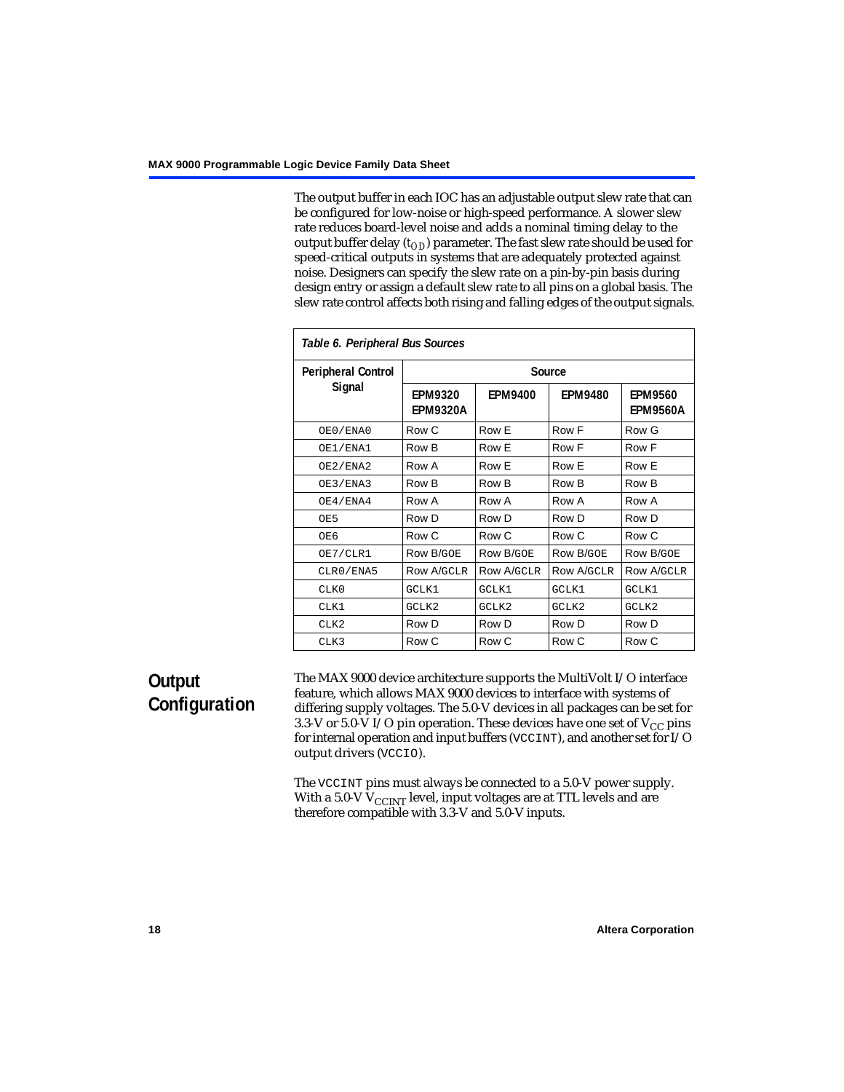The output buffer in each IOC has an adjustable output slew rate that can be configured for low-noise or high-speed performance. A slower slew rate reduces board-level noise and adds a nominal timing delay to the output buffer delay  $(t_{OD})$  parameter. The fast slew rate should be used for speed-critical outputs in systems that are adequately protected against noise. Designers can specify the slew rate on a pin-by-pin basis during design entry or assign a default slew rate to all pins on a global basis. The slew rate control affects both rising and falling edges of the output signals.

<span id="page-17-0"></span>

| Table 6. Peripheral Bus Sources |                                   |                   |                |                                   |  |
|---------------------------------|-----------------------------------|-------------------|----------------|-----------------------------------|--|
| <b>Peripheral Control</b>       |                                   |                   | Source         |                                   |  |
| Signal                          | <b>EPM9320</b><br><b>EPM9320A</b> | <b>EPM9400</b>    | <b>EPM9480</b> | <b>EPM9560</b><br><b>EPM9560A</b> |  |
| OE0/ENA0                        | Row C                             | Row E             | Row F          | Row G                             |  |
| OE1/ENA1                        | Row B                             | Row E             | Row F          | Row F                             |  |
| OE2/ENA2                        | Row A                             | Row E             | Row E          | Row E                             |  |
| OE3/ENA3                        | Row B                             | Row B             | Row B          | Row B                             |  |
| OE4/ENA4                        | Row A                             | Row A             | Row A          | Row A                             |  |
| OE5                             | Row D                             | Row D             | Row D          | Row D                             |  |
| OE6                             | Row C                             | Row C             | Row C          | Row C                             |  |
| OE7/CLR1                        | Row B/GOE                         | Row B/GOE         | Row B/GOE      | <b>Row B/GOE</b>                  |  |
| CLR0/ENA5                       | Row A/GCLR                        | <b>Row A/GCLR</b> | Row A/GCLR     | <b>Row A/GCLR</b>                 |  |
| CLKO                            | GCLK1                             | GCLK1             | GCLK1          | GCLK1                             |  |
| CLK1                            | GCLK2                             | GCLK2             | GCLK2          | GCLK2                             |  |
| CLK <sub>2</sub>                | Row D                             | Row D             | Row D          | Row D                             |  |
| CLK3                            | Row C                             | Row C             | Row C          | Row C                             |  |

# **Output Configuration**

The MAX 9000 device architecture supports the MultiVolt I/O interface feature, which allows MAX 9000 devices to interface with systems of differing supply voltages. The 5.0-V devices in all packages can be set for 3.3-V or 5.0-V I/O pin operation. These devices have one set of  $V_{CC}$  pins for internal operation and input buffers (VCCINT), and another set for I/O output drivers (VCCIO).

The VCCINT pins must always be connected to a 5.0-V power supply. With a 5.0-V  $V_{\rm CCINT}$  level, input voltages are at TTL levels and are therefore compatible with 3.3-V and 5.0-V inputs.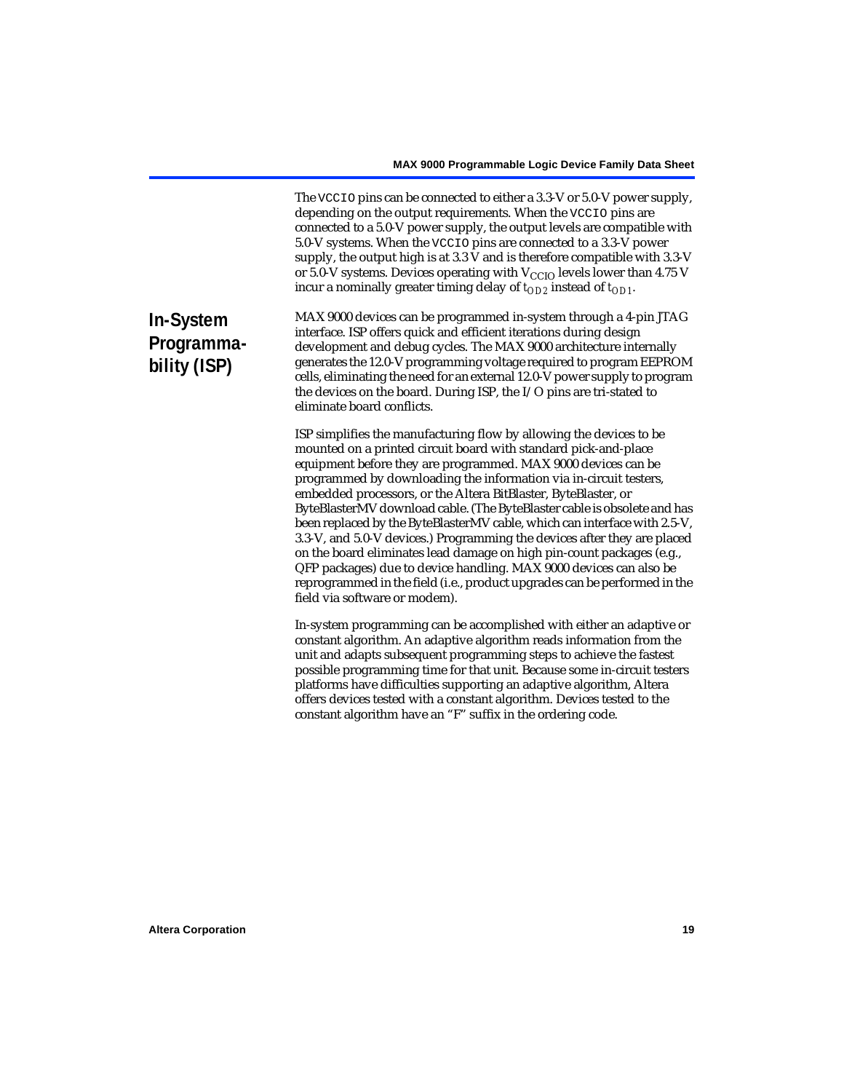The VCCIO pins can be connected to either a 3.3-V or 5.0-V power supply, depending on the output requirements. When the VCCIO pins are connected to a 5.0-V power supply, the output levels are compatible with 5.0-V systems. When the VCCIO pins are connected to a 3.3-V power supply, the output high is at 3.3 V and is therefore compatible with 3.3-V or 5.0-V systems. Devices operating with  $V_{\text{CCIO}}$  levels lower than 4.75 V incur a nominally greater timing delay of  $t_{OD2}$  instead of  $t_{OD1}$ .

# **In-System Programmability (ISP)**

MAX 9000 devices can be programmed in-system through a 4-pin JTAG interface. ISP offers quick and efficient iterations during design development and debug cycles. The MAX 9000 architecture internally generates the 12.0-V programming voltage required to program EEPROM cells, eliminating the need for an external 12.0-V power supply to program the devices on the board. During ISP, the I/O pins are tri-stated to eliminate board conflicts.

ISP simplifies the manufacturing flow by allowing the devices to be mounted on a printed circuit board with standard pick-and-place equipment before they are programmed. MAX 9000 devices can be programmed by downloading the information via in-circuit testers, embedded processors, or the Altera BitBlaster, ByteBlaster, or ByteBlasterMV download cable. (The ByteBlaster cable is obsolete and has been replaced by the ByteBlasterMV cable, which can interface with 2.5-V, 3.3-V, and 5.0-V devices.) Programming the devices after they are placed on the board eliminates lead damage on high pin-count packages (e.g., QFP packages) due to device handling. MAX 9000 devices can also be reprogrammed in the field (i.e., product upgrades can be performed in the field via software or modem).

In-system programming can be accomplished with either an adaptive or constant algorithm. An adaptive algorithm reads information from the unit and adapts subsequent programming steps to achieve the fastest possible programming time for that unit. Because some in-circuit testers platforms have difficulties supporting an adaptive algorithm, Altera offers devices tested with a constant algorithm. Devices tested to the constant algorithm have an "F" suffix in the ordering code.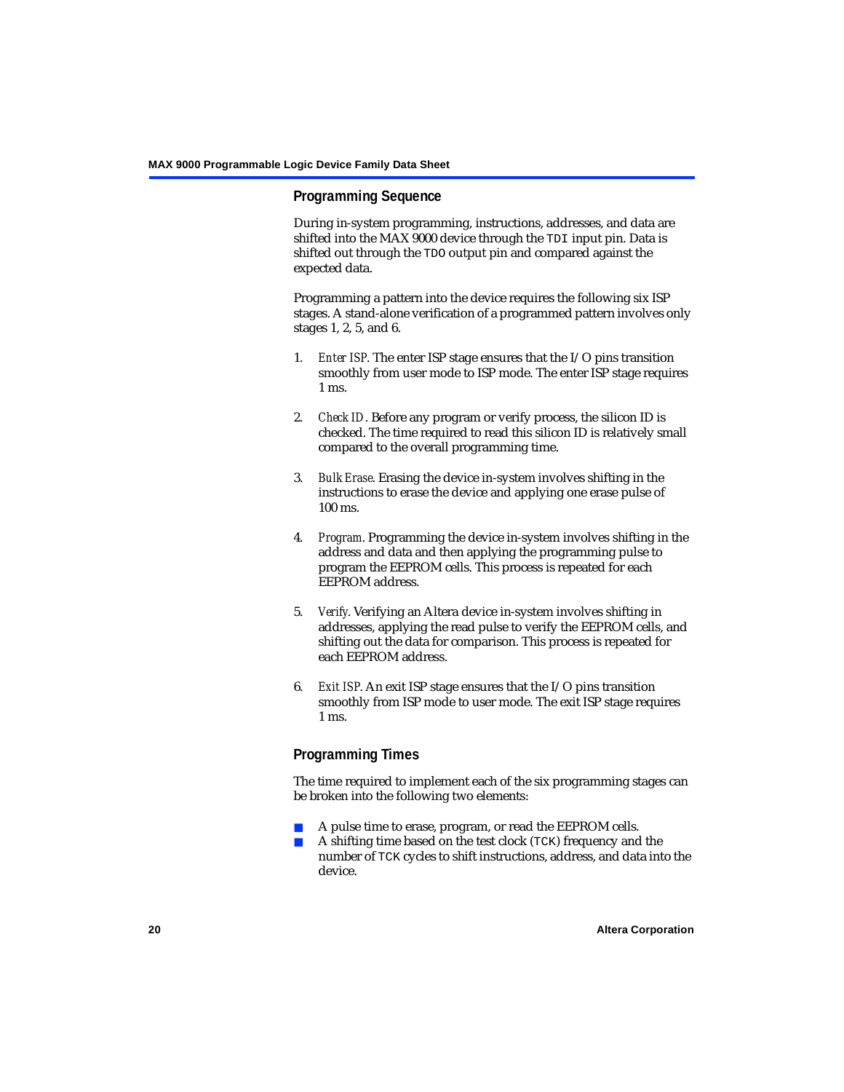# <span id="page-19-0"></span>**Programming Sequence**

During in-system programming, instructions, addresses, and data are shifted into the MAX 9000 device through the TDI input pin. Data is shifted out through the TDO output pin and compared against the expected data.

Programming a pattern into the device requires the following six ISP stages. A stand-alone verification of a programmed pattern involves only stages 1, 2, 5, and 6.

- 1. *Enter ISP*. The enter ISP stage ensures that the I/O pins transition smoothly from user mode to ISP mode. The enter ISP stage requires 1 ms.
- 2. *Check ID*. Before any program or verify process, the silicon ID is checked. The time required to read this silicon ID is relatively small compared to the overall programming time.
- 3. *Bulk Erase*. Erasing the device in-system involves shifting in the instructions to erase the device and applying one erase pulse of 100 ms.
- 4. *Program*. Programming the device in-system involves shifting in the address and data and then applying the programming pulse to program the EEPROM cells. This process is repeated for each EEPROM address.
- 5. *Verify*. Verifying an Altera device in-system involves shifting in addresses, applying the read pulse to verify the EEPROM cells, and shifting out the data for comparison. This process is repeated for each EEPROM address.
- 6. *Exit ISP*. An exit ISP stage ensures that the I/O pins transition smoothly from ISP mode to user mode. The exit ISP stage requires 1 ms.

# <span id="page-19-1"></span>**Programming Times**

The time required to implement each of the six programming stages can be broken into the following two elements:

- A pulse time to erase, program, or read the EEPROM cells.
- A shifting time based on the test clock (TCK) frequency and the number of TCK cycles to shift instructions, address, and data into the device.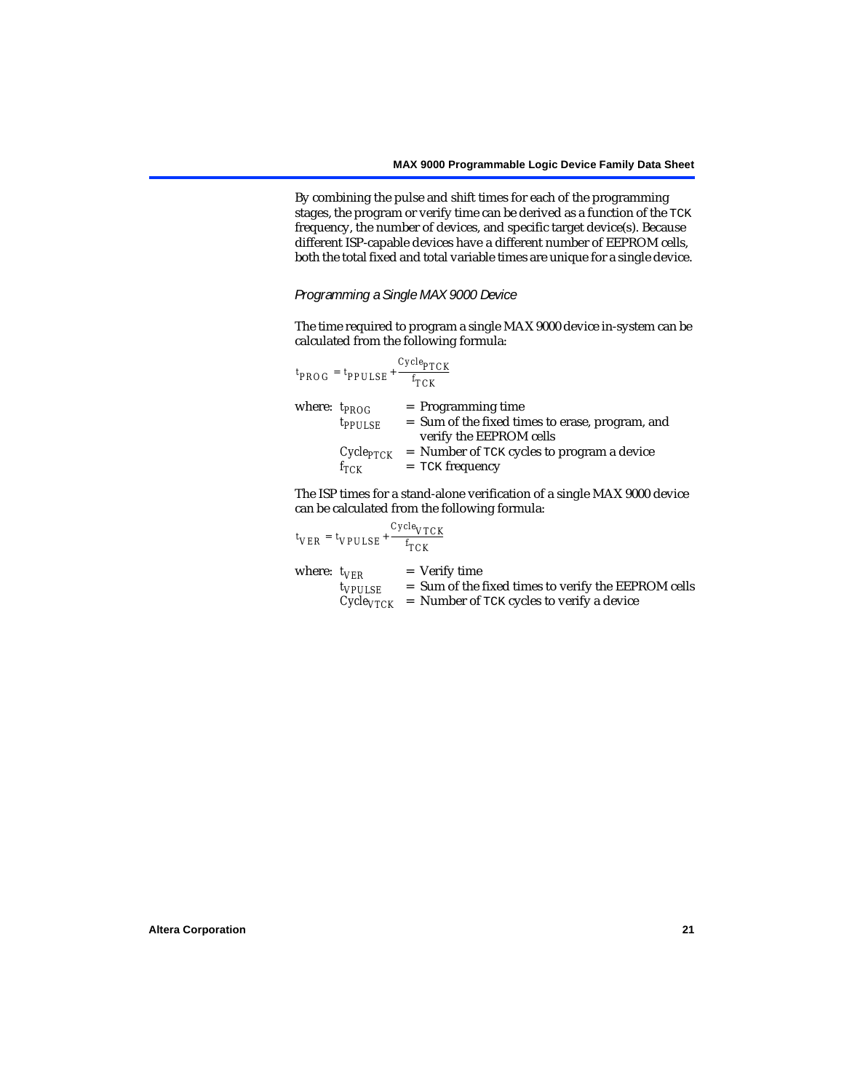By combining the pulse and shift times for each of the programming stages, the program or verify time can be derived as a function of the TCK frequency, the number of devices, and specific target device(s). Because different ISP-capable devices have a different number of EEPROM cells, both the total fixed and total variable times are unique for a single device.

### *Programming a Single MAX 9000 Device*

The time required to program a single MAX 9000 device in-system can be calculated from the following formula:

|                   | $t_{PROG} = t_{PPULSE} + \frac{FICI}{f_{TCK}}$ | $Cycle_{PTCK}$                                                                                     |
|-------------------|------------------------------------------------|----------------------------------------------------------------------------------------------------|
| where: $t_{PROG}$ | $t_{PPULSE}$                                   | $=$ Programming time<br>= Sum of the fixed times to erase, program, and<br>verify the EEPROM cells |
|                   | $Cycle_{PTCK}$<br>$f_{TCK}$                    | $=$ Number of TCK cycles to program a device<br>$=$ TCK frequency                                  |

The ISP times for a stand-alone verification of a single MAX 9000 device can be calculated from the following formula:

|                  | $t_{VER} = t_{VPULSE} + \frac{t_{TCK}}{t_{TCK}}$ | $Cycle_{VTCK}$                                                                                                                     |
|------------------|--------------------------------------------------|------------------------------------------------------------------------------------------------------------------------------------|
| where: $t_{VFR}$ | $t_{VPULSE}$                                     | $=$ Verify time<br>= Sum of the fixed times to verify the EEPROM cells<br>$Cycle_{VTCK}$ = Number of TCK cycles to verify a device |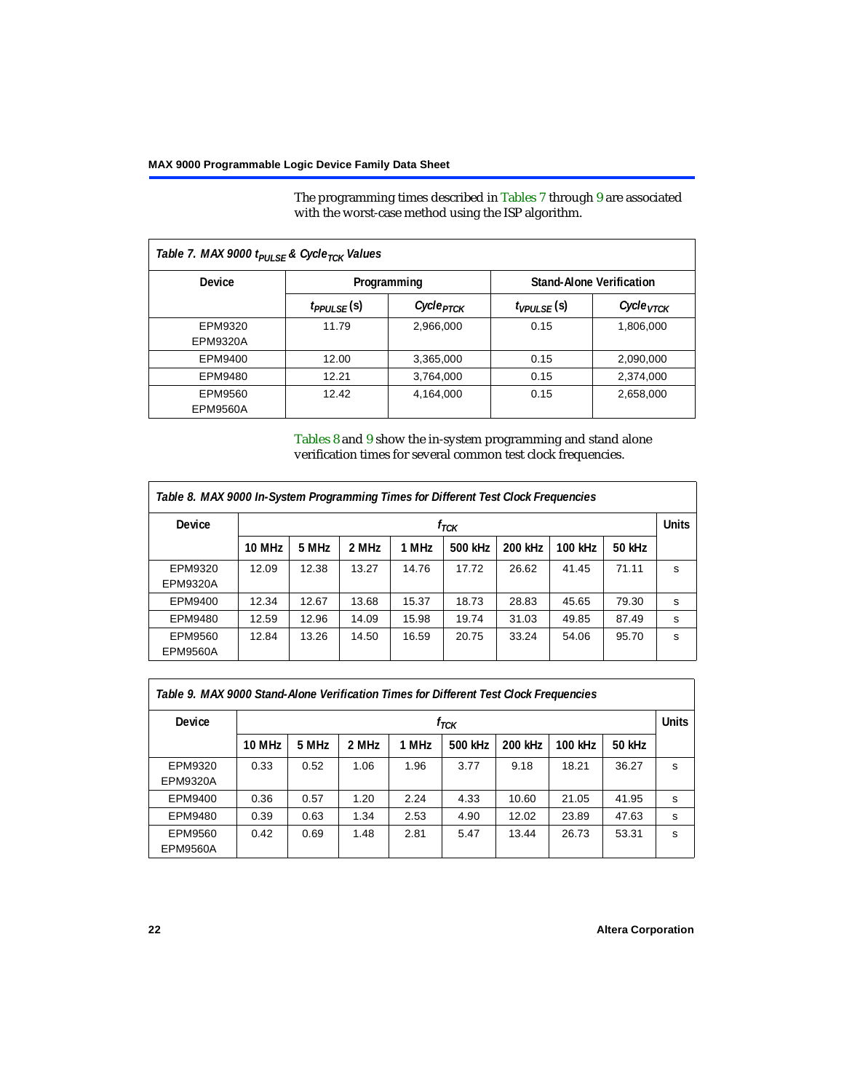The programming times described in [Tables 7](#page-21-0) through [9](#page-21-1) are associated with the worst-case method using the ISP algorithm.

<span id="page-21-0"></span>

| Table 7. MAX 9000 t <sub>PULSE</sub> & Cycle <sub>TCK</sub> Values |                  |                                                |                   |                       |  |  |  |
|--------------------------------------------------------------------|------------------|------------------------------------------------|-------------------|-----------------------|--|--|--|
| <b>Device</b>                                                      |                  | <b>Stand-Alone Verification</b><br>Programming |                   |                       |  |  |  |
|                                                                    | $t_{PPULSE}$ (s) | Cycle <sub>PTCK</sub>                          | $t_{VPIII,SE}(s)$ | Cycle <sub>VTCK</sub> |  |  |  |
| EPM9320<br>EPM9320A                                                | 11.79            | 2,966,000                                      | 0.15              | 1,806,000             |  |  |  |
| EPM9400                                                            | 12.00            | 3,365,000                                      | 0.15              | 2,090,000             |  |  |  |
| EPM9480                                                            | 12.21            | 3,764,000                                      | 0.15              | 2,374,000             |  |  |  |
| EPM9560<br><b>EPM9560A</b>                                         | 12.42            | 4,164,000                                      | 0.15              | 2,658,000             |  |  |  |

[Tables 8](#page-21-2) and [9](#page-21-1) show the in-system programming and stand alone verification times for several common test clock frequencies.

<span id="page-21-2"></span>

| Table 8. MAX 9000 In-System Programming Times for Different Test Clock Frequencies |        |       |       |       |           |         |         |        |              |
|------------------------------------------------------------------------------------|--------|-------|-------|-------|-----------|---------|---------|--------|--------------|
| <b>Device</b>                                                                      |        |       |       |       | $f_{TCK}$ |         |         |        | <b>Units</b> |
|                                                                                    | 10 MHz | 5 MHz | 2 MHz | 1 MHz | 500 kHz   | 200 kHz | 100 kHz | 50 kHz |              |
| EPM9320                                                                            | 12.09  | 12.38 | 13.27 | 14.76 | 17.72     | 26.62   | 41.45   | 71.11  | s            |
| <b>EPM9320A</b>                                                                    |        |       |       |       |           |         |         |        |              |
| EPM9400                                                                            | 12.34  | 12.67 | 13.68 | 15.37 | 18.73     | 28.83   | 45.65   | 79.30  | s            |
| EPM9480                                                                            | 12.59  | 12.96 | 14.09 | 15.98 | 19.74     | 31.03   | 49.85   | 87.49  | s            |
| EPM9560                                                                            | 12.84  | 13.26 | 14.50 | 16.59 | 20.75     | 33.24   | 54.06   | 95.70  | s            |
| <b>EPM9560A</b>                                                                    |        |       |       |       |           |         |         |        |              |

<span id="page-21-1"></span>

| Table 9. MAX 9000 Stand-Alone Verification Times for Different Test Clock Frequencies |               |       |       |       |           |         |         |        |              |
|---------------------------------------------------------------------------------------|---------------|-------|-------|-------|-----------|---------|---------|--------|--------------|
| Device                                                                                |               |       |       |       | $f_{TCK}$ |         |         |        | <b>Units</b> |
|                                                                                       | <b>10 MHz</b> | 5 MHz | 2 MHz | 1 MHz | 500 kHz   | 200 kHz | 100 kHz | 50 kHz |              |
| EPM9320<br><b>EPM9320A</b>                                                            | 0.33          | 0.52  | 1.06  | 1.96  | 3.77      | 9.18    | 18.21   | 36.27  | S            |
| EPM9400                                                                               | 0.36          | 0.57  | 1.20  | 2.24  | 4.33      | 10.60   | 21.05   | 41.95  | s            |
| EPM9480                                                                               | 0.39          | 0.63  | 1.34  | 2.53  | 4.90      | 12.02   | 23.89   | 47.63  | s            |
| EPM9560<br><b>EPM9560A</b>                                                            | 0.42          | 0.69  | 1.48  | 2.81  | 5.47      | 13.44   | 26.73   | 53.31  | s            |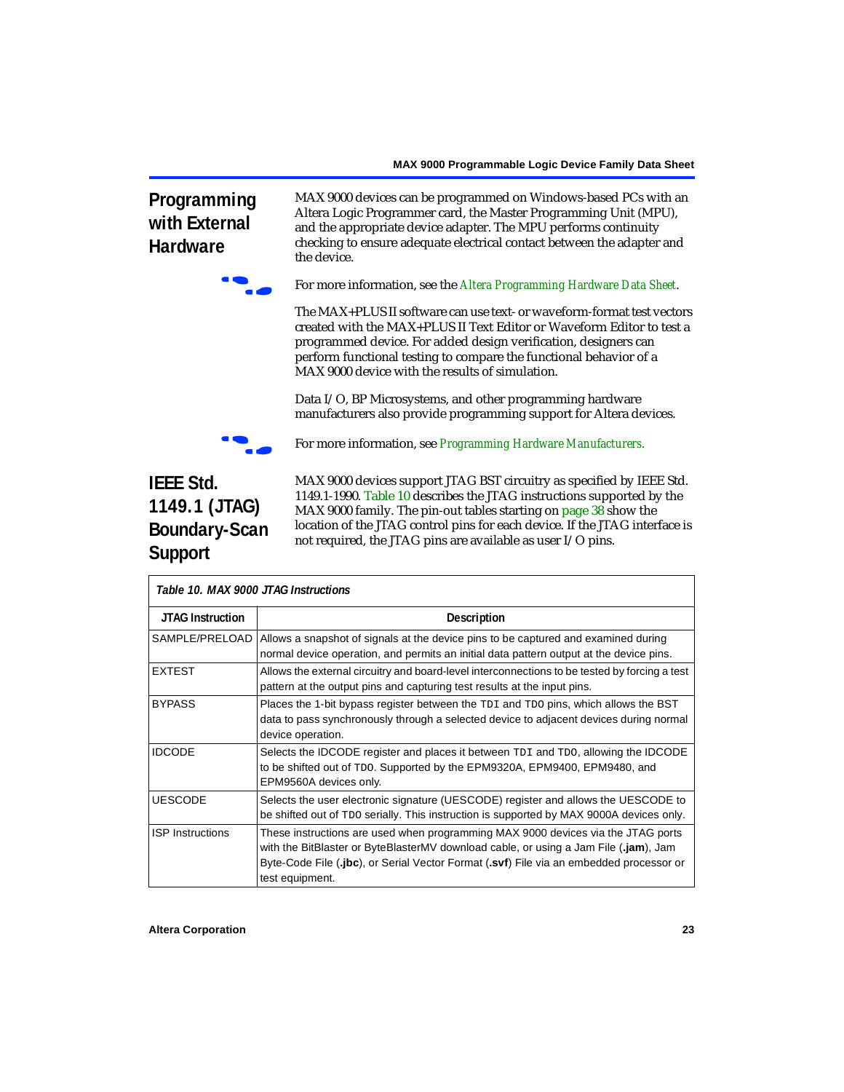# <span id="page-22-1"></span>**Programming with External Hardware**



the device.

f For more information, see the *[Altera Programming Hardware](#page-0-1) Data Sheet*.

MAX 9000 devices can be programmed on Windows-based PCs with an Altera Logic Programmer card, the Master Programming Unit (MPU), and the appropriate device adapter. The MPU performs continuity checking to ensure adequate electrical contact between the adapter and

The MAX+PLUS II software can use text- or waveform-format test vectors created with the MAX+PLUS II Text Editor or Waveform Editor to test a programmed device. For added design verification, designers can perform functional testing to compare the functional behavior of a MAX 9000 device with the results of simulation.

Data I/O, BP Microsystems, and other programming hardware manufacturers also provide programming support for Altera devices.



f For more information, see *[Programming Hardware Manufacturers](#page-0-1)*.

# **IEEE Std. 1149.1 (JTAG) Boundary-Scan Support**

MAX 9000 devices support JTAG BST circuitry as specified by IEEE Std. 1149.1-1990. [Table 10](#page-22-0) describes the JTAG instructions supported by the MAX 9000 family. The pin-out tables starting on [page 38](#page-37-0) show the location of the JTAG control pins for each device. If the JTAG interface is not required, the JTAG pins are available as user I/O pins.

<span id="page-22-0"></span>

|                         | Table 10. MAX 9000 JTAG Instructions                                                                                                                                                                                                                                                   |  |  |  |  |  |
|-------------------------|----------------------------------------------------------------------------------------------------------------------------------------------------------------------------------------------------------------------------------------------------------------------------------------|--|--|--|--|--|
| <b>JTAG Instruction</b> | <b>Description</b>                                                                                                                                                                                                                                                                     |  |  |  |  |  |
| SAMPLE/PRELOAD          | Allows a snapshot of signals at the device pins to be captured and examined during<br>normal device operation, and permits an initial data pattern output at the device pins.                                                                                                          |  |  |  |  |  |
| <b>EXTEST</b>           | Allows the external circuitry and board-level interconnections to be tested by forcing a test<br>pattern at the output pins and capturing test results at the input pins.                                                                                                              |  |  |  |  |  |
| <b>BYPASS</b>           | Places the 1-bit bypass register between the TDI and TDO pins, which allows the BST<br>data to pass synchronously through a selected device to adjacent devices during normal<br>device operation.                                                                                     |  |  |  |  |  |
| <b>IDCODE</b>           | Selects the IDCODE register and places it between TDI and TDO, allowing the IDCODE<br>to be shifted out of TDO. Supported by the EPM9320A, EPM9400, EPM9480, and<br>EPM9560A devices only.                                                                                             |  |  |  |  |  |
| <b>UESCODE</b>          | Selects the user electronic signature (UESCODE) register and allows the UESCODE to<br>be shifted out of TDO serially. This instruction is supported by MAX 9000A devices only.                                                                                                         |  |  |  |  |  |
| <b>ISP Instructions</b> | These instructions are used when programming MAX 9000 devices via the JTAG ports<br>with the BitBlaster or ByteBlasterMV download cable, or using a Jam File (.jam), Jam<br>Byte-Code File (.jbc), or Serial Vector Format (.svf) File via an embedded processor or<br>test equipment. |  |  |  |  |  |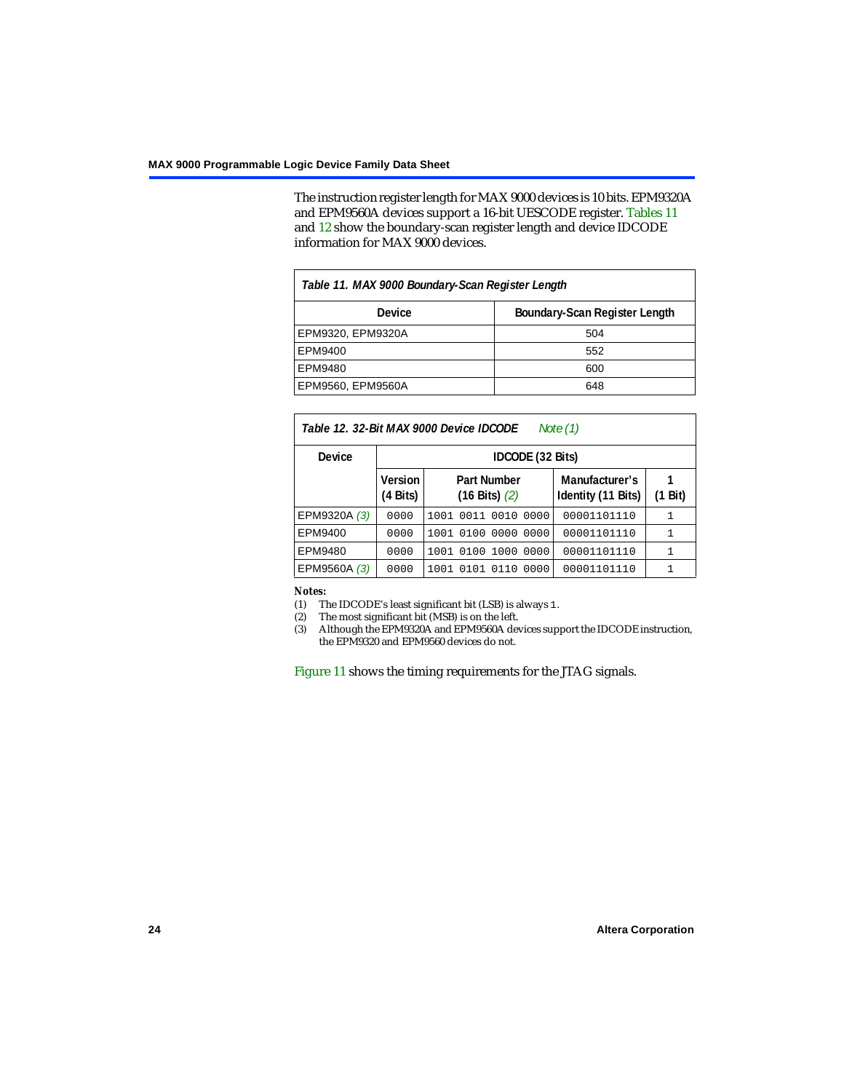The instruction register length for MAX 9000 devices is 10 bits. EPM9320A and EPM9560A devices support a 16-bit UESCODE register. [Tables 11](#page-23-1) and [12](#page-23-2) show the boundary-scan register length and device IDCODE information for MAX 9000 devices.

<span id="page-23-1"></span>

| Table 11. MAX 9000 Boundary-Scan Register Length |     |  |  |  |  |  |
|--------------------------------------------------|-----|--|--|--|--|--|
| Boundary-Scan Register Length<br>Device          |     |  |  |  |  |  |
| EPM9320, EPM9320A                                | 504 |  |  |  |  |  |
| EPM9400                                          | 552 |  |  |  |  |  |
| EPM9480                                          | 600 |  |  |  |  |  |
| EPM9560, EPM9560A                                | 648 |  |  |  |  |  |

<span id="page-23-2"></span>

| Table 12. 32-Bit MAX 9000 Device IDCODE<br>Note $(1)$ |                               |                                                 |                                      |              |  |  |  |  |
|-------------------------------------------------------|-------------------------------|-------------------------------------------------|--------------------------------------|--------------|--|--|--|--|
| <b>Device</b>                                         |                               | IDCODE (32 Bits)                                |                                      |              |  |  |  |  |
|                                                       | Version<br>$(4 \text{ Bits})$ | <b>Part Number</b><br>$(16 \text{ Bits})$ $(2)$ | Manufacturer's<br>Identity (11 Bits) | (1 Bit)      |  |  |  |  |
| EPM9320A (3)                                          | 0000                          | 1001 0011 0010 0000                             | 00001101110                          | 1            |  |  |  |  |
| EPM9400                                               | 0000                          | 1001 0100 0000 0000                             | 00001101110                          | $\mathbf{1}$ |  |  |  |  |
| EPM9480                                               | 0000                          | 1001 0100 1000<br>0000                          | 00001101110                          | 1            |  |  |  |  |
| EPM9560A (3)                                          | 0000                          | 1001 0101 0110<br>0000                          | 00001101110                          | 1            |  |  |  |  |

#### *Notes:*

<span id="page-23-4"></span>(1) The IDCODE's least significant bit (LSB) is always 1.

<span id="page-23-3"></span>(2) The most significant bit (MSB) is on the left.

<span id="page-23-0"></span>(3) Although the EPM9320A and EPM9560A devices support the IDCODE instruction, the EPM9320 and EPM9560 devices do not.

[Figure 11](#page-24-0) shows the timing requirements for the JTAG signals.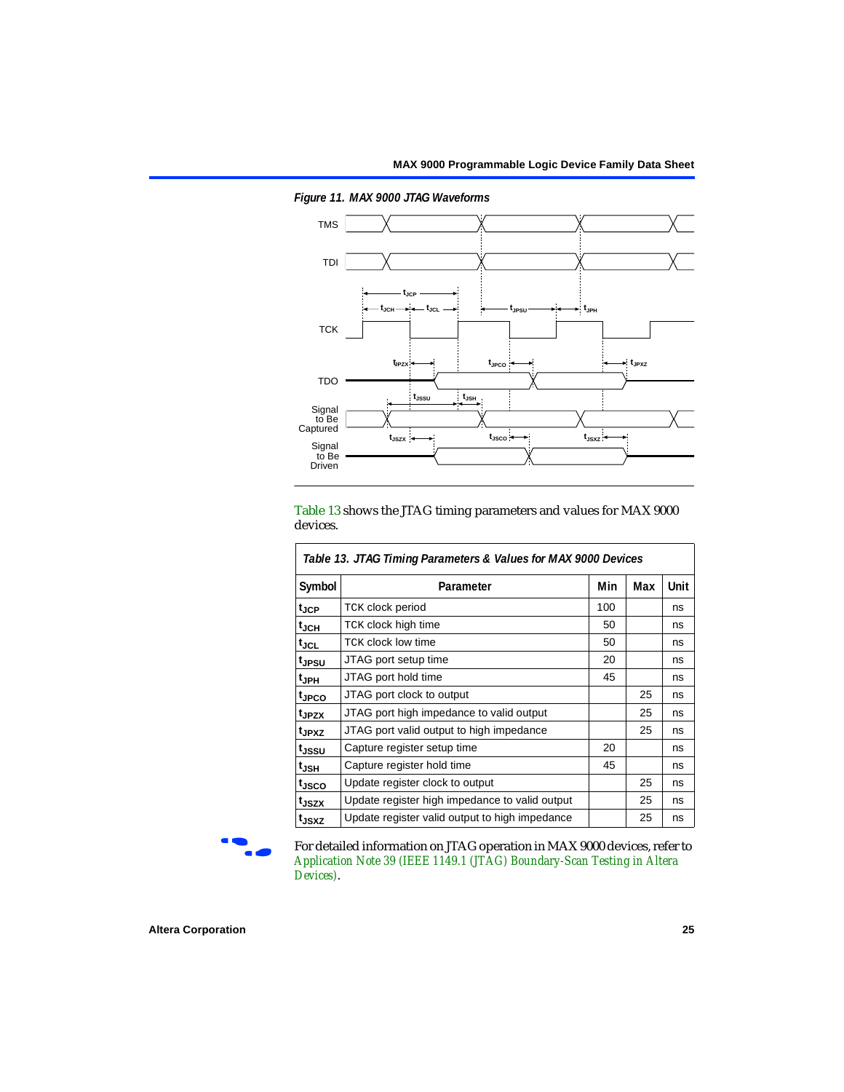

<span id="page-24-0"></span>*Figure 11. MAX 9000 JTAG Waveforms*

[Table 13](#page-24-1) shows the JTAG timing parameters and values for MAX 9000 devices.

<span id="page-24-1"></span>

| Table 13. JTAG Timing Parameters & Values for MAX 9000 Devices |                                                |     |     |      |  |  |  |  |
|----------------------------------------------------------------|------------------------------------------------|-----|-----|------|--|--|--|--|
| Symbol                                                         | Parameter                                      | Min | Max | Unit |  |  |  |  |
| $t_{\rm JCP}$                                                  | <b>TCK clock period</b>                        | 100 |     | ns   |  |  |  |  |
| $t_{JCH}$                                                      | TCK clock high time                            | 50  |     | ns   |  |  |  |  |
| tjcl                                                           | <b>TCK clock low time</b>                      | 50  |     | ns   |  |  |  |  |
| t <sub>JPSU</sub>                                              | JTAG port setup time                           | 20  |     | ns   |  |  |  |  |
| $t_{JPH}$                                                      | JTAG port hold time                            | 45  |     | ns   |  |  |  |  |
| t <sub>JPCO</sub>                                              | JTAG port clock to output                      |     | 25  | ns   |  |  |  |  |
| t <sub>JPZX</sub>                                              | JTAG port high impedance to valid output       |     | 25  | ns   |  |  |  |  |
| t <sub>JPXZ</sub>                                              | JTAG port valid output to high impedance       |     | 25  | ns   |  |  |  |  |
| t <sub>JSSU</sub>                                              | Capture register setup time                    | 20  |     | ns   |  |  |  |  |
| t <sub>JSH</sub>                                               | Capture register hold time                     | 45  |     | ns   |  |  |  |  |
| t <sub>JSCO</sub>                                              | Update register clock to output                |     | 25  | ns   |  |  |  |  |
| t <sub>JSZX</sub>                                              | Update register high impedance to valid output |     | 25  | ns   |  |  |  |  |
| t <sub>JSXZ</sub>                                              | Update register valid output to high impedance |     | 25  | ns   |  |  |  |  |

r

For detailed information on JTAG operation in MAX 9000 devices, refer to *[Application Note 39 \(IEEE 1149.1 \(JTAG\) Boundary-Scan Testing in Altera](#page-0-1)  [Devices\)](#page-0-1)*.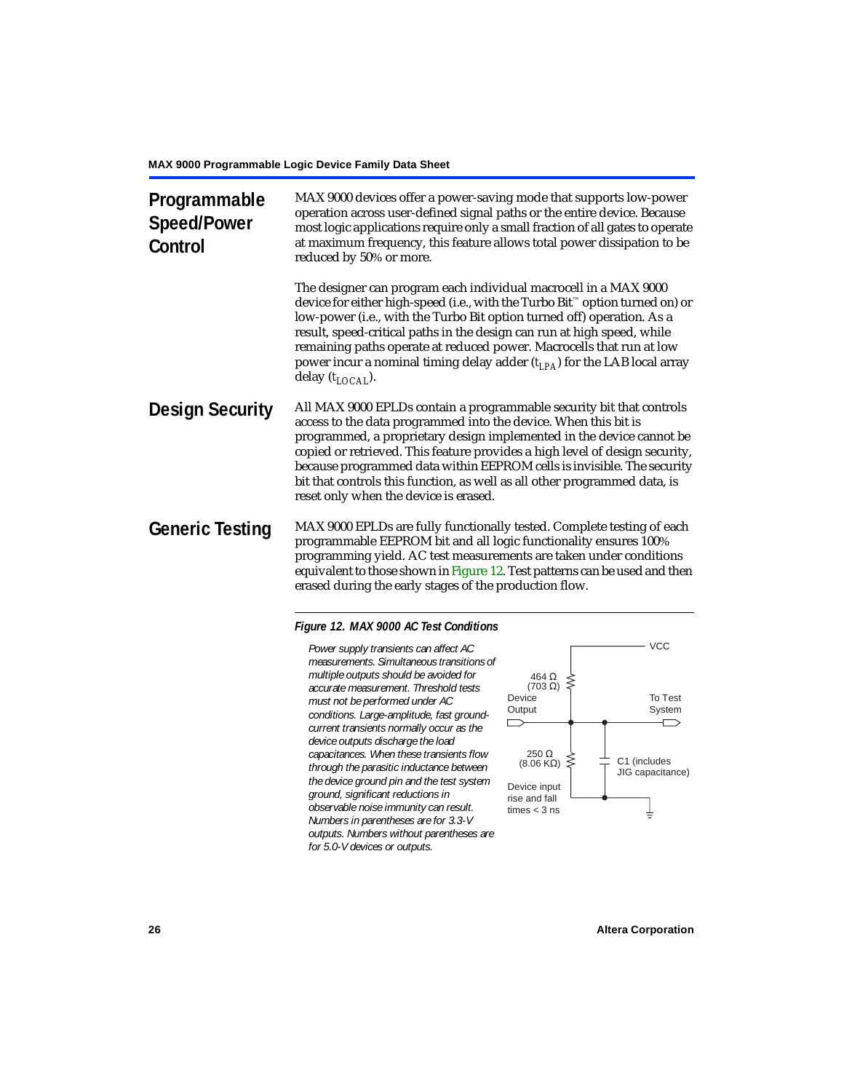| Programmable<br><b>Speed/Power</b><br>Control | MAX 9000 devices offer a power-saving mode that supports low-power<br>operation across user-defined signal paths or the entire device. Because<br>most logic applications require only a small fraction of all gates to operate<br>at maximum frequency, this feature allows total power dissipation to be<br>reduced by 50% or more.                                                                                                                                                             |
|-----------------------------------------------|---------------------------------------------------------------------------------------------------------------------------------------------------------------------------------------------------------------------------------------------------------------------------------------------------------------------------------------------------------------------------------------------------------------------------------------------------------------------------------------------------|
|                                               | The designer can program each individual macrocell in a MAX 9000<br>device for either high-speed (i.e., with the Turbo Bit <sup>™</sup> option turned on) or<br>low-power (i.e., with the Turbo Bit option turned off) operation. As a<br>result, speed-critical paths in the design can run at high speed, while<br>remaining paths operate at reduced power. Macrocells that run at low<br>power incur a nominal timing delay adder $(t_{LPA})$ for the LAB local array<br>delay $(t_{LOCAI}).$ |
| <b>Design Security</b>                        | All MAX 9000 EPLDs contain a programmable security bit that controls<br>access to the data programmed into the device. When this bit is<br>programmed, a proprietary design implemented in the device cannot be<br>copied or retrieved. This feature provides a high level of design security,<br>because programmed data within EEPROM cells is invisible. The security<br>bit that controls this function, as well as all other programmed data, is<br>reset only when the device is erased.    |
| <b>Generic Testing</b>                        | MAX 9000 EPLDs are fully functionally tested. Complete testing of each<br>programmable EEPROM bit and all logic functionality ensures 100%<br>programming yield. AC test measurements are taken under conditions<br>equivalent to those shown in Figure 12. Test patterns can be used and then<br>erased during the early stages of the production flow.                                                                                                                                          |

### <span id="page-25-0"></span>*Figure 12. MAX 9000 AC Test Conditions*

*Power supply transients can affect AC measurements. Simultaneous transitions of multiple outputs should be avoided for accurate measurement. Threshold tests must not be performed under AC conditions. Large-amplitude, fast groundcurrent transients normally occur as the device outputs discharge the load capacitances. When these transients flow through the parasitic inductance between the device ground pin and the test system ground, significant reductions in observable noise immunity can result. Numbers in parentheses are for 3.3-V outputs. Numbers without parentheses are for 5.0-V devices or outputs.*

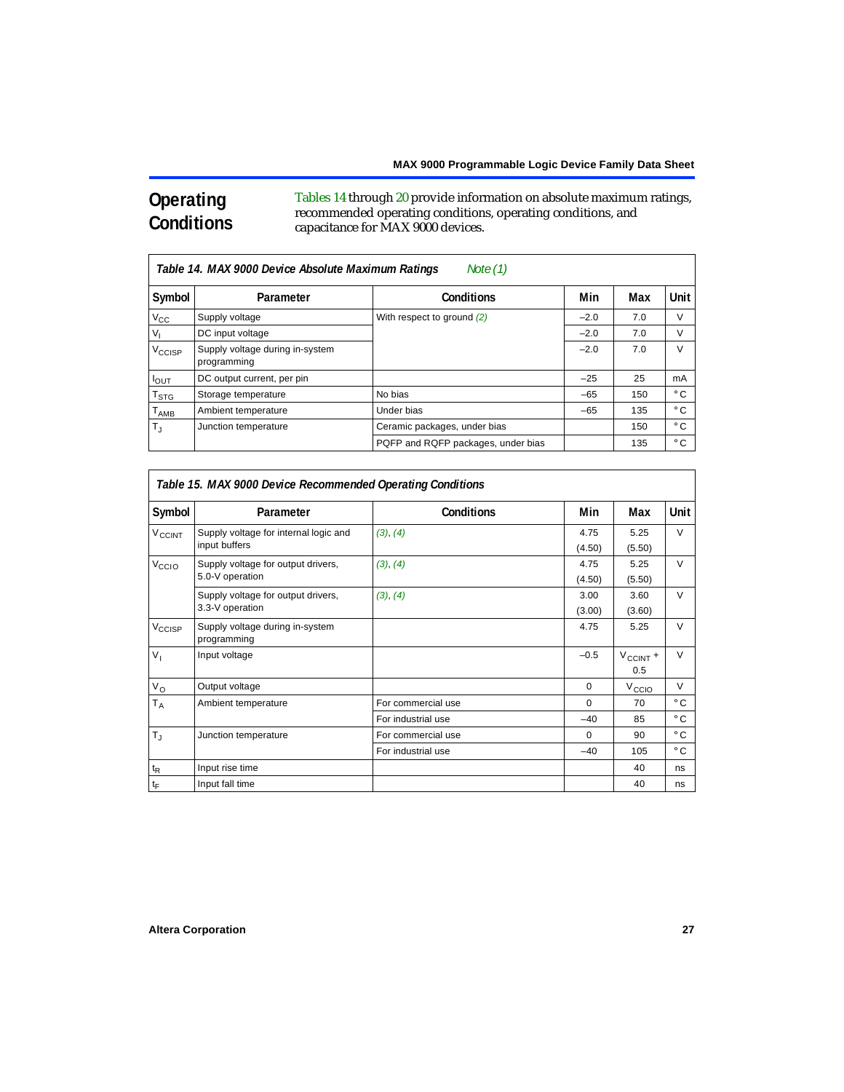# **Operating Conditions**

[Tables 14](#page-26-0) through [20](#page-28-0) provide information on absolute maximum ratings, recommended operating conditions, operating conditions, and capacitance for MAX 9000 devices.

<span id="page-26-0"></span>

|                    | Table 14. MAX 9000 Device Absolute Maximum Ratings<br>Note $(1)$ |                                    |        |     |               |  |  |  |  |
|--------------------|------------------------------------------------------------------|------------------------------------|--------|-----|---------------|--|--|--|--|
| Symbol             | Parameter                                                        | <b>Conditions</b>                  | Min    | Max | Unit          |  |  |  |  |
| $V_{\rm CC}$       | Supply voltage                                                   | With respect to ground (2)         | $-2.0$ | 7.0 | $\mathcal{U}$ |  |  |  |  |
| $V_{1}$            | DC input voltage                                                 |                                    | $-2.0$ | 7.0 | V             |  |  |  |  |
| V <sub>CCISP</sub> | Supply voltage during in-system<br>programming                   |                                    | $-2.0$ | 7.0 | $\mathcal{U}$ |  |  |  |  |
| $I_{OUT}$          | DC output current, per pin                                       |                                    | $-25$  | 25  | mA            |  |  |  |  |
| $T_{\rm STG}$      | Storage temperature                                              | No bias                            | $-65$  | 150 | $^{\circ}$ C  |  |  |  |  |
| $T_{\sf AMB}$      | Ambient temperature                                              | Under bias                         | $-65$  | 135 | $^{\circ}$ C  |  |  |  |  |
| $T_{\rm d}$        | Junction temperature                                             | Ceramic packages, under bias       |        | 150 | $^{\circ}$ C  |  |  |  |  |
|                    |                                                                  | PQFP and RQFP packages, under bias |        | 135 | $^{\circ}$ C  |  |  |  |  |

<span id="page-26-1"></span>

|                             | Table 15. MAX 9000 Device Recommended Operating Conditions |                    |                |                      |              |  |  |  |
|-----------------------------|------------------------------------------------------------|--------------------|----------------|----------------------|--------------|--|--|--|
| Symbol                      | Parameter                                                  | <b>Conditions</b>  | Min            | Max                  | Unit         |  |  |  |
| V <sub>CCINT</sub>          | Supply voltage for internal logic and<br>input buffers     | (3), (4)           | 4.75<br>(4.50) | 5.25<br>(5.50)       | $\vee$       |  |  |  |
| V <sub>CCIO</sub>           | Supply voltage for output drivers,<br>5.0-V operation      | (3), (4)           | 4.75<br>(4.50) | 5.25<br>(5.50)       | $\vee$       |  |  |  |
|                             | Supply voltage for output drivers,<br>3.3-V operation      | (3), (4)           | 3.00<br>(3.00) | 3.60<br>(3.60)       | $\vee$       |  |  |  |
| V <sub>CCISP</sub>          | Supply voltage during in-system<br>programming             |                    | 4.75           | 5.25                 | $\vee$       |  |  |  |
| V <sub>1</sub>              | Input voltage                                              |                    | $-0.5$         | $V_{CClNT}$ +<br>0.5 | $\vee$       |  |  |  |
| $V_{\rm O}$                 | Output voltage                                             |                    | $\mathbf 0$    | V <sub>CCIO</sub>    | $\vee$       |  |  |  |
| $T_A$                       | Ambient temperature                                        | For commercial use | 0              | 70                   | $^{\circ}$ C |  |  |  |
|                             |                                                            | For industrial use | $-40$          | 85                   | $^{\circ}$ C |  |  |  |
| $T_{\rm J}$                 | Junction temperature                                       | For commercial use | 0              | 90                   | $^{\circ}$ C |  |  |  |
|                             |                                                            | For industrial use | $-40$          | 105                  | $^{\circ}$ C |  |  |  |
| $\mathfrak{t}_{\mathsf{R}}$ | Input rise time                                            |                    |                | 40                   | ns           |  |  |  |
| $\mathfrak{t}_{\mathsf{F}}$ | Input fall time                                            |                    |                | 40                   | ns           |  |  |  |

٦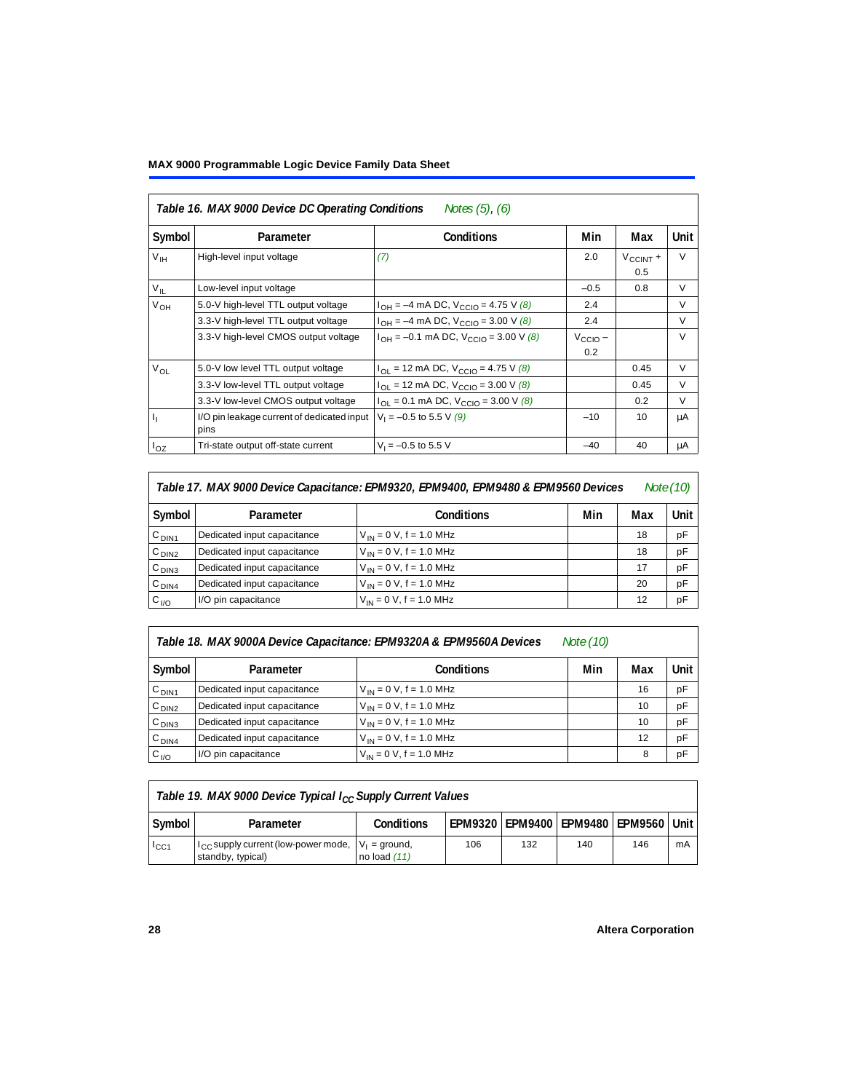# **MAX 9000 Programmable Logic Device Family Data Sheet**

<span id="page-27-0"></span>

| Notes $(5)$ , $(6)$<br>Table 16. MAX 9000 Device DC Operating Conditions |                                                    |                                                |                            |                             |        |  |  |
|--------------------------------------------------------------------------|----------------------------------------------------|------------------------------------------------|----------------------------|-----------------------------|--------|--|--|
| Symbol                                                                   | Parameter                                          | <b>Conditions</b>                              | Min                        | Unit                        |        |  |  |
| V <sub>IH</sub>                                                          | High-level input voltage                           | (7)                                            | 2.0                        | $V_{\text{CCINT}} +$<br>0.5 | $\vee$ |  |  |
| $V_{IL}$                                                                 | Low-level input voltage                            |                                                | $-0.5$                     | 0.8                         | $\vee$ |  |  |
| V <sub>OH</sub>                                                          | 5.0-V high-level TTL output voltage                | $I_{OH} = -4$ mA DC, $V_{CClO} = 4.75$ V (8)   | 2.4                        |                             | $\vee$ |  |  |
|                                                                          | 3.3-V high-level TTL output voltage                | $I_{OH} = -4$ mA DC, $V_{CGIO} = 3.00$ V (8)   | 2.4                        |                             | V      |  |  |
|                                                                          | 3.3-V high-level CMOS output voltage               | $I_{OH} = -0.1$ mA DC, $V_{CClO} = 3.00$ V (8) | $V_{\text{CCIO}}$ –<br>0.2 |                             | $\vee$ |  |  |
| $V_{OL}$                                                                 | 5.0-V low level TTL output voltage                 | $I_{OL}$ = 12 mA DC, $V_{CCIO}$ = 4.75 V (8)   |                            | 0.45                        | $\vee$ |  |  |
|                                                                          | 3.3-V low-level TTL output voltage                 | $I_{OL}$ = 12 mA DC, $V_{CCIO}$ = 3.00 V (8)   |                            | 0.45                        | $\vee$ |  |  |
|                                                                          | 3.3-V low-level CMOS output voltage                | $I_{OL} = 0.1$ mA DC, $V_{CCIO} = 3.00$ V (8)  |                            | 0.2                         | $\vee$ |  |  |
| $\mathbf{I}_{1}$                                                         | I/O pin leakage current of dedicated input<br>pins | $V_1 = -0.5$ to 5.5 V (9)                      | $-10$                      | 10                          | μA     |  |  |
| $I_{OZ}$                                                                 | Tri-state output off-state current                 | $V_1 = -0.5$ to 5.5 V                          | $-40$                      | 40                          | μA     |  |  |

| Table 17. MAX 9000 Device Capacitance: EPM9320, EPM9400, EPM9480 & EPM9560 Devices |                             |                              |     |     |        |
|------------------------------------------------------------------------------------|-----------------------------|------------------------------|-----|-----|--------|
| Symbol                                                                             | Parameter                   | <b>Conditions</b>            | Min | Max | Unit I |
| C <sub>DIN1</sub>                                                                  | Dedicated input capacitance | $V_{IN} = 0 V$ , f = 1.0 MHz |     | 18  | pF     |
| C <sub>DIN2</sub>                                                                  | Dedicated input capacitance | $V_{IN} = 0 V$ , f = 1.0 MHz |     | 18  | pF     |
| C <sub>DIN3</sub>                                                                  | Dedicated input capacitance | $V_{IN} = 0 V$ , f = 1.0 MHz |     | 17  | pF     |
| C <sub>DIN4</sub>                                                                  | Dedicated input capacitance | $V_{1N} = 0 V$ , f = 1.0 MHz |     | 20  | pF     |
| $C_{I/O}$                                                                          | I/O pin capacitance         | $V_{IN} = 0 V$ , f = 1.0 MHz |     | 12  | pF     |

| Table 18. MAX 9000A Device Capacitance: EPM9320A & EPM9560A Devices<br>Note (10) |                             |                              |     |     |      |  |
|----------------------------------------------------------------------------------|-----------------------------|------------------------------|-----|-----|------|--|
| Symbol                                                                           | Parameter                   | <b>Conditions</b>            | Min | Max | Unit |  |
| C <sub>DIN1</sub>                                                                | Dedicated input capacitance | $V_{IN} = 0 V$ , f = 1.0 MHz |     | 16  | pF   |  |
| C <sub>DIN2</sub>                                                                | Dedicated input capacitance | $V_{IN} = 0 V$ , f = 1.0 MHz |     | 10  | pF   |  |
| C <sub>DIN3</sub>                                                                | Dedicated input capacitance | $V_{IN} = 0 V$ , f = 1.0 MHz |     | 10  | pF   |  |
| $C_{DIN4}$                                                                       | Dedicated input capacitance | $V_{IN} = 0 V$ , f = 1.0 MHz |     | 12  | pF   |  |
| $C_{1/O}$                                                                        | I/O pin capacitance         | $V_{IN} = 0 V$ , f = 1.0 MHz |     | 8   | pF   |  |

| Table 19. MAX 9000 Device Typical I <sub>CC</sub> Supply Current Values |                                                                               |                |     |     |     |                                              |    |
|-------------------------------------------------------------------------|-------------------------------------------------------------------------------|----------------|-----|-----|-----|----------------------------------------------|----|
| Symbol                                                                  | Parameter                                                                     | Conditions     |     |     |     | EPM9320   EPM9400   EPM9480   EPM9560   Unit |    |
| $I_{\rm CC1}$                                                           | $I_{CC}$ supply current (low-power mode, $V_1$ = ground,<br>standby, typical) | no load $(11)$ | 106 | 132 | 140 | 146                                          | mA |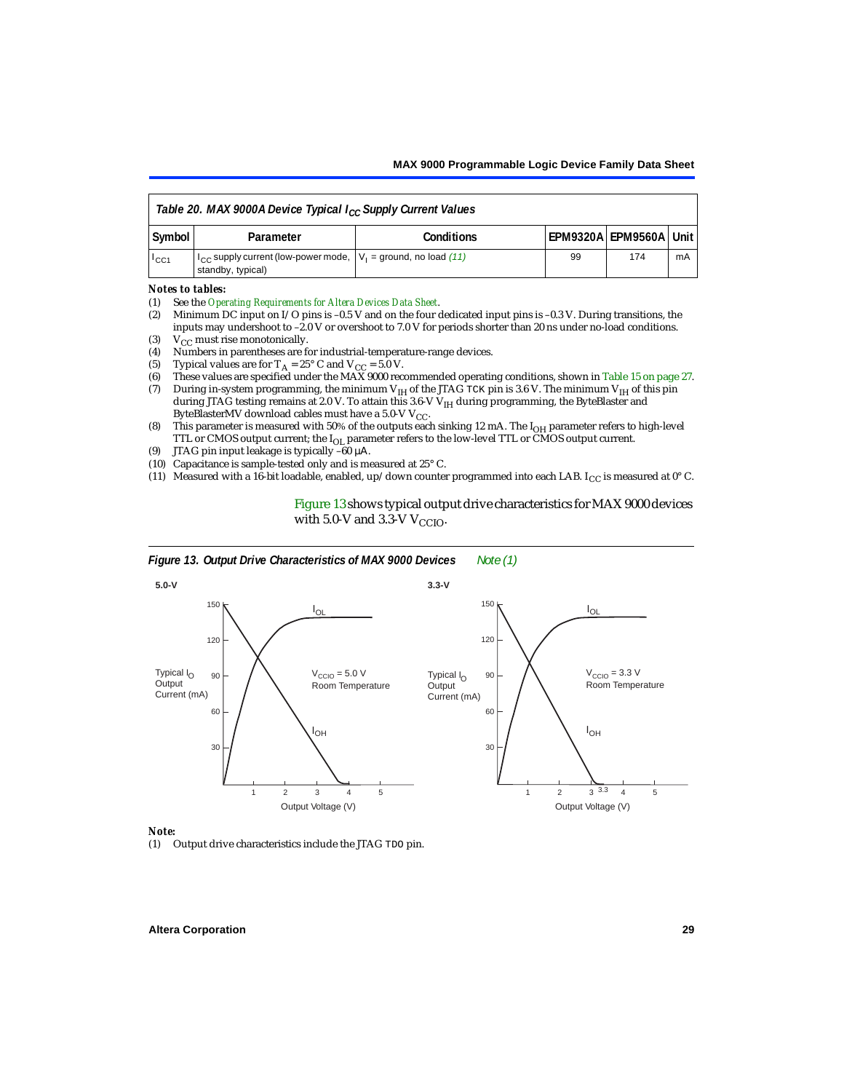<span id="page-28-0"></span>

| Table 20. MAX 9000A Device Typical $I_{CC}$ Supply Current Values |                                                                                                  |                   |    |                              |    |  |  |
|-------------------------------------------------------------------|--------------------------------------------------------------------------------------------------|-------------------|----|------------------------------|----|--|--|
| Symbol                                                            | Parameter                                                                                        | <b>Conditions</b> |    | l EPM9320A l EPM9560A l Unit |    |  |  |
| $I_{\text{CC1}}$                                                  | $1_{\rm CC}$ supply current (low-power mode, $ V_1 $ = ground, no load (11)<br>standby, typical) |                   | 99 | 174                          | mA |  |  |

#### *Notes to tables:*

- (1) [See the](#page-0-1) *[Operating Requirements for Altera Devices Data Sheet](#page-0-1)*.
- <span id="page-28-1"></span>(2) Minimum DC input on I/O pins is –0.5 V and on the four dedicated input pins is –0.3 V. During transitions, the inputs may undershoot to –2.0 V or overshoot to 7.0 V for periods shorter than 20 ns under no-load conditions.
- <span id="page-28-2"></span>(3)  $V_{CC}$  must rise monotonically.<br>(4) Numbers in parentheses are f
- <span id="page-28-3"></span>(4) Numbers in parentheses are for industrial-temperature-range devices.<br>(5) Typical values are for  $T_A = 25^\circ$  C and  $V_{CC} = 5.0$  V.
- <span id="page-28-5"></span>(5) Typical values are for  $T_A = 25^\circ$  C and  $V_{CC} = 5.0$  V.<br>(6) These values are specified under the MAX 9000 rec
- <span id="page-28-6"></span>(6) These values are specified under the MAX 9000 recommended operating conditions, shown in [Table 15 on page 27.](#page-26-1)<br>(7) During in-system programming, the minimum  $V_{H}$  of the JTAG TCK pin is 3.6 V. The minimum  $V_{H}$  of th
- <span id="page-28-4"></span>During in-system programming, the minimum V<sub>IH</sub> of the JTAG TCK pin is 3.6 V. The minimum V<sub>IH</sub> of this pin during JTAG testing remains at 2.0 V. To attain this 3.6-V V<sub>IH</sub> during programming, the ByteBlaster and ByteBlasterMV download cables must have a 5.0-V  $V_{CC}$ .
- <span id="page-28-9"></span>(8) This parameter is measured with 50% of the outputs each sinking 12 mA. The  $I<sub>OH</sub>$  parameter refers to high-level TTL or CMOS output current; the IOL parameter refers to the low-level TTL or CMOS output current.
- <span id="page-28-10"></span>(9) JTAG pin input leakage is typically –60 µΑ.
- <span id="page-28-7"></span>(10) Capacitance is sample-tested only and is measured at 25° C.
- <span id="page-28-8"></span>(11) Measured with a 16-bit loadable, enabled, up/down counter programmed into each LAB. I<sub>CC</sub> is measured at  $0^{\circ}$  C.

[Figure 13](#page-28-11) shows typical output drive characteristics for MAX 9000 devices with 5.0-V and 3.3-V  $V_{CCIO}$ .

<span id="page-28-11"></span>

#### *Note:*

<span id="page-28-12"></span>(1) Output drive characteristics include the JTAG TDO pin.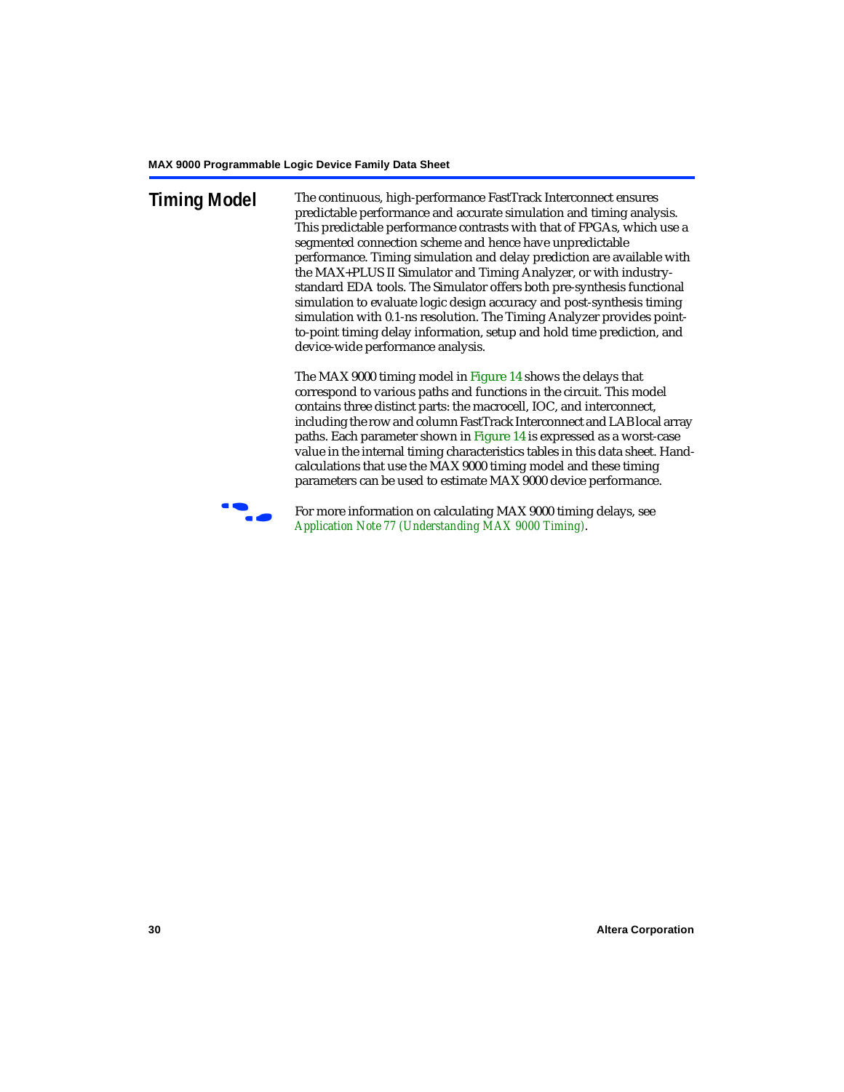**Timing Model** The continuous, high-performance FastTrack Interconnect ensures predictable performance and accurate simulation and timing analysis. This predictable performance contrasts with that of FPGAs, which use a segmented connection scheme and hence have unpredictable performance. Timing simulation and delay prediction are available with the MAX+PLUS II Simulator and Timing Analyzer, or with industrystandard EDA tools. The Simulator offers both pre-synthesis functional simulation to evaluate logic design accuracy and post-synthesis timing simulation with 0.1-ns resolution. The Timing Analyzer provides pointto-point timing delay information, setup and hold time prediction, and device-wide performance analysis.

> The MAX 9000 timing model in [Figure 14](#page-30-0) shows the delays that correspond to various paths and functions in the circuit. This model contains three distinct parts: the macrocell, IOC, and interconnect, including the row and column FastTrack Interconnect and LAB local array paths. Each parameter shown in [Figure 14](#page-30-0) is expressed as a worst-case value in the internal timing characteristics tables in this data sheet. Handcalculations that use the MAX 9000 timing model and these timing parameters can be used to estimate MAX 9000 device performance.



For more information on calculating MAX 9000 timing delays, see *[Application Note 77 \(Understanding MAX 9000 Timing\)](#page-0-1)*.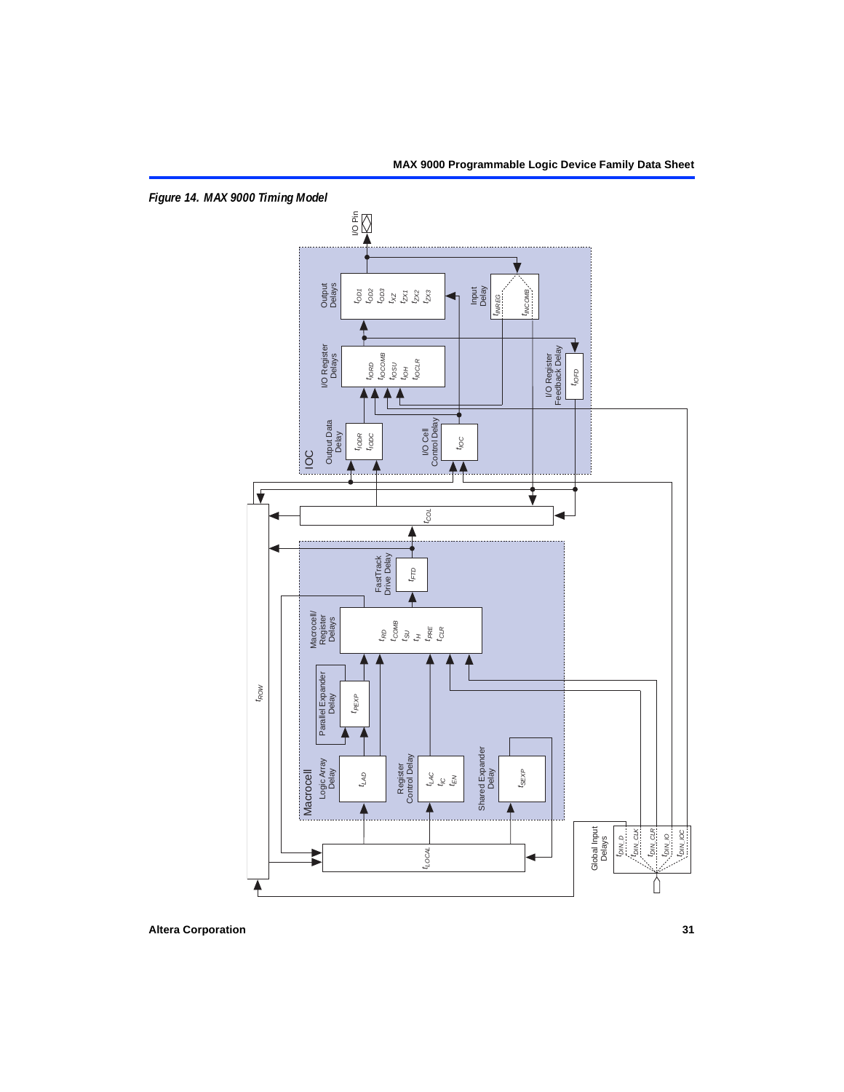<span id="page-30-0"></span>*Figure 14. MAX 9000 Timing Model*

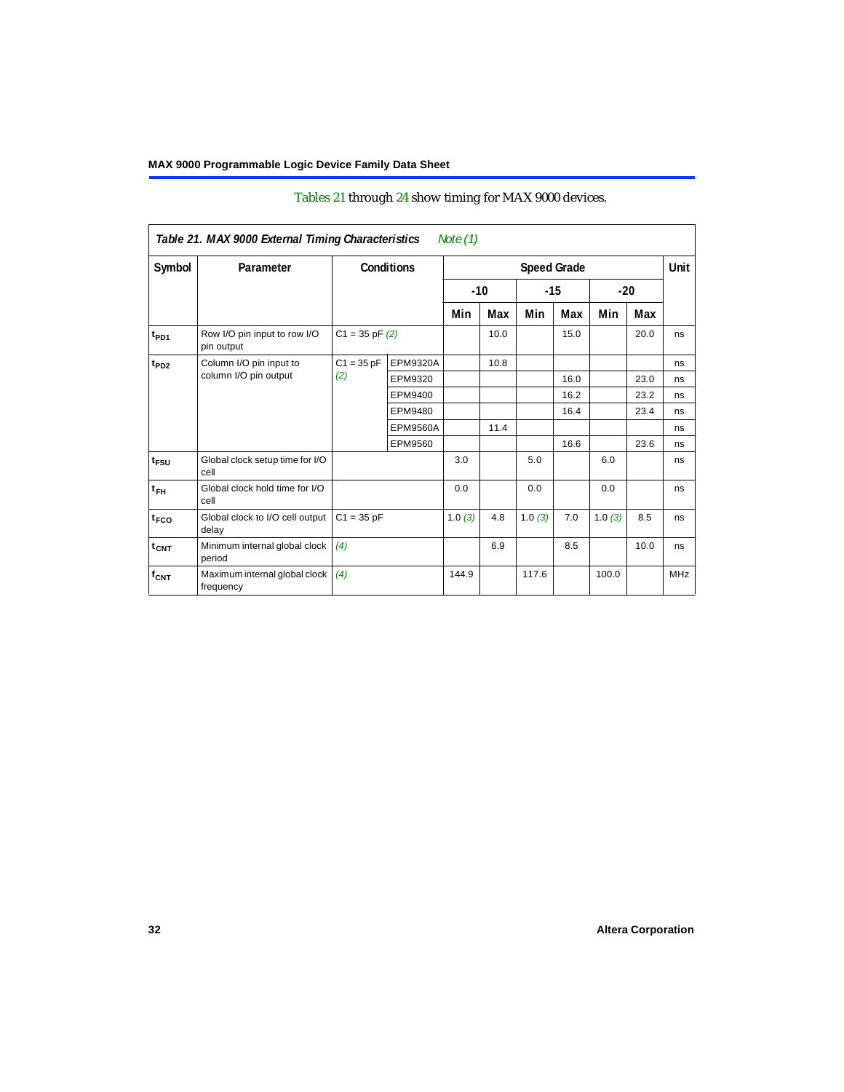<span id="page-31-0"></span>

|                  | Table 21. MAX 9000 External Timing Characteristics |                    |                   | Note $(1)$ |       |        |                    |        |       |            |
|------------------|----------------------------------------------------|--------------------|-------------------|------------|-------|--------|--------------------|--------|-------|------------|
| Symbol           | Parameter                                          |                    | <b>Conditions</b> |            |       |        | <b>Speed Grade</b> |        |       | Unit       |
|                  |                                                    |                    |                   |            | $-10$ | $-15$  |                    |        | $-20$ |            |
|                  |                                                    |                    |                   | Min        | Max   | Min    | Max                | Min    | Max   |            |
| t <sub>PD1</sub> | Row I/O pin input to row I/O<br>pin output         | $C1 = 35$ pF $(2)$ |                   |            | 10.0  |        | 15.0               |        | 20.0  | ns         |
| $t_{PD2}$        | Column I/O pin input to                            | $C1 = 35 pF$       | <b>EPM9320A</b>   |            | 10.8  |        |                    |        |       | ns         |
|                  | column I/O pin output                              | (2)                | EPM9320           |            |       |        | 16.0               |        | 23.0  | ns         |
|                  |                                                    |                    | EPM9400           |            |       |        | 16.2               |        | 23.2  | ns         |
|                  |                                                    |                    | EPM9480           |            |       |        | 16.4               |        | 23.4  | ns         |
|                  |                                                    |                    | <b>EPM9560A</b>   |            | 11.4  |        |                    |        |       | ns         |
|                  |                                                    |                    | EPM9560           |            |       |        | 16.6               |        | 23.6  | ns         |
| $t_{FSU}$        | Global clock setup time for I/O<br>cell            |                    |                   | 3.0        |       | 5.0    |                    | 6.0    |       | ns         |
| $t_{FH}$         | Global clock hold time for I/O<br>cell             |                    |                   | 0.0        |       | 0.0    |                    | 0.0    |       | ns         |
| t <sub>FCO</sub> | Global clock to I/O cell output<br>delay           | $C1 = 35 pF$       |                   | 1.0(3)     | 4.8   | 1.0(3) | 7.0                | 1.0(3) | 8.5   | ns         |
| t <sub>CNT</sub> | Minimum internal global clock<br>period            | (4)                |                   |            | 6.9   |        | 8.5                |        | 10.0  | ns         |
| $f_{CNT}$        | Maximum internal global clock<br>frequency         | (4)                |                   | 144.9      |       | 117.6  |                    | 100.0  |       | <b>MHz</b> |

# [Tables 21](#page-31-0) through [24](#page-34-4) show timing for MAX 9000 devices.

٦

Г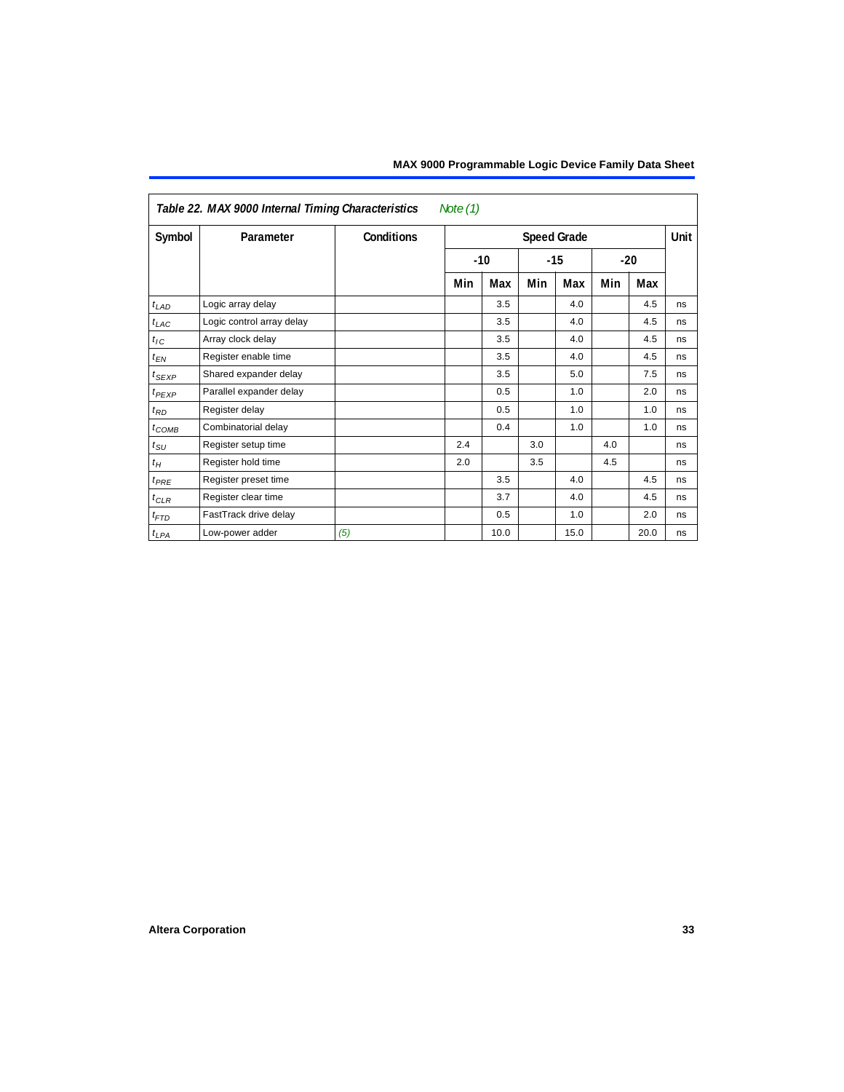| Note $(1)$<br>Table 22. MAX 9000 Internal Timing Characteristics |                           |                   |                    |       |     |                |     |      |             |
|------------------------------------------------------------------|---------------------------|-------------------|--------------------|-------|-----|----------------|-----|------|-------------|
| Symbol                                                           | Parameter                 | <b>Conditions</b> | <b>Speed Grade</b> |       |     |                |     |      | <b>Unit</b> |
|                                                                  |                           |                   |                    | $-10$ |     | $-15$<br>$-20$ |     |      |             |
|                                                                  |                           |                   | Min                | Max   | Min | Max            | Min | Max  |             |
| $t_{LAD}$                                                        | Logic array delay         |                   |                    | 3.5   |     | 4.0            |     | 4.5  | ns          |
| $t_{LAC}$                                                        | Logic control array delay |                   |                    | 3.5   |     | 4.0            |     | 4.5  | ns          |
| $t_{IC}$                                                         | Array clock delay         |                   |                    | 3.5   |     | 4.0            |     | 4.5  | ns          |
| $t_{EN}$                                                         | Register enable time      |                   |                    | 3.5   |     | 4.0            |     | 4.5  | ns          |
| $t_{SEXP}$                                                       | Shared expander delay     |                   |                    | 3.5   |     | 5.0            |     | 7.5  | ns          |
| $t_{PEXP}$                                                       | Parallel expander delay   |                   |                    | 0.5   |     | 1.0            |     | 2.0  | ns          |
| $t_{RD}$                                                         | Register delay            |                   |                    | 0.5   |     | 1.0            |     | 1.0  | ns          |
| $t_{COMB}$                                                       | Combinatorial delay       |                   |                    | 0.4   |     | 1.0            |     | 1.0  | ns          |
| $t_{SU}$                                                         | Register setup time       |                   | 2.4                |       | 3.0 |                | 4.0 |      | ns          |
| $t_H$                                                            | Register hold time        |                   | 2.0                |       | 3.5 |                | 4.5 |      | ns          |
| $t_{PRE}$                                                        | Register preset time      |                   |                    | 3.5   |     | 4.0            |     | 4.5  | ns          |
| $t_{CLR}$                                                        | Register clear time       |                   |                    | 3.7   |     | 4.0            |     | 4.5  | ns          |
| $t_{FTD}$                                                        | FastTrack drive delay     |                   |                    | 0.5   |     | 1.0            |     | 2.0  | ns          |
| $t_{LPA}$                                                        | Low-power adder           | (5)               |                    | 10.0  |     | 15.0           |     | 20.0 | ns          |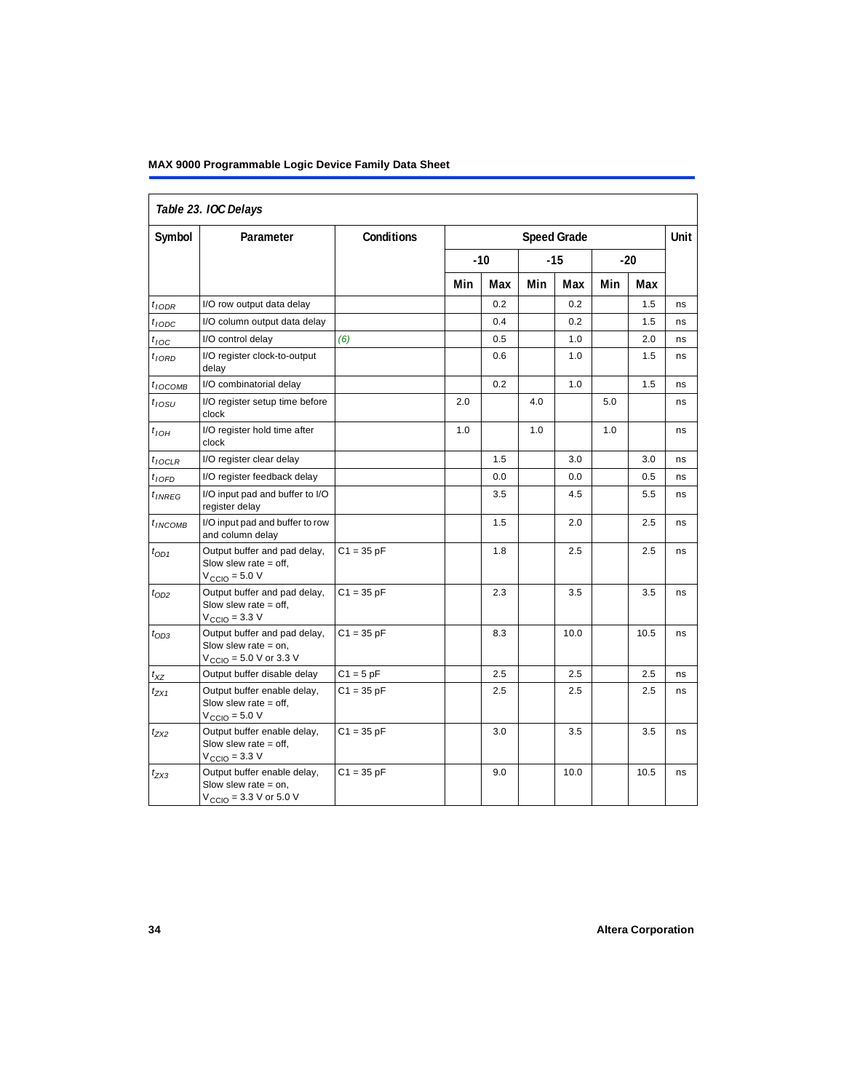## **MAX 9000 Programmable Logic Device Family Data Sheet**

| Table 23. IOC Delays |                                                                                                               |              |     |                    |     |       |     |       |      |
|----------------------|---------------------------------------------------------------------------------------------------------------|--------------|-----|--------------------|-----|-------|-----|-------|------|
| Symbol               | Parameter                                                                                                     | Conditions   |     | <b>Speed Grade</b> |     |       |     |       | Unit |
|                      |                                                                                                               |              |     | $-10$              |     | $-15$ |     | $-20$ |      |
|                      |                                                                                                               |              | Min | Max                | Min | Max   | Min | Max   |      |
| $t_{IODR}$           | I/O row output data delay                                                                                     |              |     | 0.2                |     | 0.2   |     | 1.5   | ns   |
| t <sub>IODC</sub>    | I/O column output data delay                                                                                  |              |     | 0.4                |     | 0.2   |     | 1.5   | ns   |
| $t_{\textit{loc}}$   | I/O control delay                                                                                             | (6)          |     | 0.5                |     | 1.0   |     | 2.0   | ns   |
| $t_{IORD}$           | I/O register clock-to-output<br>delay                                                                         |              |     | 0.6                |     | 1.0   |     | 1.5   | ns   |
| $t_{IOCOMB}$         | I/O combinatorial delay                                                                                       |              |     | 0.2                |     | 1.0   |     | 1.5   | ns   |
| t <sub>10SU</sub>    | I/O register setup time before<br>clock                                                                       |              | 2.0 |                    | 4.0 |       | 5.0 |       | ns   |
| $t$ <sub>IOH</sub>   | I/O register hold time after<br>clock                                                                         |              | 1.0 |                    | 1.0 |       | 1.0 |       | ns   |
| $t_{IOCLR}$          | I/O register clear delay                                                                                      |              |     | 1.5                |     | 3.0   |     | 3.0   | ns   |
| $t_{IOFD}$           | I/O register feedback delay                                                                                   |              |     | 0.0                |     | 0.0   |     | 0.5   | ns   |
| $t_{INREG}$          | I/O input pad and buffer to I/O<br>register delay                                                             |              |     | 3.5                |     | 4.5   |     | 5.5   | ns   |
| $t_{INCOMB}$         | I/O input pad and buffer to row<br>and column delay                                                           |              |     | 1.5                |     | 2.0   |     | 2.5   | ns   |
| $t_{OD1}$            | Output buffer and pad delay,<br>Slow slew rate $=$ off,<br>$V_{\text{CCIO}} = 5.0 V$                          | $C1 = 35 pF$ |     | 1.8                |     | 2.5   |     | 2.5   | ns   |
| $t_{OD2}$            | Output buffer and pad delay,<br>Slow slew rate $=$ off,<br>$V_{\text{CCIO}} = 3.3 \text{ V}$                  | $C1 = 35 pF$ |     | 2.3                |     | 3.5   |     | 3.5   | ns   |
| $t_{OD3}$            | Output buffer and pad delay,<br>Slow slew rate $=$ on.<br>$V_{\text{CCIO}} = 5.0 \text{ V or } 3.3 \text{ V}$ | $C1 = 35 pF$ |     | 8.3                |     | 10.0  |     | 10.5  | ns   |
| $t_{XZ}$             | Output buffer disable delay                                                                                   | $C1 = 5$ pF  |     | 2.5                |     | 2.5   |     | 2.5   | ns   |
| $t_{ZX1}$            | Output buffer enable delay,<br>Slow slew rate $=$ off,<br>$V_{\text{CCIO}} = 5.0 V$                           | $C1 = 35 pF$ |     | 2.5                |     | 2.5   |     | 2.5   | ns   |
| t <sub>ZX2</sub>     | Output buffer enable delay,<br>Slow slew rate $=$ off,<br>$V_{\text{CCIO}} = 3.3 \text{ V}$                   | $C1 = 35 pF$ |     | 3.0                |     | 3.5   |     | 3.5   | ns   |
| $t_{ZX3}$            | Output buffer enable delay,<br>Slow slew rate $=$ on,<br>$V_{\text{CCIO}} = 3.3 \text{ V or } 5.0 \text{ V}$  | $C1 = 35 pF$ |     | 9.0                |     | 10.0  |     | 10.5  | ns   |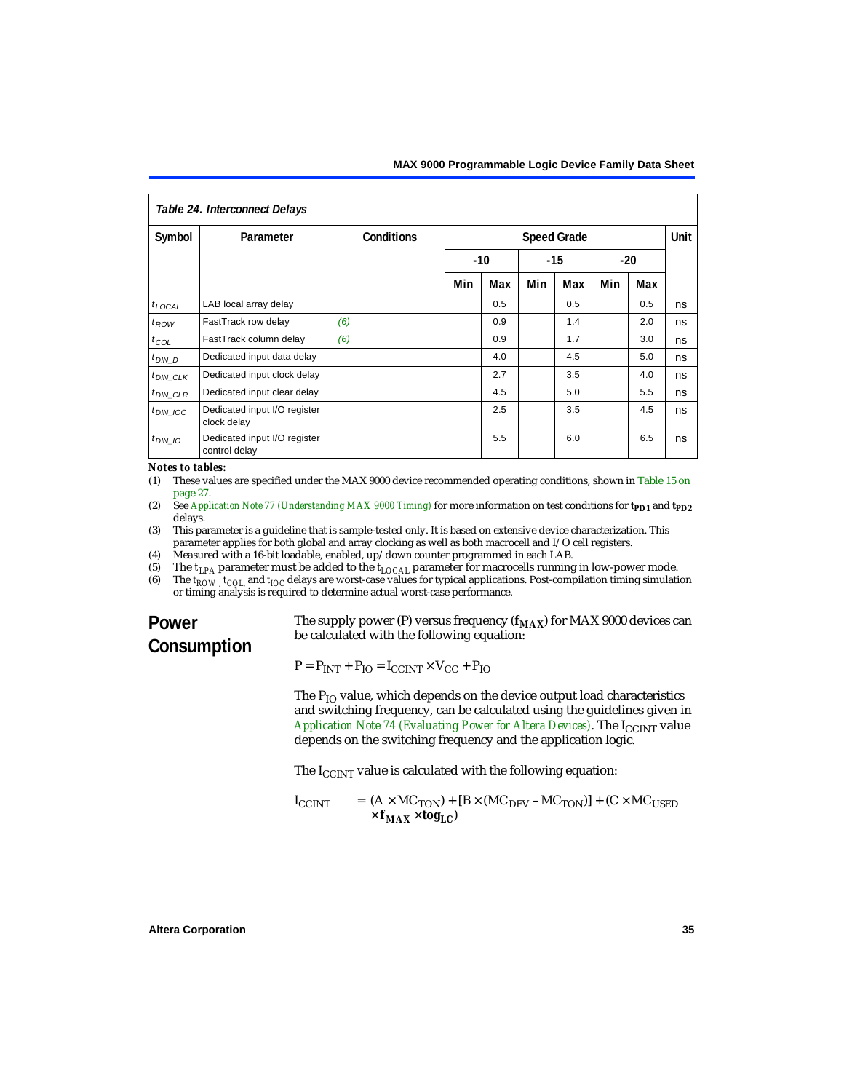<span id="page-34-4"></span>

| Table 24. Interconnect Delays |                                               |            |                    |     |       |     |       |             |    |
|-------------------------------|-----------------------------------------------|------------|--------------------|-----|-------|-----|-------|-------------|----|
| Symbol                        | Parameter                                     | Conditions | <b>Speed Grade</b> |     |       |     |       | <b>Unit</b> |    |
|                               |                                               |            | $-10$              |     | $-15$ |     | $-20$ |             |    |
|                               |                                               |            | Min                | Max | Min   | Max | Min   | Max         |    |
| $t_{\text{LOCAL}}$            | LAB local array delay                         |            |                    | 0.5 |       | 0.5 |       | 0.5         | ns |
| $t_{ROW}$                     | FastTrack row delay                           | (6)        |                    | 0.9 |       | 1.4 |       | 2.0         | ns |
| $t_{COL}$                     | FastTrack column delay                        | (6)        |                    | 0.9 |       | 1.7 |       | 3.0         | ns |
| $t_{DIN\_D}$                  | Dedicated input data delay                    |            |                    | 4.0 |       | 4.5 |       | 5.0         | ns |
| $t_{DIN\_CLK}$                | Dedicated input clock delay                   |            |                    | 2.7 |       | 3.5 |       | 4.0         | ns |
| $t_{DIN\_CLR}$                | Dedicated input clear delay                   |            |                    | 4.5 |       | 5.0 |       | 5.5         | ns |
| $t_{DIN}$ 10C                 | Dedicated input I/O register<br>clock delay   |            |                    | 2.5 |       | 3.5 |       | 4.5         | ns |
| $t_{DIN}$ 10                  | Dedicated input I/O register<br>control delay |            |                    | 5.5 |       | 6.0 |       | 6.5         | ns |

#### *Notes to tables:*

- <span id="page-34-0"></span>(1) These values are specified under the MAX 9000 device recommended operating conditions, shown in [Table 15 on](#page-26-1)  [page 27](#page-26-1).
- <span id="page-34-1"></span>(2) See *[Application Note 77 \(Understanding MAX 9000 Timing\)](#page-0-1)* for more information on test conditions for **t<sub>PD1</sub>** and **t**<sub>PD2</sub> delays.
- <span id="page-34-2"></span>(3) This parameter is a guideline that is sample-tested only. It is based on extensive device characterization. This parameter applies for both global and array clocking as well as both macrocell and I/O cell registers.
- <span id="page-34-3"></span>(4) Measured with a 16-bit loadable, enabled, up/down counter programmed in each LAB.
- <span id="page-34-5"></span>(5) The  $t_{LPA}$  parameter must be added to the  $t_{LOCAL}$  parameter for macrocells running in low-power mode.<br>(6) The  $t_{POW}$   $t_{CO}$  and  $t_{IO}$  delays are worst-case values for typical applications. Post-compilation timing si
- <span id="page-34-6"></span>The  $t_{ROW}$ ,  $t_{COU}$  and  $t_{IOC}$  delays are worst-case values for typical applications. Post-compilation timing simulation or timing analysis is required to determine actual worst-case performance.

# **Power Consumption**

The supply power (P) versus frequency  $(f_{MAX})$  for MAX 9000 devices can be calculated with the following equation:

 $P = P_{INT} + P_{IO} = I_{CCINT} \times V_{CC} + P_{IO}$ 

The  $P_{IO}$  value, which depends on the device output load characteristics and switching frequency, can be calculated using the guidelines given in *[Application Note 74 \(Evaluating Power for Altera Devices\)](#page-0-1)*. The I<sub>CCINT</sub> value depends on the switching frequency and the application logic.

The  $I_{C CINT}$  value is calculated with the following equation:

$$
I_{\text{CCINT}} = (A \times MC_{\text{TON}}) + [B \times (MC_{\text{DEV}} - MC_{\text{TON}})] + (C \times MC_{\text{USED}}
$$

$$
\times f_{\text{MAX}} \times \text{tog}_{\text{LC}}
$$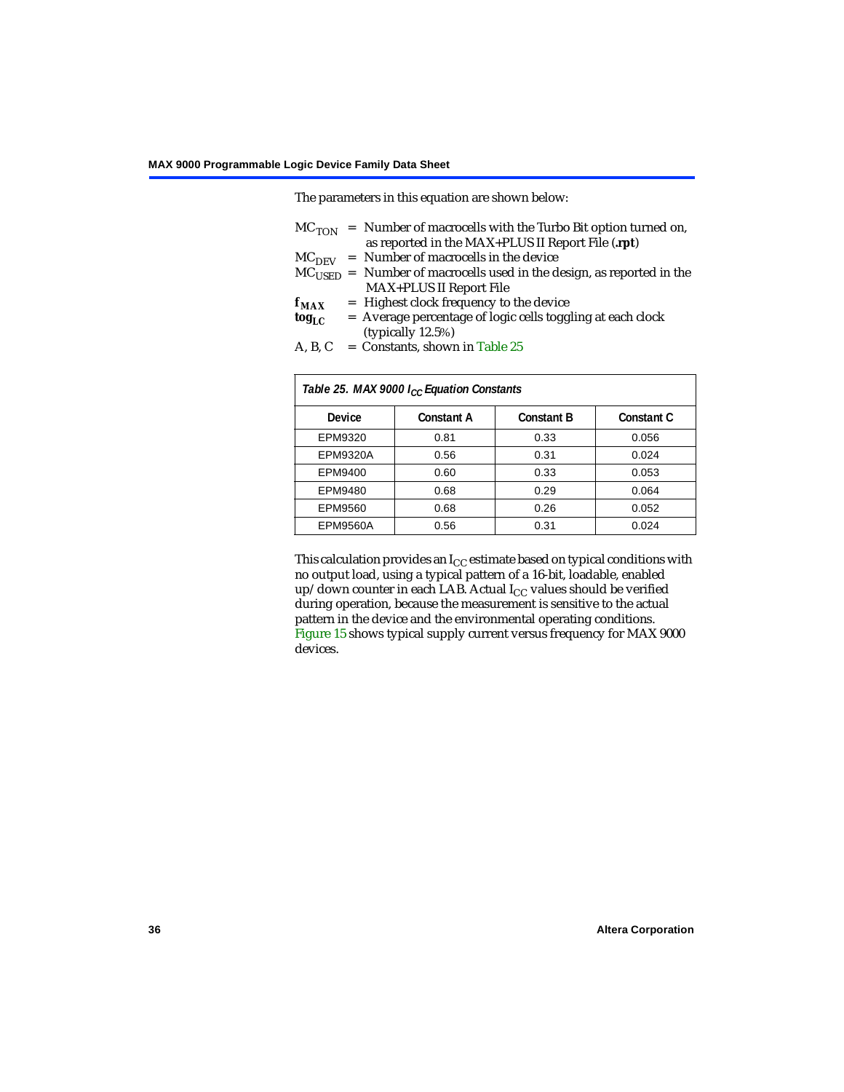The parameters in this equation are shown below:

- $MC<sub>TON</sub>$  = Number of macrocells with the Turbo Bit option turned on, as reported in the MAX+PLUS II Report File (**.rpt**)
- $MC<sub>DEFV</sub>$  = Number of macrocells in the device
- $MC<sub>LISED</sub>$  = Number of macrocells used in the design, as reported in the MAX+PLUS II Report File
- $f_{MAX}$  = Highest clock frequency to the device<br>tog<sub>LC</sub> = Average percentage of logic cells togg
- = Average percentage of logic cells toggling at each clock (typically 12.5%)
- A, B, C = Constants, shown in Table  $25$

<span id="page-35-0"></span>

| Table 25. MAX 9000 I <sub>CC</sub> Equation Constants |                   |                   |                   |  |  |  |
|-------------------------------------------------------|-------------------|-------------------|-------------------|--|--|--|
| Device                                                | <b>Constant A</b> | <b>Constant B</b> | <b>Constant C</b> |  |  |  |
| EPM9320                                               | 0.81              | 0.33              | 0.056             |  |  |  |
| <b>EPM9320A</b>                                       | 0.56              | 0.31              | 0.024             |  |  |  |
| EPM9400                                               | 0.60              | 0.33              | 0.053             |  |  |  |
| EPM9480                                               | 0.68              | 0.29              | 0.064             |  |  |  |
| EPM9560                                               | 0.68              | 0.26              | 0.052             |  |  |  |
| <b>EPM9560A</b>                                       | 0.56              | 0.31              | 0.024             |  |  |  |

This calculation provides an  $I_{CC}$  estimate based on typical conditions with no output load, using a typical pattern of a 16-bit, loadable, enabled up/down counter in each LAB. Actual  $I_{CC}$  values should be verified during operation, because the measurement is sensitive to the actual pattern in the device and the environmental operating conditions. [Figure 15](#page-36-0) shows typical supply current versus frequency for MAX 9000 devices.

٦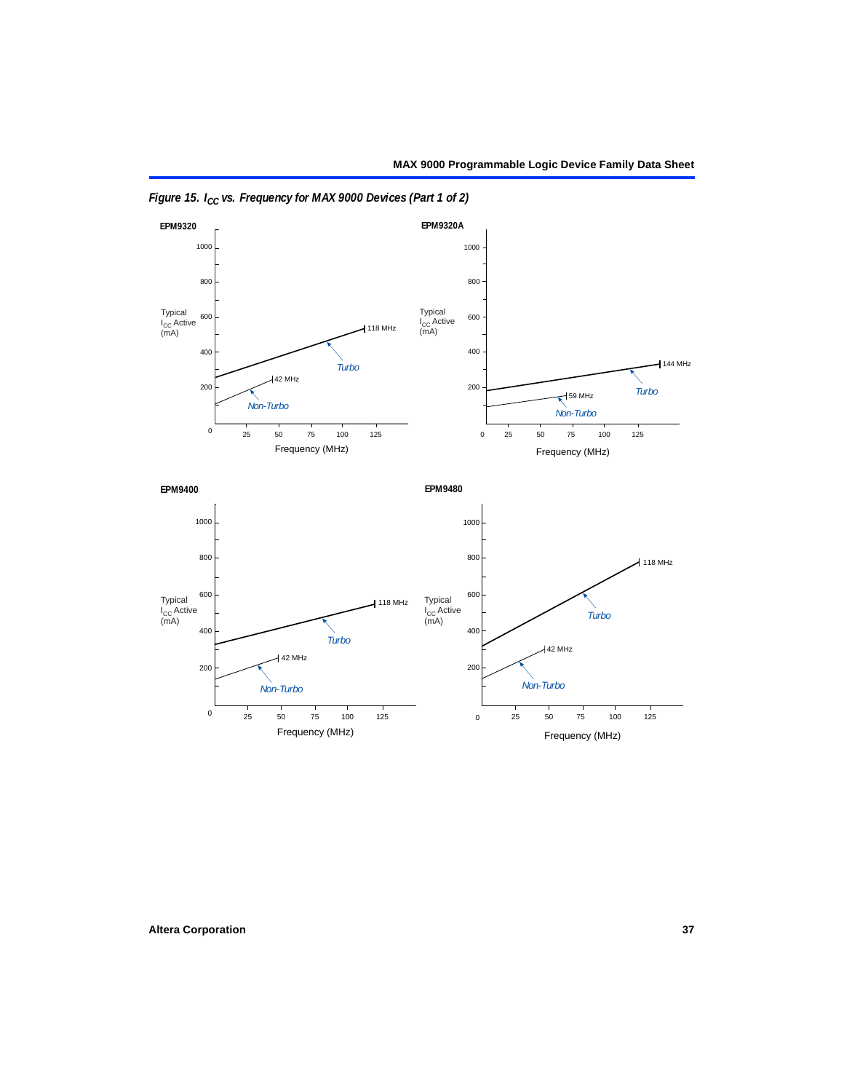

<span id="page-36-0"></span>*Figure 15. I<sub>CC</sub> vs. Frequency for MAX 9000 Devices (Part 1 of 2)*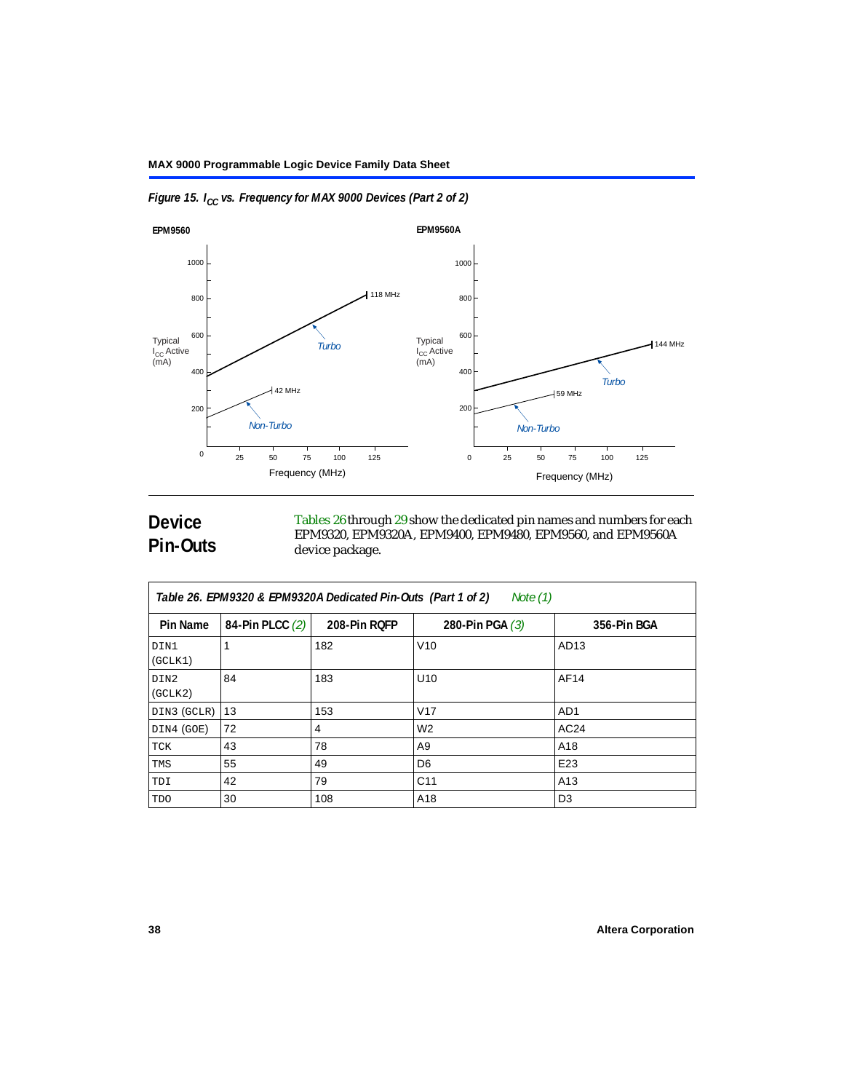

*Figure 15. I<sub>CC</sub> vs. Frequency for MAX 9000 Devices (Part 2 of 2)* 

# <span id="page-37-0"></span>**Device Pin-Outs**

[Tables 26](#page-37-1) through [29](#page-41-0) show the dedicated pin names and numbers for each EPM9320, EPM9320A, EPM9400, EPM9480, EPM9560, and EPM9560A device package.

<span id="page-37-1"></span>

| Table 26. EPM9320 & EPM9320A Dedicated Pin-Outs (Part 1 of 2)<br>Note (1) |                 |              |                   |                  |  |  |  |
|---------------------------------------------------------------------------|-----------------|--------------|-------------------|------------------|--|--|--|
| Pin Name                                                                  | 84-Pin PLCC (2) | 208-Pin ROFP | 280-Pin PGA $(3)$ | 356-Pin BGA      |  |  |  |
| DIN1<br>(GCLK1)                                                           |                 | 182          | V10               | AD <sub>13</sub> |  |  |  |
| DIN2<br>(GCLK2)                                                           | 84              | 183          | U <sub>10</sub>   | AF14             |  |  |  |
| DIN3 (GCLR)                                                               | 13              | 153          | V17               | AD <sub>1</sub>  |  |  |  |
| DIN4 (GOE)                                                                | 72              | 4            | W <sub>2</sub>    | AC24             |  |  |  |
| TCK                                                                       | 43              | 78           | A9                | A18              |  |  |  |
| TMS                                                                       | 55              | 49           | D <sub>6</sub>    | E23              |  |  |  |
| TDI                                                                       | 42              | 79           | C <sub>11</sub>   | A13              |  |  |  |
| <b>TDO</b>                                                                | 30              | 108          | A <sub>18</sub>   | D <sub>3</sub>   |  |  |  |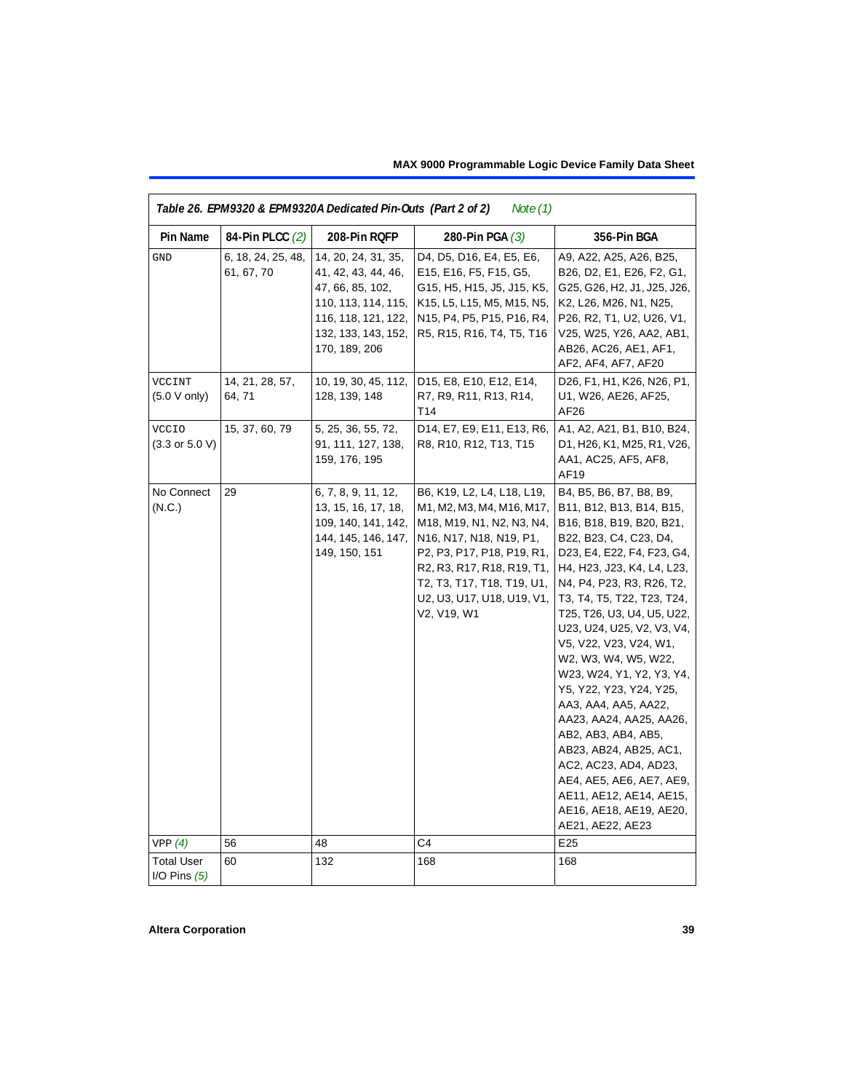| Note $(1)$<br>Table 26. EPM9320 & EPM9320A Dedicated Pin-Outs (Part 2 of 2) |                                  |                                                                                                                                                      |                                                                                                                                                                                                                                                        |                                                                                                                                                                                                                                                                                                                                                                                                                                                                                                                                                                                                                                           |  |  |  |
|-----------------------------------------------------------------------------|----------------------------------|------------------------------------------------------------------------------------------------------------------------------------------------------|--------------------------------------------------------------------------------------------------------------------------------------------------------------------------------------------------------------------------------------------------------|-------------------------------------------------------------------------------------------------------------------------------------------------------------------------------------------------------------------------------------------------------------------------------------------------------------------------------------------------------------------------------------------------------------------------------------------------------------------------------------------------------------------------------------------------------------------------------------------------------------------------------------------|--|--|--|
| Pin Name                                                                    | 84-Pin PLCC (2)                  | 208-Pin RQFP                                                                                                                                         | 280-Pin PGA $(3)$                                                                                                                                                                                                                                      | 356-Pin BGA                                                                                                                                                                                                                                                                                                                                                                                                                                                                                                                                                                                                                               |  |  |  |
| <b>GND</b>                                                                  | 6, 18, 24, 25, 48,<br>61, 67, 70 | 14, 20, 24, 31, 35,<br>41, 42, 43, 44, 46,<br>47, 66, 85, 102,<br>110, 113, 114, 115,<br>116, 118, 121, 122,<br>132, 133, 143, 152,<br>170, 189, 206 | D4, D5, D16, E4, E5, E6,<br>E15, E16, F5, F15, G5,<br>G15, H5, H15, J5, J15, K5,<br>K15, L5, L15, M5, M15, N5,<br>N15, P4, P5, P15, P16, R4,<br>R5, R15, R16, T4, T5, T16                                                                              | A9, A22, A25, A26, B25,<br>B26, D2, E1, E26, F2, G1,<br>G25, G26, H2, J1, J25, J26,<br>K2, L26, M26, N1, N25,<br>P26, R2, T1, U2, U26, V1,<br>V25, W25, Y26, AA2, AB1,<br>AB26, AC26, AE1, AF1,<br>AF2, AF4, AF7, AF20                                                                                                                                                                                                                                                                                                                                                                                                                    |  |  |  |
| VCCINT<br>(5.0 V only)                                                      | 14, 21, 28, 57,<br>64, 71        | 10, 19, 30, 45, 112,<br>128, 139, 148                                                                                                                | D15, E8, E10, E12, E14,<br>R7, R9, R11, R13, R14,<br>T14                                                                                                                                                                                               | D26, F1, H1, K26, N26, P1,<br>U1, W26, AE26, AF25,<br>AF <sub>26</sub>                                                                                                                                                                                                                                                                                                                                                                                                                                                                                                                                                                    |  |  |  |
| <b>VCCIO</b><br>$(3.3 \text{ or } 5.0 \text{ V})$                           | 15, 37, 60, 79                   | 5, 25, 36, 55, 72,<br>91, 111, 127, 138,<br>159, 176, 195                                                                                            | D14, E7, E9, E11, E13, R6,<br>R8, R10, R12, T13, T15                                                                                                                                                                                                   | A1, A2, A21, B1, B10, B24,<br>D1, H26, K1, M25, R1, V26,<br>AA1, AC25, AF5, AF8,<br>AF19                                                                                                                                                                                                                                                                                                                                                                                                                                                                                                                                                  |  |  |  |
| No Connect<br>(N.C.)                                                        | 29                               | 6, 7, 8, 9, 11, 12,<br>13, 15, 16, 17, 18,<br>109, 140, 141, 142,<br>144, 145, 146, 147,<br>149, 150, 151                                            | B6, K19, L2, L4, L18, L19,<br>M1, M2, M3, M4, M16, M17,<br>M18, M19, N1, N2, N3, N4,<br>N16, N17, N18, N19, P1,<br>P2, P3, P17, P18, P19, R1,<br>R2, R3, R17, R18, R19, T1,<br>T2, T3, T17, T18, T19, U1,<br>U2, U3, U17, U18, U19, V1,<br>V2, V19, W1 | B4, B5, B6, B7, B8, B9,<br>B11, B12, B13, B14, B15,<br>B16, B18, B19, B20, B21,<br>B22, B23, C4, C23, D4,<br>D23, E4, E22, F4, F23, G4,<br>H4, H23, J23, K4, L4, L23,<br>N4, P4, P23, R3, R26, T2,<br>T3, T4, T5, T22, T23, T24,<br>T25, T26, U3, U4, U5, U22,<br>U23, U24, U25, V2, V3, V4,<br>V5, V22, V23, V24, W1,<br>W2, W3, W4, W5, W22,<br>W23, W24, Y1, Y2, Y3, Y4,<br>Y5, Y22, Y23, Y24, Y25,<br>AA3, AA4, AA5, AA22,<br>AA23, AA24, AA25, AA26,<br>AB2, AB3, AB4, AB5,<br>AB23, AB24, AB25, AC1,<br>AC2, AC23, AD4, AD23,<br>AE4, AE5, AE6, AE7, AE9,<br>AE11, AE12, AE14, AE15,<br>AE16, AE18, AE19, AE20,<br>AE21, AE22, AE23 |  |  |  |
| VPP(4)                                                                      | 56                               | 48                                                                                                                                                   | C4                                                                                                                                                                                                                                                     | E25                                                                                                                                                                                                                                                                                                                                                                                                                                                                                                                                                                                                                                       |  |  |  |
| <b>Total User</b><br>I/O Pins $(5)$                                         | 60                               | 132                                                                                                                                                  | 168                                                                                                                                                                                                                                                    | 168                                                                                                                                                                                                                                                                                                                                                                                                                                                                                                                                                                                                                                       |  |  |  |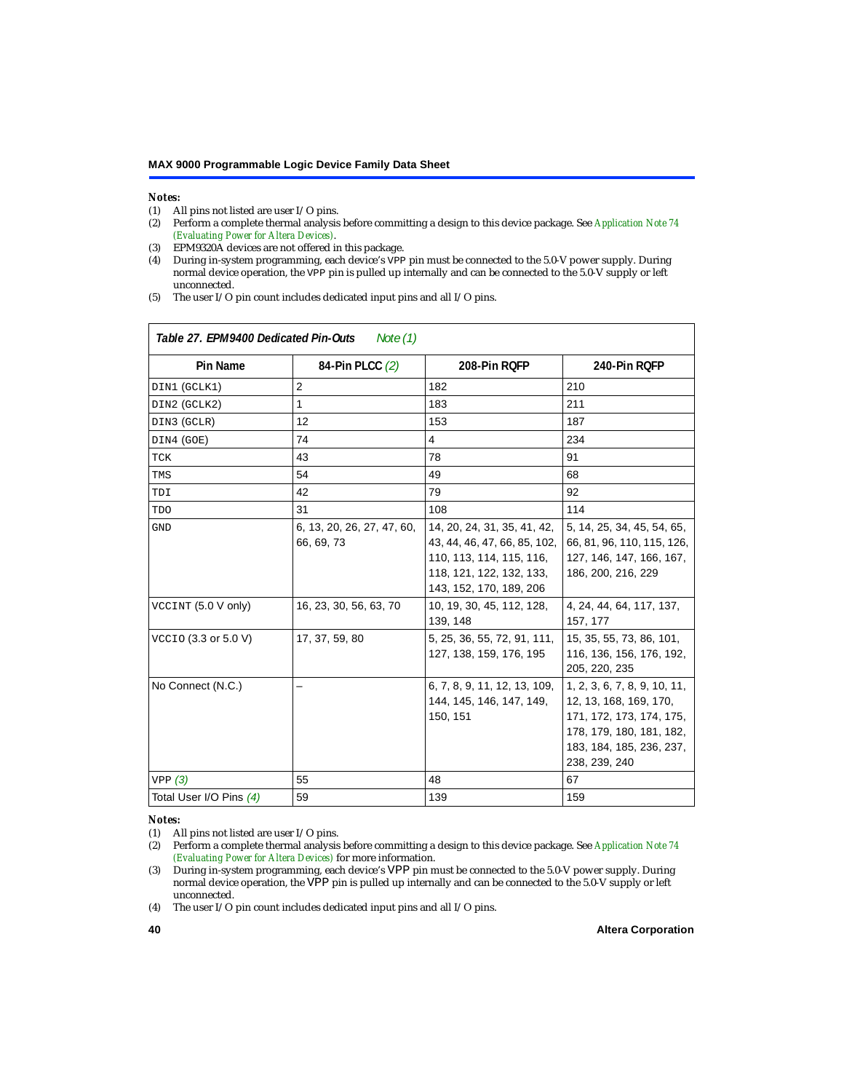# *Notes:*<br>(1) A

Г

- <span id="page-39-1"></span>(1) All pins not listed are user  $I/O$  pins.<br>(2) Perform a complete thermal analysis
- <span id="page-39-2"></span>(2) Perform a complete thermal analysis before committing a design to this device package. See *[Application Note 74](#page-0-1)  [\(Evaluating Power for Altera Devices\)](#page-0-1)*.
- <span id="page-39-0"></span>(3) EPM9320A devices are not offered in this package.
- <span id="page-39-3"></span>(4) During in-system programming, each device's VPP pin must be connected to the 5.0-V power supply. During normal device operation, the VPP pin is pulled up internally and can be connected to the 5.0-V supply or left unconnected.
- <span id="page-39-4"></span>(5) The user I/O pin count includes dedicated input pins and all I/O pins.

| Table 27. EPM9400 Dedicated Pin-Outs<br>Note (1) |                                          |                                                                                                                                                |                                                                                                                                                             |  |  |  |
|--------------------------------------------------|------------------------------------------|------------------------------------------------------------------------------------------------------------------------------------------------|-------------------------------------------------------------------------------------------------------------------------------------------------------------|--|--|--|
| <b>Pin Name</b>                                  | 84-Pin PLCC (2)                          | 208-Pin RQFP                                                                                                                                   | 240-Pin RQFP                                                                                                                                                |  |  |  |
| DIN1 (GCLK1)                                     | $\overline{2}$                           | 182                                                                                                                                            | 210                                                                                                                                                         |  |  |  |
| DIN2 (GCLK2)                                     | 1                                        | 183                                                                                                                                            | 211                                                                                                                                                         |  |  |  |
| DIN3 (GCLR)                                      | 12                                       | 153                                                                                                                                            | 187                                                                                                                                                         |  |  |  |
| DIN4 (GOE)                                       | 74                                       | $\overline{4}$                                                                                                                                 | 234                                                                                                                                                         |  |  |  |
| TCK                                              | 43                                       | 78                                                                                                                                             | 91                                                                                                                                                          |  |  |  |
| TMS                                              | 54                                       | 49                                                                                                                                             | 68                                                                                                                                                          |  |  |  |
| TDI                                              | 42                                       | 79                                                                                                                                             | 92                                                                                                                                                          |  |  |  |
| <b>TDO</b>                                       | 31                                       | 108                                                                                                                                            | 114                                                                                                                                                         |  |  |  |
| <b>GND</b>                                       | 6, 13, 20, 26, 27, 47, 60,<br>66, 69, 73 | 14, 20, 24, 31, 35, 41, 42,<br>43, 44, 46, 47, 66, 85, 102,<br>110, 113, 114, 115, 116,<br>118, 121, 122, 132, 133,<br>143, 152, 170, 189, 206 | 5, 14, 25, 34, 45, 54, 65,<br>66, 81, 96, 110, 115, 126,<br>127, 146, 147, 166, 167,<br>186, 200, 216, 229                                                  |  |  |  |
| VCCINT (5.0 V only)                              | 16, 23, 30, 56, 63, 70                   | 10, 19, 30, 45, 112, 128,<br>139, 148                                                                                                          | 4, 24, 44, 64, 117, 137,<br>157, 177                                                                                                                        |  |  |  |
| VCCIO (3.3 or 5.0 V)                             | 17, 37, 59, 80                           | 5, 25, 36, 55, 72, 91, 111,<br>127, 138, 159, 176, 195                                                                                         | 15, 35, 55, 73, 86, 101,<br>116, 136, 156, 176, 192,<br>205, 220, 235                                                                                       |  |  |  |
| No Connect (N.C.)                                |                                          | 6, 7, 8, 9, 11, 12, 13, 109,<br>144, 145, 146, 147, 149,<br>150, 151                                                                           | 1, 2, 3, 6, 7, 8, 9, 10, 11,<br>12, 13, 168, 169, 170,<br>171, 172, 173, 174, 175,<br>178, 179, 180, 181, 182,<br>183, 184, 185, 236, 237,<br>238, 239, 240 |  |  |  |
| VPP(3)                                           | 55                                       | 48                                                                                                                                             | 67                                                                                                                                                          |  |  |  |
| Total User I/O Pins (4)                          | 59                                       | 139                                                                                                                                            | 159                                                                                                                                                         |  |  |  |

#### *Notes:*

<span id="page-39-8"></span><sup>(1)</sup> All pins not listed are user I/O pins.

<span id="page-39-5"></span><sup>(2)</sup> Perform a complete thermal analysis before committing a design to this device package. See *[Application Note 74](#page-0-1)  [\(Evaluating Power for Altera Devices\)](#page-0-1)* for more information.

<span id="page-39-6"></span><sup>(3)</sup> During in-system programming, each device's VPP pin must be connected to the 5.0-V power supply. During normal device operation, the VPP pin is pulled up internally and can be connected to the 5.0-V supply or left unconnected.

<span id="page-39-7"></span><sup>(4)</sup> The user I/O pin count includes dedicated input pins and all I/O pins.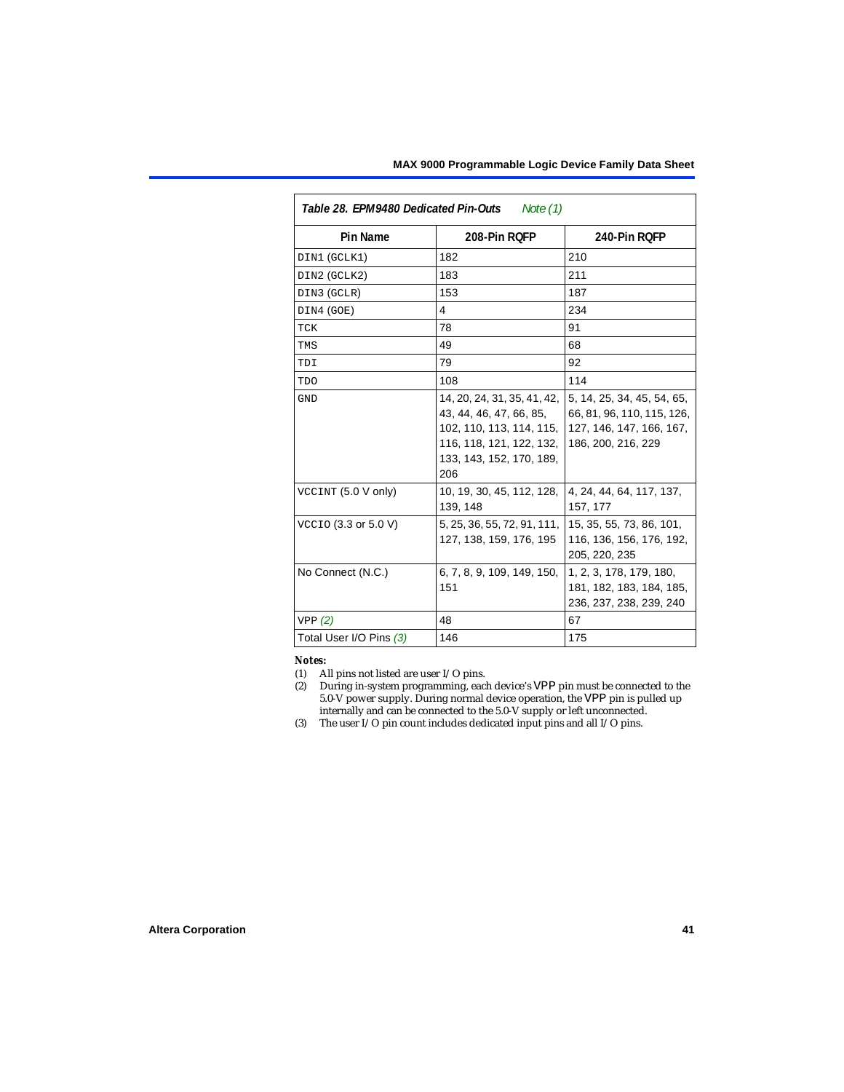| Table 28. EPM9480 Dedicated Pin-Outs<br>Note (1) |                                                                                                                                                   |                                                                                                            |  |  |  |
|--------------------------------------------------|---------------------------------------------------------------------------------------------------------------------------------------------------|------------------------------------------------------------------------------------------------------------|--|--|--|
| Pin Name                                         | 208-Pin ROFP                                                                                                                                      | 240-Pin RQFP                                                                                               |  |  |  |
| DIN1 (GCLK1)                                     | 182                                                                                                                                               | 210                                                                                                        |  |  |  |
| DIN2 (GCLK2)                                     | 183                                                                                                                                               | 211                                                                                                        |  |  |  |
| DIN3 (GCLR)                                      | 153                                                                                                                                               | 187                                                                                                        |  |  |  |
| DIN4 (GOE)                                       | 4                                                                                                                                                 | 234                                                                                                        |  |  |  |
| TCK                                              | 78                                                                                                                                                | 91                                                                                                         |  |  |  |
| TMS                                              | 49                                                                                                                                                | 68                                                                                                         |  |  |  |
| TDI                                              | 79                                                                                                                                                | 92                                                                                                         |  |  |  |
| TDO                                              | 108                                                                                                                                               | 114                                                                                                        |  |  |  |
| GND                                              | 14, 20, 24, 31, 35, 41, 42,<br>43, 44, 46, 47, 66, 85,<br>102, 110, 113, 114, 115,<br>116, 118, 121, 122, 132,<br>133, 143, 152, 170, 189,<br>206 | 5, 14, 25, 34, 45, 54, 65,<br>66, 81, 96, 110, 115, 126,<br>127, 146, 147, 166, 167,<br>186, 200, 216, 229 |  |  |  |
| VCCINT (5.0 V only)                              | 10, 19, 30, 45, 112, 128,<br>139, 148                                                                                                             | 4, 24, 44, 64, 117, 137,<br>157, 177                                                                       |  |  |  |
| VCCIO (3.3 or 5.0 V)                             | 5, 25, 36, 55, 72, 91, 111,<br>127, 138, 159, 176, 195                                                                                            | 15, 35, 55, 73, 86, 101,<br>116, 136, 156, 176, 192,<br>205, 220, 235                                      |  |  |  |
| No Connect (N.C.)                                | 6, 7, 8, 9, 109, 149, 150,<br>151                                                                                                                 | 1, 2, 3, 178, 179, 180,<br>181, 182, 183, 184, 185,<br>236, 237, 238, 239, 240                             |  |  |  |
| VPP(2)                                           | 48                                                                                                                                                | 67                                                                                                         |  |  |  |
| Total User I/O Pins (3)                          | 146                                                                                                                                               | 175                                                                                                        |  |  |  |

#### *Notes:*

- <span id="page-40-0"></span>(1) All pins not listed are user I/O pins.
- <span id="page-40-1"></span>(2) During in-system programming, each device's VPP pin must be connected to the 5.0-V power supply. During normal device operation, the VPP pin is pulled up internally and can be connected to the 5.0-V supply or left unconnected.
- <span id="page-40-2"></span>(3) The user I/O pin count includes dedicated input pins and all I/O pins.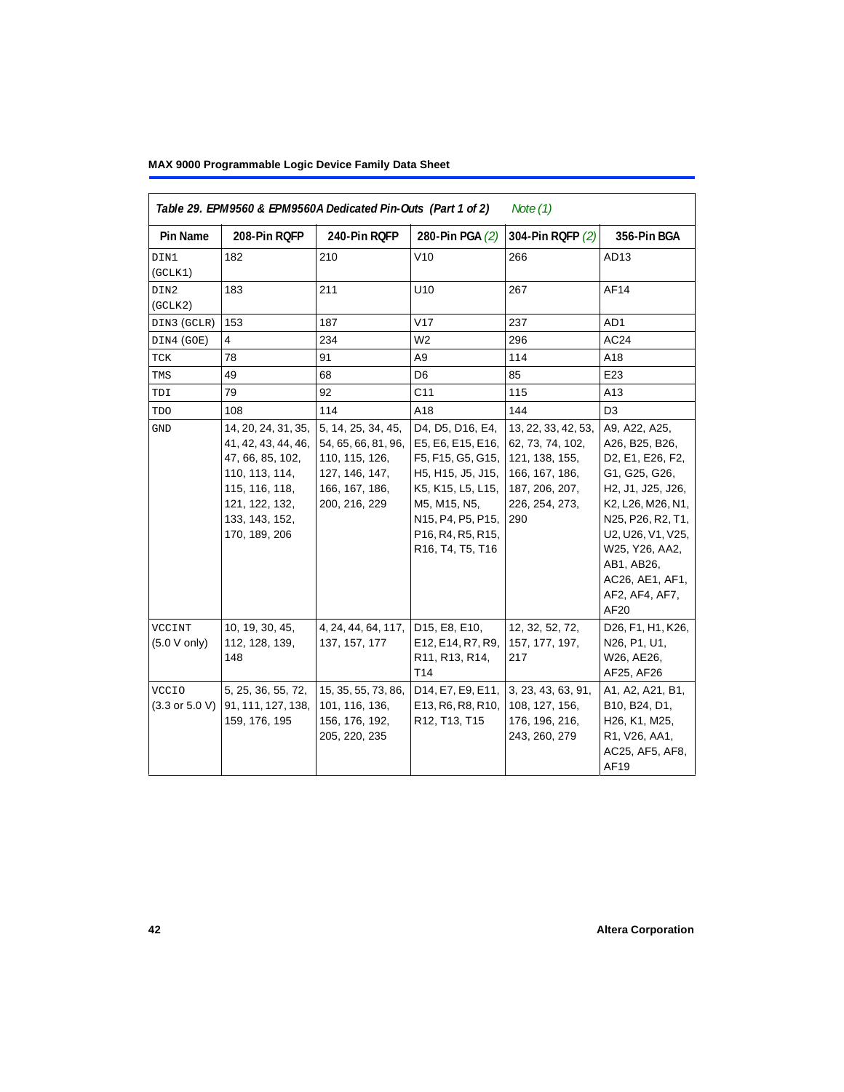<span id="page-41-0"></span>

| Table 29. EPM9560 & EPM9560A Dedicated Pin-Outs (Part 1 of 2)<br>Note $(1)$ |                                                                                                                                                         |                                                                                                                  |                                                                                                                                                                                    |                                                                                                                        |                                                                                                                                                                                                                                       |  |  |
|-----------------------------------------------------------------------------|---------------------------------------------------------------------------------------------------------------------------------------------------------|------------------------------------------------------------------------------------------------------------------|------------------------------------------------------------------------------------------------------------------------------------------------------------------------------------|------------------------------------------------------------------------------------------------------------------------|---------------------------------------------------------------------------------------------------------------------------------------------------------------------------------------------------------------------------------------|--|--|
| Pin Name                                                                    | 208-Pin RQFP                                                                                                                                            | 240-Pin RQFP                                                                                                     | 280-Pin PGA (2)                                                                                                                                                                    | 304-Pin RQFP (2)                                                                                                       | 356-Pin BGA                                                                                                                                                                                                                           |  |  |
| DIN1<br>(GCLK1)                                                             | 182                                                                                                                                                     | 210                                                                                                              | V10                                                                                                                                                                                | 266                                                                                                                    | AD13                                                                                                                                                                                                                                  |  |  |
| DIN2<br>(GCLK2)                                                             | 183                                                                                                                                                     | 211                                                                                                              | U10                                                                                                                                                                                | 267                                                                                                                    | AF14                                                                                                                                                                                                                                  |  |  |
| DIN3 (GCLR)                                                                 | 153                                                                                                                                                     | 187                                                                                                              | V17                                                                                                                                                                                | 237                                                                                                                    | AD1                                                                                                                                                                                                                                   |  |  |
| DIN4 (GOE)                                                                  | 4                                                                                                                                                       | 234                                                                                                              | W2                                                                                                                                                                                 | 296                                                                                                                    | AC24                                                                                                                                                                                                                                  |  |  |
| TCK                                                                         | 78                                                                                                                                                      | 91                                                                                                               | A <sub>9</sub>                                                                                                                                                                     | 114                                                                                                                    | A18                                                                                                                                                                                                                                   |  |  |
| TMS                                                                         | 49                                                                                                                                                      | 68                                                                                                               | D6                                                                                                                                                                                 | 85                                                                                                                     | E23                                                                                                                                                                                                                                   |  |  |
| TDI                                                                         | 79                                                                                                                                                      | 92                                                                                                               | C <sub>11</sub>                                                                                                                                                                    | 115                                                                                                                    | A13                                                                                                                                                                                                                                   |  |  |
| <b>TDO</b>                                                                  | 108                                                                                                                                                     | 114                                                                                                              | A18                                                                                                                                                                                | 144                                                                                                                    | D <sub>3</sub>                                                                                                                                                                                                                        |  |  |
| GND                                                                         | 14, 20, 24, 31, 35,<br>41, 42, 43, 44, 46,<br>47, 66, 85, 102,<br>110, 113, 114,<br>115, 116, 118,<br>121, 122, 132,<br>133, 143, 152,<br>170, 189, 206 | 5, 14, 25, 34, 45,<br>54, 65, 66, 81, 96,<br>110, 115, 126,<br>127, 146, 147,<br>166, 167, 186,<br>200, 216, 229 | D4, D5, D16, E4,<br>E5, E6, E15, E16,<br>F5, F15, G5, G15,<br>H5, H15, J5, J15,<br>K5, K15, L5, L15,<br>M5, M15, N5,<br>N15, P4, P5, P15,<br>P16, R4, R5, R15,<br>R16, T4, T5, T16 | 13, 22, 33, 42, 53,<br>62, 73, 74, 102,<br>121, 138, 155,<br>166, 167, 186,<br>187, 206, 207,<br>226, 254, 273,<br>290 | A9, A22, A25,<br>A26, B25, B26,<br>D2, E1, E26, F2,<br>G1, G25, G26,<br>H2, J1, J25, J26,<br>K2, L26, M26, N1,<br>N25, P26, R2, T1,<br>U2, U26, V1, V25,<br>W25, Y26, AA2,<br>AB1, AB26,<br>AC26, AE1, AF1,<br>AF2, AF4, AF7,<br>AF20 |  |  |
| VCCINT<br>$(5.0 V$ only)                                                    | 10, 19, 30, 45,<br>112, 128, 139,<br>148                                                                                                                | 4, 24, 44, 64, 117,<br>137, 157, 177                                                                             | D15, E8, E10,<br>E12, E14, R7, R9,<br>R11, R13, R14,<br>T14                                                                                                                        | 12, 32, 52, 72,<br>157, 177, 197,<br>217                                                                               | D26, F1, H1, K26,<br>N26, P1, U1,<br>W26, AE26,<br>AF25, AF26                                                                                                                                                                         |  |  |
| <b>VCCIO</b><br>$(3.3 \text{ or } 5.0 \text{ V})$                           | 5, 25, 36, 55, 72,<br>91, 111, 127, 138,<br>159, 176, 195                                                                                               | 15, 35, 55, 73, 86,<br>101, 116, 136,<br>156, 176, 192,<br>205, 220, 235                                         | D14, E7, E9, E11,<br>E13, R6, R8, R10,<br>R12, T13, T15                                                                                                                            | 3, 23, 43, 63, 91,<br>108, 127, 156,<br>176, 196, 216,<br>243, 260, 279                                                | A1, A2, A21, B1,<br>B10, B24, D1,<br>H26, K1, M25,<br>R1, V26, AA1,<br>AC25, AF5, AF8,<br>AF19                                                                                                                                        |  |  |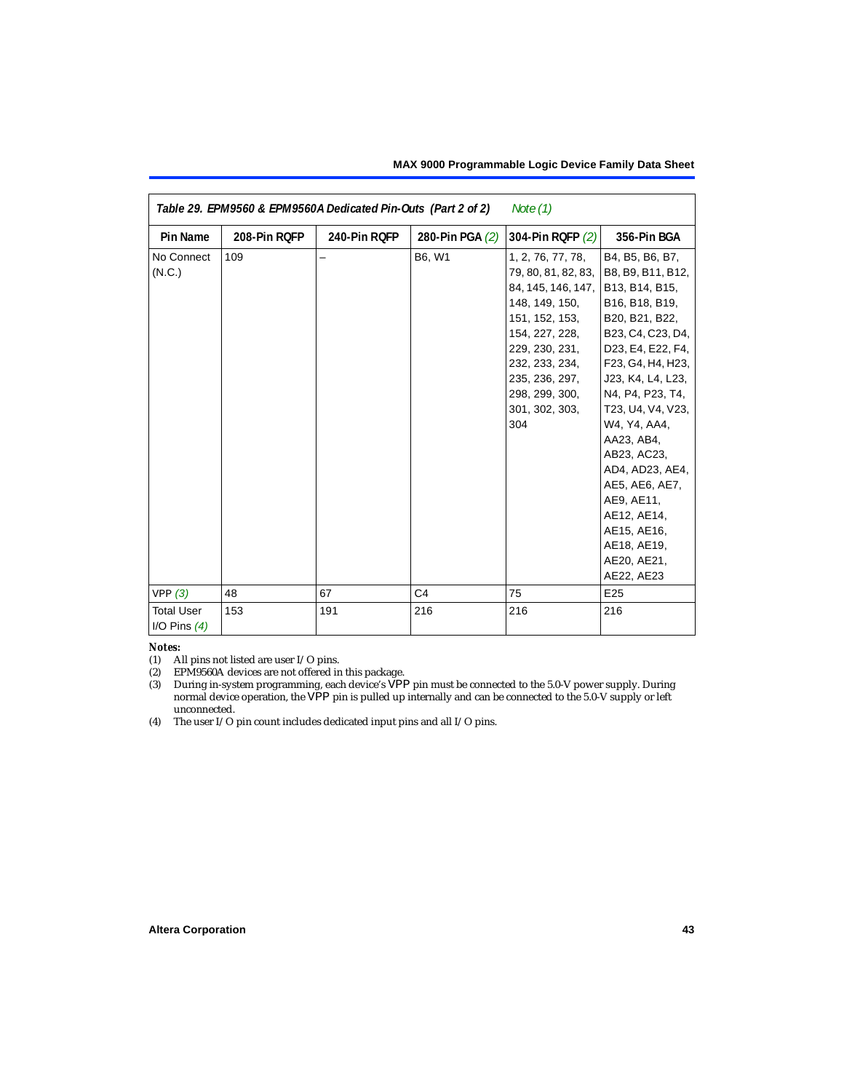| Table 29. EPM9560 & EPM9560A Dedicated Pin-Outs (Part 2 of 2)<br>Note (1) |              |              |                 |                                   |                   |  |  |
|---------------------------------------------------------------------------|--------------|--------------|-----------------|-----------------------------------|-------------------|--|--|
| <b>Pin Name</b>                                                           | 208-Pin RQFP | 240-Pin RQFP | 280-Pin PGA (2) | 304-Pin RQFP (2)                  | 356-Pin BGA       |  |  |
| No Connect                                                                | 109          |              | B6, W1          | 1, 2, 76, 77, 78,                 | B4, B5, B6, B7,   |  |  |
| (N.C.)                                                                    |              |              |                 | 79, 80, 81, 82, 83,               | B8, B9, B11, B12, |  |  |
|                                                                           |              |              |                 | 84, 145, 146, 147, B13, B14, B15, |                   |  |  |
|                                                                           |              |              |                 | 148, 149, 150,                    | B16, B18, B19,    |  |  |
|                                                                           |              |              |                 | 151, 152, 153,                    | B20, B21, B22,    |  |  |
|                                                                           |              |              |                 | 154, 227, 228,                    | B23, C4, C23, D4, |  |  |
|                                                                           |              |              |                 | 229, 230, 231,                    | D23, E4, E22, F4, |  |  |
|                                                                           |              |              |                 | 232, 233, 234,                    | F23, G4, H4, H23, |  |  |
|                                                                           |              |              |                 | 235, 236, 297,                    | J23, K4, L4, L23, |  |  |
|                                                                           |              |              |                 | 298, 299, 300,                    | N4, P4, P23, T4,  |  |  |
|                                                                           |              |              |                 | 301, 302, 303,                    | T23, U4, V4, V23, |  |  |
|                                                                           |              |              |                 | 304                               | W4, Y4, AA4,      |  |  |
|                                                                           |              |              |                 |                                   | AA23, AB4,        |  |  |
|                                                                           |              |              |                 |                                   | AB23, AC23,       |  |  |
|                                                                           |              |              |                 |                                   | AD4, AD23, AE4,   |  |  |
|                                                                           |              |              |                 |                                   | AE5, AE6, AE7,    |  |  |
|                                                                           |              |              |                 |                                   | AE9, AE11,        |  |  |
|                                                                           |              |              |                 |                                   | AE12, AE14,       |  |  |
|                                                                           |              |              |                 |                                   | AE15, AE16,       |  |  |
|                                                                           |              |              |                 |                                   | AE18, AE19,       |  |  |
|                                                                           |              |              |                 |                                   | AE20, AE21,       |  |  |
|                                                                           |              |              |                 |                                   | AE22, AE23        |  |  |
| VPP(3)                                                                    | 48           | 67           | C <sub>4</sub>  | 75                                | E25               |  |  |
| <b>Total User</b><br>I/O Pins $(4)$                                       | 153          | 191          | 216             | 216                               | 216               |  |  |

#### *Notes:*

(1) All pins not listed are user I/O pins.

<span id="page-42-0"></span>(2) EPM9560A devices are not offered in this package.

<span id="page-42-1"></span>(3) During in-system programming, each device's VPP pin must be connected to the 5.0-V power supply. During normal device operation, the VPP pin is pulled up internally and can be connected to the 5.0-V supply or left unconnected.

<span id="page-42-2"></span>(4) The user I/O pin count includes dedicated input pins and all I/O pins.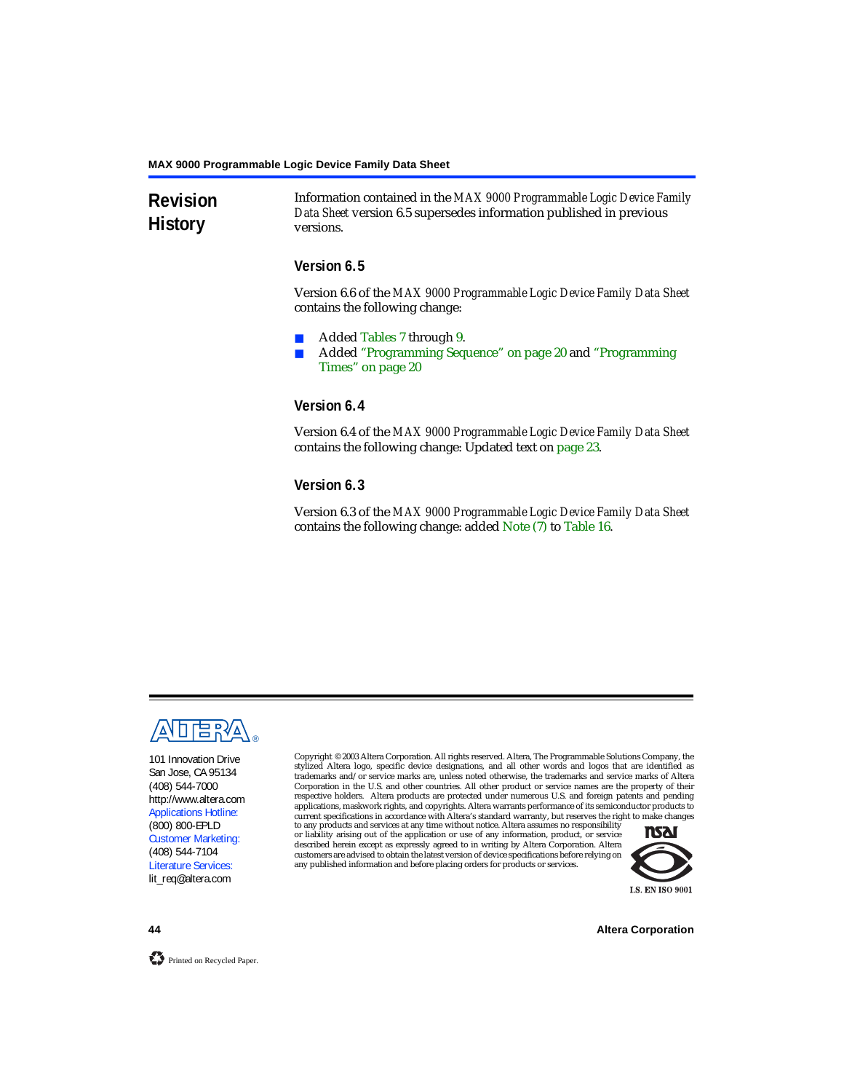# **Revision History**

Information contained in the *MAX 9000 Programmable Logic Device Family Data Sheet* version 6.5 supersedes information published in previous versions.

# **Version 6.5**

Version 6.6 of the *MAX 9000 Programmable Logic Device Family Data Sheet* contains the following change:

- Added [Tables 7](#page-21-0) through [9](#page-21-1).
- Added ["Programming Sequence" on page 20](#page-19-0) and "Programming [Times" on page 20](#page-19-1)

# **Version 6.4**

Version 6.4 of the *MAX 9000 Programmable Logic Device Family Data Sheet* contains the following change: Updated text on [page 23](#page-22-1).

# **Version 6.3**

Version 6.3 of the *MAX 9000 Programmable Logic Device Family Data Sheet* contains the following change: added Note [\(7\)](#page-28-4) to [Table 16](#page-27-0).



101 Innovation Drive San Jose, CA 95134 (408) 544-7000 http://www.altera.com Applications Hotline: (800) 800-EPLD Customer Marketing: (408) 544-7104 Literature Services: lit\_req@altera.com

Copyright © 2003 Altera Corporation. All rights reserved. Altera, The Programmable Solutions Company, the stylized Altera logo, specific device designations, and all other words and logos that are identified as trademarks and/or service marks are, unless noted otherwise, the trademarks and service marks of Altera Corporation in the U.S. and other countries. All other product or service names are the property of their respective holders. Altera products are protected under numerous U.S. and foreign patents and pending applications, maskwork rights, and copyrights. Altera warrants performance of its semiconductor products to current specifications in accordance with Altera's standard warranty, but reserves the right to make changes

to any products and services at any time without notice. Altera assumes no responsibility or liability arising out of the application or use of any information, product, or service described herein except as expressly agreed to in writing by Altera Corporation. Altera customers are advised to obtain the latest version of device specifications before relying on any published information and before placing orders for products or services.



**44 Altera Corporation**